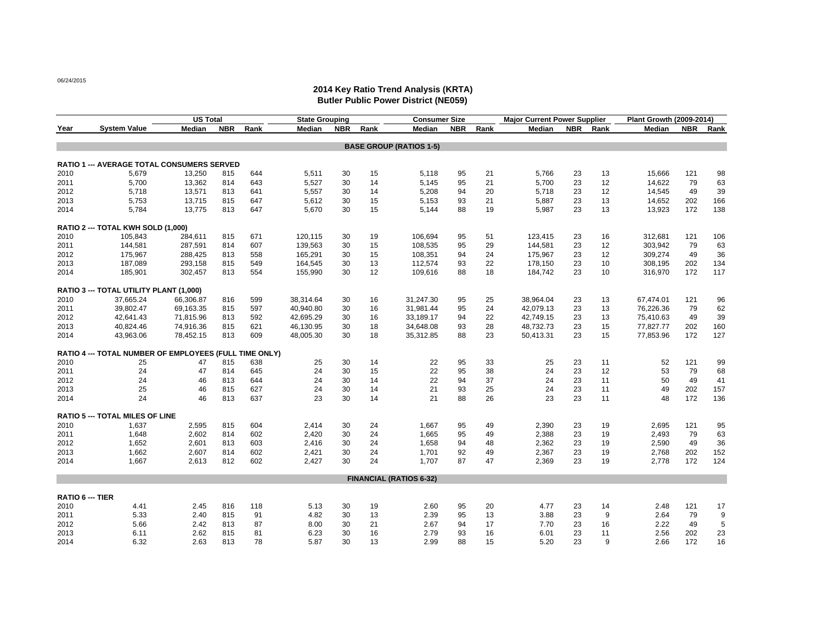06/24/2015

## **2014 Key Ratio Trend Analysis (KRTA) Butler Public Power District (NE059)**

|                         |                                                        | US Total  |            |      | <b>State Grouping</b> |            |      | <b>Consumer Size</b>           |            |      | <b>Major Current Power Supplier</b> |            |      | Plant Growth (2009-2014) |            |      |
|-------------------------|--------------------------------------------------------|-----------|------------|------|-----------------------|------------|------|--------------------------------|------------|------|-------------------------------------|------------|------|--------------------------|------------|------|
| Year                    | <b>System Value</b>                                    | Median    | <b>NBR</b> | Rank | Median                | <b>NBR</b> | Rank | Median                         | <b>NBR</b> | Rank | Median                              | <b>NBR</b> | Rank | Median                   | <b>NBR</b> | Rank |
|                         |                                                        |           |            |      |                       |            |      | <b>BASE GROUP (RATIOS 1-5)</b> |            |      |                                     |            |      |                          |            |      |
|                         |                                                        |           |            |      |                       |            |      |                                |            |      |                                     |            |      |                          |            |      |
|                         | <b>RATIO 1 --- AVERAGE TOTAL CONSUMERS SERVED</b>      |           |            |      |                       |            |      |                                |            |      |                                     |            |      |                          |            |      |
| 2010                    | 5,679                                                  | 13,250    | 815        | 644  | 5,511                 | 30         | 15   | 5,118                          | 95         | 21   | 5,766                               | 23         | 13   | 15,666                   | 121        | 98   |
| 2011                    | 5,700                                                  | 13,362    | 814        | 643  | 5,527                 | 30         | 14   | 5,145                          | 95         | 21   | 5,700                               | 23         | 12   | 14,622                   | 79         | 63   |
| 2012                    | 5,718                                                  | 13,571    | 813        | 641  | 5,557                 | 30         | 14   | 5,208                          | 94         | 20   | 5,718                               | 23         | 12   | 14,545                   | 49         | 39   |
| 2013                    | 5,753                                                  | 13,715    | 815        | 647  | 5,612                 | 30         | 15   | 5,153                          | 93         | 21   | 5,887                               | 23         | 13   | 14,652                   | 202        | 166  |
| 2014                    | 5,784                                                  | 13,775    | 813        | 647  | 5,670                 | 30         | 15   | 5,144                          | 88         | 19   | 5,987                               | 23         | 13   | 13,923                   | 172        | 138  |
|                         | RATIO 2 --- TOTAL KWH SOLD (1,000)                     |           |            |      |                       |            |      |                                |            |      |                                     |            |      |                          |            |      |
| 2010                    | 105.843                                                | 284,611   | 815        | 671  | 120,115               | 30         | 19   | 106,694                        | 95         | 51   | 123,415                             | 23         | 16   | 312,681                  | 121        | 106  |
| 2011                    | 144,581                                                | 287,591   | 814        | 607  | 139,563               | 30         | 15   | 108,535                        | 95         | 29   | 144,581                             | 23         | 12   | 303,942                  | 79         | 63   |
| 2012                    | 175,967                                                | 288,425   | 813        | 558  | 165,291               | 30         | 15   | 108,351                        | 94         | 24   | 175,967                             | 23         | 12   | 309,274                  | 49         | 36   |
| 2013                    | 187,089                                                | 293,158   | 815        | 549  | 164,545               | 30         | 13   | 112,574                        | 93         | 22   | 178,150                             | 23         | 10   | 308,195                  | 202        | 134  |
| 2014                    | 185,901                                                | 302,457   | 813        | 554  | 155,990               | 30         | 12   | 109,616                        | 88         | 18   | 184,742                             | 23         | 10   | 316,970                  | 172        | 117  |
|                         | RATIO 3 --- TOTAL UTILITY PLANT (1,000)                |           |            |      |                       |            |      |                                |            |      |                                     |            |      |                          |            |      |
| 2010                    | 37,665.24                                              | 66,306.87 | 816        | 599  | 38,314.64             | 30         | 16   | 31,247.30                      | 95         | 25   | 38,964.04                           | 23         | 13   | 67,474.01                | 121        | 96   |
| 2011                    | 39,802.47                                              | 69,163.35 | 815        | 597  | 40,940.80             | 30         | 16   | 31,981.44                      | 95         | 24   | 42,079.13                           | 23         | 13   | 76,226.36                | 79         | 62   |
| 2012                    | 42,641.43                                              | 71,815.96 | 813        | 592  | 42,695.29             | 30         | 16   | 33,189.17                      | 94         | 22   | 42,749.15                           | 23         | 13   | 75,410.63                | 49         | 39   |
| 2013                    | 40,824.46                                              | 74,916.36 | 815        | 621  | 46,130.95             | 30         | 18   | 34,648.08                      | 93         | 28   | 48,732.73                           | 23         | 15   | 77,827.77                | 202        | 160  |
| 2014                    | 43,963.06                                              | 78,452.15 | 813        | 609  | 48,005.30             | 30         | 18   | 35,312.85                      | 88         | 23   | 50,413.31                           | 23         | 15   | 77,853.96                | 172        | 127  |
|                         |                                                        |           |            |      |                       |            |      |                                |            |      |                                     |            |      |                          |            |      |
|                         | RATIO 4 --- TOTAL NUMBER OF EMPLOYEES (FULL TIME ONLY) |           |            |      |                       |            |      |                                |            |      |                                     |            |      |                          |            |      |
| 2010                    | 25                                                     | 47        | 815        | 638  | 25                    | 30         | 14   | 22                             | 95         | 33   | 25                                  | 23         | 11   | 52                       | 121        | 99   |
| 2011                    | 24                                                     | 47        | 814        | 645  | 24                    | 30         | 15   | 22                             | 95         | 38   | 24                                  | 23         | 12   | 53                       | 79         | 68   |
| 2012                    | 24                                                     | 46        | 813        | 644  | 24                    | 30         | 14   | 22                             | 94         | 37   | 24                                  | 23         | 11   | 50                       | 49         | 41   |
| 2013                    | 25                                                     | 46        | 815        | 627  | 24                    | 30         | 14   | 21                             | 93         | 25   | 24                                  | 23         | 11   | 49                       | 202        | 157  |
| 2014                    | 24                                                     | 46        | 813        | 637  | 23                    | 30         | 14   | 21                             | 88         | 26   | 23                                  | 23         | 11   | 48                       | 172        | 136  |
|                         | <b>RATIO 5 --- TOTAL MILES OF LINE</b>                 |           |            |      |                       |            |      |                                |            |      |                                     |            |      |                          |            |      |
| 2010                    | 1,637                                                  | 2,595     | 815        | 604  | 2,414                 | 30         | 24   | 1,667                          | 95         | 49   | 2,390                               | 23         | 19   | 2,695                    | 121        | 95   |
| 2011                    | 1,648                                                  | 2,602     | 814        | 602  | 2,420                 | 30         | 24   | 1,665                          | 95         | 49   | 2,388                               | 23         | 19   | 2,493                    | 79         | 63   |
| 2012                    | 1,652                                                  | 2,601     | 813        | 603  | 2,416                 | 30         | 24   | 1,658                          | 94         | 48   | 2,362                               | 23         | 19   | 2,590                    | 49         | 36   |
| 2013                    | 1,662                                                  | 2,607     | 814        | 602  | 2,421                 | 30         | 24   | 1,701                          | 92         | 49   | 2,367                               | 23         | 19   | 2,768                    | 202        | 152  |
| 2014                    | 1,667                                                  | 2,613     | 812        | 602  | 2,427                 | 30         | 24   | 1,707                          | 87         | 47   | 2,369                               | 23         | 19   | 2,778                    | 172        | 124  |
|                         |                                                        |           |            |      |                       |            |      | <b>FINANCIAL (RATIOS 6-32)</b> |            |      |                                     |            |      |                          |            |      |
|                         |                                                        |           |            |      |                       |            |      |                                |            |      |                                     |            |      |                          |            |      |
| <b>RATIO 6 --- TIER</b> |                                                        |           |            |      |                       |            |      |                                |            |      |                                     |            |      |                          |            |      |
| 2010                    | 4.41                                                   | 2.45      | 816        | 118  | 5.13                  | 30         | 19   | 2.60                           | 95         | 20   | 4.77                                | 23         | 14   | 2.48                     | 121        | 17   |
| 2011                    | 5.33                                                   | 2.40      | 815        | 91   | 4.82                  | 30         | 13   | 2.39                           | 95         | 13   | 3.88                                | 23         | 9    | 2.64                     | 79         | 9    |
| 2012                    | 5.66                                                   | 2.42      | 813        | 87   | 8.00                  | 30         | 21   | 2.67                           | 94         | 17   | 7.70                                | 23         | 16   | 2.22                     | 49         | 5    |
| 2013                    | 6.11                                                   | 2.62      | 815        | 81   | 6.23                  | 30         | 16   | 2.79                           | 93         | 16   | 6.01                                | 23         | 11   | 2.56                     | 202        | 23   |
| 2014                    | 6.32                                                   | 2.63      | 813        | 78   | 5.87                  | 30         | 13   | 2.99                           | 88         | 15   | 5.20                                | 23         | q    | 2.66                     | 172        | 16   |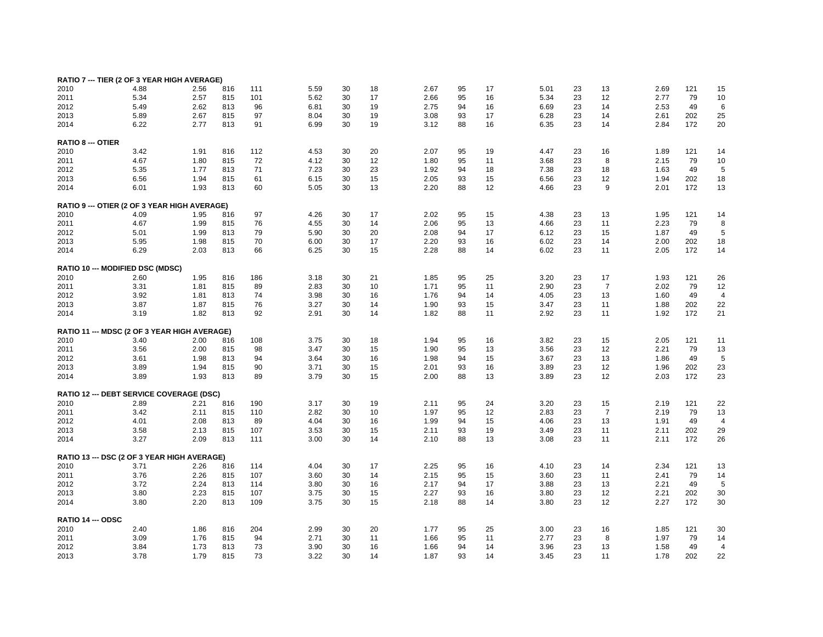| RATIO 7 --- TIER (2 OF 3 YEAR HIGH AVERAGE)     |      |      |     |     |      |    |    |      |    |    |      |    |                   |      |     |                |
|-------------------------------------------------|------|------|-----|-----|------|----|----|------|----|----|------|----|-------------------|------|-----|----------------|
| 2010                                            | 4.88 | 2.56 | 816 | 111 | 5.59 | 30 | 18 | 2.67 | 95 | 17 | 5.01 | 23 | 13                | 2.69 | 121 | 15             |
| 2011                                            | 5.34 | 2.57 | 815 | 101 | 5.62 | 30 | 17 | 2.66 | 95 | 16 | 5.34 | 23 | 12                | 2.77 | 79  | 10             |
| 2012                                            | 5.49 | 2.62 | 813 | 96  | 6.81 | 30 | 19 | 2.75 | 94 | 16 | 6.69 | 23 | 14                | 2.53 | 49  | 6              |
| 2013                                            | 5.89 | 2.67 | 815 | 97  | 8.04 | 30 | 19 | 3.08 | 93 | 17 | 6.28 | 23 | 14                | 2.61 | 202 | 25             |
| 2014                                            | 6.22 | 2.77 | 813 | 91  | 6.99 | 30 | 19 | 3.12 | 88 | 16 | 6.35 | 23 | 14                | 2.84 | 172 | 20             |
| <b>RATIO 8 --- OTIER</b>                        |      |      |     |     |      |    |    |      |    |    |      |    |                   |      |     |                |
| 2010                                            | 3.42 | 1.91 | 816 | 112 | 4.53 | 30 | 20 | 2.07 | 95 | 19 | 4.47 | 23 | 16                | 1.89 | 121 | 14             |
| 2011                                            | 4.67 | 1.80 | 815 | 72  | 4.12 | 30 | 12 | 1.80 | 95 | 11 | 3.68 | 23 | 8                 | 2.15 | 79  | 10             |
|                                                 |      |      |     | 71  |      |    | 23 |      | 94 |    |      |    |                   |      | 49  |                |
| 2012                                            | 5.35 | 1.77 | 813 |     | 7.23 | 30 |    | 1.92 |    | 18 | 7.38 | 23 | 18                | 1.63 |     | 5              |
| 2013                                            | 6.56 | 1.94 | 815 | 61  | 6.15 | 30 | 15 | 2.05 | 93 | 15 | 6.56 | 23 | 12                | 1.94 | 202 | 18             |
| 2014                                            | 6.01 | 1.93 | 813 | 60  | 5.05 | 30 | 13 | 2.20 | 88 | 12 | 4.66 | 23 | 9                 | 2.01 | 172 | 13             |
| RATIO 9 --- OTIER (2 OF 3 YEAR HIGH AVERAGE)    |      |      |     |     |      |    |    |      |    |    |      |    |                   |      |     |                |
| 2010                                            | 4.09 | 1.95 | 816 | 97  | 4.26 | 30 | 17 | 2.02 | 95 | 15 | 4.38 | 23 | 13                | 1.95 | 121 | 14             |
| 2011                                            | 4.67 | 1.99 | 815 | 76  | 4.55 | 30 | 14 | 2.06 | 95 | 13 | 4.66 | 23 | 11                | 2.23 | 79  | 8              |
| 2012                                            | 5.01 | 1.99 | 813 | 79  | 5.90 | 30 | 20 | 2.08 | 94 | 17 | 6.12 | 23 | 15                | 1.87 | 49  | 5              |
| 2013                                            | 5.95 | 1.98 | 815 | 70  | 6.00 | 30 | 17 | 2.20 | 93 | 16 | 6.02 | 23 | 14                | 2.00 | 202 | 18             |
| 2014                                            | 6.29 | 2.03 | 813 | 66  | 6.25 | 30 | 15 | 2.28 | 88 | 14 | 6.02 | 23 | 11                | 2.05 | 172 | 14             |
| RATIO 10 --- MODIFIED DSC (MDSC)                |      |      |     |     |      |    |    |      |    |    |      |    |                   |      |     |                |
| 2010                                            | 2.60 | 1.95 | 816 | 186 | 3.18 | 30 | 21 | 1.85 | 95 | 25 | 3.20 | 23 | 17                | 1.93 | 121 | 26             |
| 2011                                            | 3.31 | 1.81 | 815 | 89  | 2.83 | 30 | 10 | 1.71 | 95 | 11 | 2.90 | 23 | $\overline{7}$    | 2.02 | 79  | 12             |
| 2012                                            | 3.92 | 1.81 | 813 | 74  | 3.98 | 30 | 16 | 1.76 | 94 | 14 | 4.05 | 23 | 13                | 1.60 | 49  | $\overline{4}$ |
| 2013                                            | 3.87 | 1.87 | 815 | 76  | 3.27 | 30 | 14 | 1.90 | 93 | 15 | 3.47 | 23 | 11                | 1.88 | 202 | 22             |
| 2014                                            | 3.19 | 1.82 | 813 | 92  | 2.91 | 30 | 14 | 1.82 | 88 | 11 | 2.92 | 23 | 11                | 1.92 | 172 | 21             |
| RATIO 11 --- MDSC (2 OF 3 YEAR HIGH AVERAGE)    |      |      |     |     |      |    |    |      |    |    |      |    |                   |      |     |                |
| 2010                                            | 3.40 | 2.00 | 816 | 108 | 3.75 | 30 | 18 | 1.94 | 95 | 16 | 3.82 | 23 | 15                | 2.05 | 121 | 11             |
| 2011                                            | 3.56 | 2.00 | 815 | 98  | 3.47 | 30 | 15 | 1.90 | 95 | 13 | 3.56 | 23 | 12                | 2.21 | 79  | 13             |
| 2012                                            | 3.61 | 1.98 | 813 | 94  | 3.64 | 30 | 16 | 1.98 | 94 | 15 | 3.67 | 23 | 13                | 1.86 | 49  | 5              |
| 2013                                            | 3.89 |      | 815 |     | 3.71 | 30 | 15 | 2.01 | 93 | 16 | 3.89 | 23 | 12                | 1.96 | 202 | 23             |
|                                                 |      | 1.94 |     | 90  |      |    |    |      |    |    |      |    |                   |      |     |                |
| 2014                                            | 3.89 | 1.93 | 813 | 89  | 3.79 | 30 | 15 | 2.00 | 88 | 13 | 3.89 | 23 | 12                | 2.03 | 172 | 23             |
| <b>RATIO 12 --- DEBT SERVICE COVERAGE (DSC)</b> |      |      |     |     |      |    |    |      |    |    |      |    |                   |      |     |                |
| 2010                                            | 2.89 | 2.21 | 816 | 190 | 3.17 | 30 | 19 | 2.11 | 95 | 24 | 3.20 | 23 | 15                | 2.19 | 121 | 22             |
| 2011                                            | 3.42 | 2.11 | 815 | 110 | 2.82 | 30 | 10 | 1.97 | 95 | 12 | 2.83 | 23 | $\overline{7}$    | 2.19 | 79  | 13             |
| 2012                                            | 4.01 | 2.08 | 813 | 89  | 4.04 | 30 | 16 | 1.99 | 94 | 15 | 4.06 | 23 | 13                | 1.91 | 49  | $\overline{4}$ |
| 2013                                            | 3.58 | 2.13 | 815 | 107 | 3.53 | 30 | 15 | 2.11 | 93 | 19 | 3.49 | 23 | 11                | 2.11 | 202 | 29             |
| 2014                                            | 3.27 | 2.09 | 813 | 111 | 3.00 | 30 | 14 | 2.10 | 88 | 13 | 3.08 | 23 | 11                | 2.11 | 172 | 26             |
| RATIO 13 --- DSC (2 OF 3 YEAR HIGH AVERAGE)     |      |      |     |     |      |    |    |      |    |    |      |    |                   |      |     |                |
| 2010                                            | 3.71 | 2.26 | 816 | 114 | 4.04 | 30 | 17 | 2.25 | 95 | 16 | 4.10 | 23 | 14                | 2.34 | 121 | 13             |
| 2011                                            | 3.76 | 2.26 | 815 | 107 | 3.60 | 30 | 14 | 2.15 | 95 | 15 | 3.60 | 23 | 11                | 2.41 | 79  | 14             |
| 2012                                            | 3.72 | 2.24 | 813 | 114 | 3.80 | 30 | 16 | 2.17 | 94 | 17 | 3.88 | 23 | 13                | 2.21 | 49  | 5              |
| 2013                                            | 3.80 | 2.23 | 815 | 107 | 3.75 | 30 | 15 | 2.27 | 93 | 16 | 3.80 | 23 | 12                | 2.21 | 202 | 30             |
| 2014                                            | 3.80 | 2.20 | 813 | 109 | 3.75 | 30 | 15 | 2.18 | 88 | 14 | 3.80 | 23 | $12 \overline{ }$ | 2.27 | 172 | 30             |
| RATIO 14 --- ODSC                               |      |      |     |     |      |    |    |      |    |    |      |    |                   |      |     |                |
| 2010                                            | 2.40 | 1.86 | 816 | 204 | 2.99 | 30 | 20 | 1.77 | 95 | 25 | 3.00 | 23 | 16                | 1.85 | 121 | 30             |
| 2011                                            | 3.09 | 1.76 | 815 | 94  | 2.71 | 30 | 11 | 1.66 | 95 | 11 | 2.77 | 23 | 8                 | 1.97 | 79  | 14             |
| 2012                                            | 3.84 | 1.73 | 813 | 73  | 3.90 | 30 | 16 | 1.66 | 94 | 14 | 3.96 | 23 | 13                | 1.58 | 49  | $\overline{4}$ |
| 2013                                            | 3.78 | 1.79 | 815 | 73  | 3.22 | 30 | 14 | 1.87 | 93 | 14 | 3.45 | 23 | 11                | 1.78 | 202 | 22             |
|                                                 |      |      |     |     |      |    |    |      |    |    |      |    |                   |      |     |                |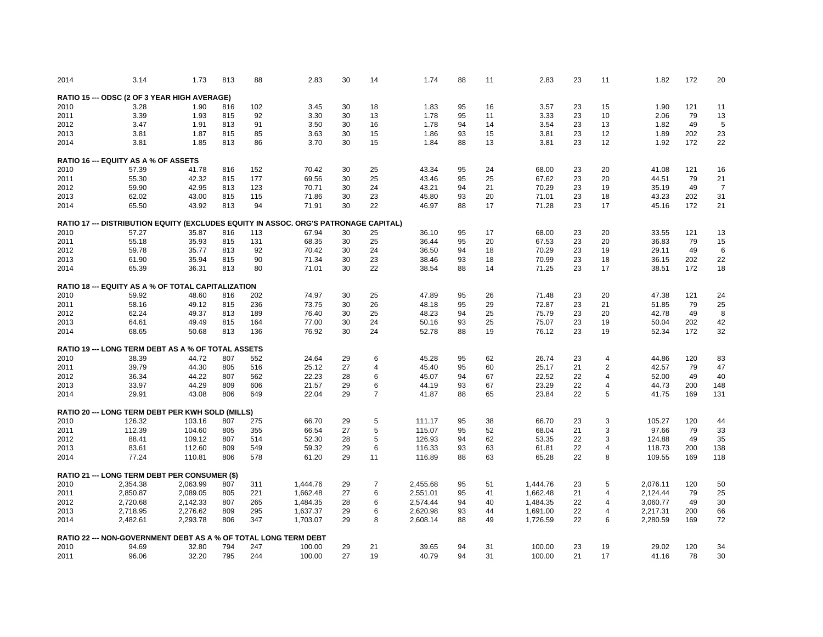| 2014 | 3.14                                                                                 | 1.73     | 813 | 88  | 2.83     | 30 | 14             | 1.74     | 88 | 11 | 2.83     | 23 | 11             | 1.82     | 172 | 20             |
|------|--------------------------------------------------------------------------------------|----------|-----|-----|----------|----|----------------|----------|----|----|----------|----|----------------|----------|-----|----------------|
|      | RATIO 15 --- ODSC (2 OF 3 YEAR HIGH AVERAGE)                                         |          |     |     |          |    |                |          |    |    |          |    |                |          |     |                |
| 2010 | 3.28                                                                                 | 1.90     | 816 | 102 | 3.45     | 30 | 18             | 1.83     | 95 | 16 | 3.57     | 23 | 15             | 1.90     | 121 | 11             |
| 2011 | 3.39                                                                                 | 1.93     | 815 | 92  | 3.30     | 30 | 13             | 1.78     | 95 | 11 | 3.33     | 23 | 10             | 2.06     | 79  | 13             |
| 2012 | 3.47                                                                                 | 1.91     | 813 | 91  | 3.50     | 30 | 16             | 1.78     | 94 | 14 | 3.54     | 23 | 13             | 1.82     | 49  | 5              |
|      |                                                                                      |          |     |     |          |    |                |          |    |    |          |    |                |          |     |                |
| 2013 | 3.81                                                                                 | 1.87     | 815 | 85  | 3.63     | 30 | 15             | 1.86     | 93 | 15 | 3.81     | 23 | 12             | 1.89     | 202 | 23             |
| 2014 | 3.81                                                                                 | 1.85     | 813 | 86  | 3.70     | 30 | 15             | 1.84     | 88 | 13 | 3.81     | 23 | 12             | 1.92     | 172 | 22             |
|      | <b>RATIO 16 --- EQUITY AS A % OF ASSETS</b>                                          |          |     |     |          |    |                |          |    |    |          |    |                |          |     |                |
| 2010 | 57.39                                                                                | 41.78    | 816 | 152 | 70.42    | 30 | 25             | 43.34    | 95 | 24 | 68.00    | 23 | 20             | 41.08    | 121 | 16             |
| 2011 | 55.30                                                                                | 42.32    | 815 | 177 | 69.56    | 30 | 25             | 43.46    | 95 | 25 | 67.62    | 23 | 20             | 44.51    | 79  | 21             |
| 2012 | 59.90                                                                                | 42.95    | 813 | 123 | 70.71    | 30 | 24             | 43.21    | 94 | 21 | 70.29    | 23 | 19             | 35.19    | 49  | $\overline{7}$ |
|      |                                                                                      |          |     |     |          |    |                |          | 93 |    |          |    |                |          |     | 31             |
| 2013 | 62.02                                                                                | 43.00    | 815 | 115 | 71.86    | 30 | 23             | 45.80    |    | 20 | 71.01    | 23 | 18             | 43.23    | 202 |                |
| 2014 | 65.50                                                                                | 43.92    | 813 | 94  | 71.91    | 30 | 22             | 46.97    | 88 | 17 | 71.28    | 23 | 17             | 45.16    | 172 | 21             |
|      | RATIO 17 --- DISTRIBUTION EQUITY (EXCLUDES EQUITY IN ASSOC. ORG'S PATRONAGE CAPITAL) |          |     |     |          |    |                |          |    |    |          |    |                |          |     |                |
| 2010 | 57.27                                                                                | 35.87    | 816 | 113 | 67.94    | 30 | 25             | 36.10    | 95 | 17 | 68.00    | 23 | 20             | 33.55    | 121 | 13             |
| 2011 | 55.18                                                                                | 35.93    | 815 | 131 | 68.35    | 30 | 25             | 36.44    | 95 | 20 | 67.53    | 23 | 20             | 36.83    | 79  | 15             |
| 2012 | 59.78                                                                                | 35.77    | 813 | 92  | 70.42    | 30 | 24             | 36.50    | 94 | 18 | 70.29    | 23 | 19             | 29.11    | 49  | 6              |
| 2013 | 61.90                                                                                | 35.94    | 815 | 90  | 71.34    | 30 | 23             | 38.46    | 93 | 18 | 70.99    | 23 | 18             | 36.15    | 202 | 22             |
|      |                                                                                      |          |     |     |          | 30 |                |          |    |    |          | 23 |                |          | 172 |                |
| 2014 | 65.39                                                                                | 36.31    | 813 | 80  | 71.01    |    | 22             | 38.54    | 88 | 14 | 71.25    |    | 17             | 38.51    |     | 18             |
|      | <b>RATIO 18 --- EQUITY AS A % OF TOTAL CAPITALIZATION</b>                            |          |     |     |          |    |                |          |    |    |          |    |                |          |     |                |
| 2010 | 59.92                                                                                | 48.60    | 816 | 202 | 74.97    | 30 | 25             | 47.89    | 95 | 26 | 71.48    | 23 | 20             | 47.38    | 121 | 24             |
| 2011 | 58.16                                                                                | 49.12    | 815 | 236 | 73.75    | 30 | 26             | 48.18    | 95 | 29 | 72.87    | 23 | 21             | 51.85    | 79  | 25             |
| 2012 | 62.24                                                                                | 49.37    | 813 | 189 | 76.40    | 30 | 25             | 48.23    | 94 | 25 | 75.79    | 23 | 20             | 42.78    | 49  | 8              |
| 2013 | 64.61                                                                                | 49.49    | 815 | 164 | 77.00    | 30 | 24             | 50.16    | 93 | 25 | 75.07    | 23 | 19             | 50.04    | 202 | 42             |
| 2014 | 68.65                                                                                | 50.68    | 813 | 136 | 76.92    | 30 | 24             | 52.78    | 88 | 19 | 76.12    | 23 | 19             | 52.34    | 172 | 32             |
|      |                                                                                      |          |     |     |          |    |                |          |    |    |          |    |                |          |     |                |
|      | <b>RATIO 19 --- LONG TERM DEBT AS A % OF TOTAL ASSETS</b>                            |          |     |     |          |    |                |          |    |    |          |    |                |          |     |                |
| 2010 | 38.39                                                                                | 44.72    | 807 | 552 | 24.64    | 29 | 6              | 45.28    | 95 | 62 | 26.74    | 23 | 4              | 44.86    | 120 | 83             |
| 2011 | 39.79                                                                                | 44.30    | 805 | 516 | 25.12    | 27 | 4              | 45.40    | 95 | 60 | 25.17    | 21 | 2              | 42.57    | 79  | 47             |
| 2012 | 36.34                                                                                | 44.22    | 807 | 562 | 22.23    | 28 | 6              | 45.07    | 94 | 67 | 22.52    | 22 | $\overline{4}$ | 52.00    | 49  | 40             |
| 2013 | 33.97                                                                                | 44.29    | 809 | 606 | 21.57    | 29 | 6              | 44.19    | 93 | 67 | 23.29    | 22 | 4              | 44.73    | 200 | 148            |
| 2014 | 29.91                                                                                | 43.08    | 806 | 649 | 22.04    | 29 | $\overline{7}$ | 41.87    | 88 | 65 | 23.84    | 22 | 5              | 41.75    | 169 | 131            |
|      |                                                                                      |          |     |     |          |    |                |          |    |    |          |    |                |          |     |                |
|      | <b>RATIO 20 --- LONG TERM DEBT PER KWH SOLD (MILLS)</b>                              |          |     |     |          |    |                |          |    |    |          |    |                |          |     |                |
| 2010 | 126.32                                                                               | 103.16   | 807 | 275 | 66.70    | 29 | 5              | 111.17   | 95 | 38 | 66.70    | 23 | 3              | 105.27   | 120 | 44             |
| 2011 | 112.39                                                                               | 104.60   | 805 | 355 | 66.54    | 27 | 5              | 115.07   | 95 | 52 | 68.04    | 21 | 3              | 97.66    | 79  | 33             |
| 2012 | 88.41                                                                                | 109.12   | 807 | 514 | 52.30    | 28 | 5              | 126.93   | 94 | 62 | 53.35    | 22 | 3              | 124.88   | 49  | 35             |
| 2013 | 83.61                                                                                | 112.60   | 809 | 549 | 59.32    | 29 | 6              | 116.33   | 93 | 63 | 61.81    | 22 | $\overline{4}$ | 118.73   | 200 | 138            |
| 2014 | 77.24                                                                                | 110.81   | 806 | 578 | 61.20    | 29 | 11             | 116.89   | 88 | 63 | 65.28    | 22 | 8              | 109.55   | 169 | 118            |
|      | RATIO 21 --- LONG TERM DEBT PER CONSUMER (\$)                                        |          |     |     |          |    |                |          |    |    |          |    |                |          |     |                |
| 2010 | 2,354.38                                                                             | 2,063.99 | 807 | 311 | 1,444.76 | 29 | $\overline{7}$ | 2,455.68 | 95 | 51 | 1,444.76 | 23 | 5              | 2,076.11 | 120 | 50             |
|      |                                                                                      |          |     |     |          |    |                |          |    |    |          |    |                |          |     |                |
| 2011 | 2,850.87                                                                             | 2,089.05 | 805 | 221 | 1,662.48 | 27 | 6              | 2,551.01 | 95 | 41 | 1,662.48 | 21 | 4              | 2,124.44 | 79  | 25             |
| 2012 | 2,720.68                                                                             | 2,142.33 | 807 | 265 | 1,484.35 | 28 | 6              | 2,574.44 | 94 | 40 | 1,484.35 | 22 | 4              | 3,060.77 | 49  | 30             |
| 2013 | 2,718.95                                                                             | 2,276.62 | 809 | 295 | 1,637.37 | 29 | 6              | 2,620.98 | 93 | 44 | 1,691.00 | 22 | 4              | 2,217.31 | 200 | 66             |
| 2014 | 2,482.61                                                                             | 2,293.78 | 806 | 347 | 1,703.07 | 29 | 8              | 2,608.14 | 88 | 49 | 1,726.59 | 22 | 6              | 2,280.59 | 169 | 72             |
|      |                                                                                      |          |     |     |          |    |                |          |    |    |          |    |                |          |     |                |
|      | RATIO 22 --- NON-GOVERNMENT DEBT AS A % OF TOTAL LONG TERM DEBT                      |          |     |     |          |    |                |          |    |    |          |    |                |          |     |                |
| 2010 | 94.69                                                                                | 32.80    | 794 | 247 | 100.00   | 29 | 21             | 39.65    | 94 | 31 | 100.00   | 23 | 19             | 29.02    | 120 | 34             |
| 2011 | 96.06                                                                                | 32.20    | 795 | 244 | 100.00   | 27 | 19             | 40.79    | 94 | 31 | 100.00   | 21 | 17             | 41.16    | 78  | 30             |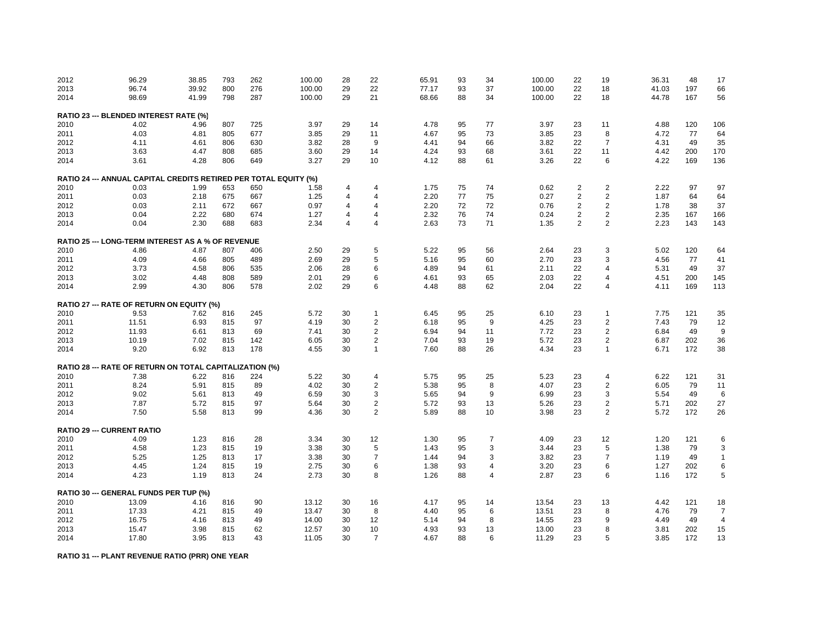| 2012 | 96.29                                                            | 38.85 | 793 | 262 | 100.00 | 28             | 22             | 65.91 | 93 | 34             | 100.00 | 22             | 19             | 36.31 | 48  | 17             |
|------|------------------------------------------------------------------|-------|-----|-----|--------|----------------|----------------|-------|----|----------------|--------|----------------|----------------|-------|-----|----------------|
| 2013 | 96.74                                                            | 39.92 | 800 | 276 | 100.00 | 29             | 22             | 77.17 | 93 | 37             | 100.00 | 22             | 18             | 41.03 | 197 | 66             |
| 2014 | 98.69                                                            | 41.99 | 798 | 287 | 100.00 | 29             | 21             | 68.66 | 88 | 34             | 100.00 | 22             | 18             | 44.78 | 167 | 56             |
|      | RATIO 23 --- BLENDED INTEREST RATE (%)                           |       |     |     |        |                |                |       |    |                |        |                |                |       |     |                |
| 2010 | 4.02                                                             | 4.96  | 807 | 725 | 3.97   | 29             | 14             | 4.78  | 95 | 77             | 3.97   | 23             | 11             | 4.88  | 120 | 106            |
| 2011 | 4.03                                                             | 4.81  | 805 | 677 | 3.85   | 29             | 11             | 4.67  | 95 | 73             | 3.85   | 23             | 8              | 4.72  | 77  | 64             |
| 2012 | 4.11                                                             | 4.61  | 806 | 630 | 3.82   | 28             | 9              | 4.41  | 94 | 66             | 3.82   | 22             | $\overline{7}$ | 4.31  | 49  | 35             |
| 2013 | 3.63                                                             | 4.47  | 808 | 685 | 3.60   | 29             | 14             | 4.24  | 93 | 68             | 3.61   | 22             | 11             | 4.42  | 200 | 170            |
| 2014 | 3.61                                                             | 4.28  | 806 | 649 | 3.27   | 29             | 10             | 4.12  | 88 | 61             | 3.26   | 22             | 6              | 4.22  | 169 | 136            |
|      |                                                                  |       |     |     |        |                |                |       |    |                |        |                |                |       |     |                |
|      | RATIO 24 --- ANNUAL CAPITAL CREDITS RETIRED PER TOTAL EQUITY (%) |       |     |     |        |                |                |       |    |                |        |                |                |       |     |                |
| 2010 | 0.03                                                             | 1.99  | 653 | 650 | 1.58   | 4              | 4              | 1.75  | 75 | 74             | 0.62   | $\overline{2}$ | $\overline{2}$ | 2.22  | 97  | 97             |
| 2011 | 0.03                                                             | 2.18  | 675 | 667 | 1.25   | 4              | $\overline{4}$ | 2.20  | 77 | 75             | 0.27   | $\overline{2}$ | $\overline{2}$ | 1.87  | 64  | 64             |
| 2012 | 0.03                                                             | 2.11  | 672 | 667 | 0.97   | 4              | $\overline{4}$ | 2.20  | 72 | 72             | 0.76   | $\overline{2}$ | $\overline{2}$ | 1.78  | 38  | 37             |
| 2013 | 0.04                                                             | 2.22  | 680 | 674 | 1.27   | 4              | $\overline{4}$ | 2.32  | 76 | 74             | 0.24   | $\overline{2}$ | $\overline{2}$ | 2.35  | 167 | 166            |
| 2014 | 0.04                                                             | 2.30  | 688 | 683 | 2.34   | $\overline{4}$ | $\overline{4}$ | 2.63  | 73 | 71             | 1.35   | $\overline{2}$ | $\overline{2}$ | 2.23  | 143 | 143            |
|      | <b>RATIO 25 --- LONG-TERM INTEREST AS A % OF REVENUE</b>         |       |     |     |        |                |                |       |    |                |        |                |                |       |     |                |
| 2010 | 4.86                                                             | 4.87  | 807 | 406 | 2.50   | 29             | 5              | 5.22  | 95 | 56             | 2.64   | 23             | 3              | 5.02  | 120 | 64             |
| 2011 | 4.09                                                             | 4.66  | 805 | 489 | 2.69   | 29             | 5              | 5.16  | 95 | 60             | 2.70   | 23             | 3              | 4.56  | 77  | 41             |
| 2012 | 3.73                                                             | 4.58  | 806 | 535 | 2.06   | 28             | 6              | 4.89  | 94 | 61             | 2.11   | 22             | 4              | 5.31  | 49  | 37             |
| 2013 | 3.02                                                             | 4.48  | 808 | 589 | 2.01   | 29             | 6              | 4.61  | 93 | 65             | 2.03   | 22             | 4              | 4.51  | 200 | 145            |
| 2014 | 2.99                                                             | 4.30  | 806 | 578 | 2.02   | 29             | 6              | 4.48  | 88 | 62             | 2.04   | 22             | 4              | 4.11  | 169 | 113            |
|      | RATIO 27 --- RATE OF RETURN ON EQUITY (%)                        |       |     |     |        |                |                |       |    |                |        |                |                |       |     |                |
|      | 9.53                                                             | 7.62  |     | 245 | 5.72   | 30             | $\mathbf{1}$   | 6.45  |    | 25             | 6.10   |                | 1              | 7.75  | 121 |                |
| 2010 |                                                                  |       | 816 |     |        |                |                |       | 95 |                |        | 23             |                |       |     | 35             |
| 2011 | 11.51                                                            | 6.93  | 815 | 97  | 4.19   | 30             | $\overline{2}$ | 6.18  | 95 | 9              | 4.25   | 23             | $\overline{2}$ | 7.43  | 79  | 12             |
| 2012 | 11.93                                                            | 6.61  | 813 | 69  | 7.41   | 30             | $\overline{c}$ | 6.94  | 94 | 11             | 7.72   | 23             | $\overline{c}$ | 6.84  | 49  | 9              |
| 2013 | 10.19                                                            | 7.02  | 815 | 142 | 6.05   | 30             | $\overline{2}$ | 7.04  | 93 | 19             | 5.72   | 23             | $\overline{2}$ | 6.87  | 202 | 36             |
| 2014 | 9.20                                                             | 6.92  | 813 | 178 | 4.55   | 30             | 1              | 7.60  | 88 | 26             | 4.34   | 23             | 1              | 6.71  | 172 | 38             |
|      | RATIO 28 --- RATE OF RETURN ON TOTAL CAPITALIZATION (%)          |       |     |     |        |                |                |       |    |                |        |                |                |       |     |                |
| 2010 | 7.38                                                             | 6.22  | 816 | 224 | 5.22   | 30             | 4              | 5.75  | 95 | 25             | 5.23   | 23             | 4              | 6.22  | 121 | 31             |
| 2011 | 8.24                                                             | 5.91  | 815 | 89  | 4.02   | 30             | $\overline{2}$ | 5.38  | 95 | 8              | 4.07   | 23             | $\overline{2}$ | 6.05  | 79  | 11             |
| 2012 | 9.02                                                             | 5.61  | 813 | 49  | 6.59   | 30             | 3              | 5.65  | 94 | 9              | 6.99   | 23             | 3              | 5.54  | 49  | 6              |
| 2013 | 7.87                                                             | 5.72  | 815 | 97  | 5.64   | 30             | $\overline{c}$ | 5.72  | 93 | 13             | 5.26   | 23             | $\overline{2}$ | 5.71  | 202 | 27             |
| 2014 | 7.50                                                             | 5.58  | 813 | 99  | 4.36   | 30             | $\overline{2}$ | 5.89  | 88 | 10             | 3.98   | 23             | $\overline{2}$ | 5.72  | 172 | 26             |
|      | <b>RATIO 29 --- CURRENT RATIO</b>                                |       |     |     |        |                |                |       |    |                |        |                |                |       |     |                |
|      |                                                                  |       |     |     |        |                |                |       |    |                |        |                |                |       |     |                |
| 2010 | 4.09                                                             | 1.23  | 816 | 28  | 3.34   | 30             | 12<br>5        | 1.30  | 95 | $\overline{7}$ | 4.09   | 23             | 12             | 1.20  | 121 | 6              |
| 2011 | 4.58                                                             | 1.23  | 815 | 19  | 3.38   | 30             |                | 1.43  | 95 | 3              | 3.44   | 23             | 5              | 1.38  | 79  | 3              |
| 2012 | 5.25                                                             | 1.25  | 813 | 17  | 3.38   | 30             | $\overline{7}$ | 1.44  | 94 | 3              | 3.82   | 23             | $\overline{7}$ | 1.19  | 49  | $\mathbf{1}$   |
| 2013 | 4.45                                                             | 1.24  | 815 | 19  | 2.75   | 30             | 6              | 1.38  | 93 | $\overline{4}$ | 3.20   | 23             | 6              | 1.27  | 202 | 6              |
| 2014 | 4.23                                                             | 1.19  | 813 | 24  | 2.73   | 30             | 8              | 1.26  | 88 | $\overline{4}$ | 2.87   | 23             | 6              | 1.16  | 172 | 5              |
|      | RATIO 30 --- GENERAL FUNDS PER TUP (%)                           |       |     |     |        |                |                |       |    |                |        |                |                |       |     |                |
| 2010 | 13.09                                                            | 4.16  | 816 | 90  | 13.12  | 30             | 16             | 4.17  | 95 | 14             | 13.54  | 23             | 13             | 4.42  | 121 | 18             |
| 2011 | 17.33                                                            | 4.21  | 815 | 49  | 13.47  | 30             | 8              | 4.40  | 95 | 6              | 13.51  | 23             | 8              | 4.76  | 79  | $\overline{7}$ |
| 2012 | 16.75                                                            | 4.16  | 813 | 49  | 14.00  | 30             | 12             | 5.14  | 94 | 8              | 14.55  | 23             | 9              | 4.49  | 49  | $\overline{4}$ |
| 2013 | 15.47                                                            | 3.98  | 815 | 62  | 12.57  | 30             | 10             | 4.93  | 93 | 13             | 13.00  | 23             | 8              | 3.81  | 202 | 15             |
| 2014 | 17.80                                                            | 3.95  | 813 | 43  | 11.05  | 30             | $\overline{7}$ | 4.67  | 88 | 6              | 11.29  | 23             | 5              | 3.85  | 172 | 13             |
|      |                                                                  |       |     |     |        |                |                |       |    |                |        |                |                |       |     |                |

**RATIO 31 --- PLANT REVENUE RATIO (PRR) ONE YEAR**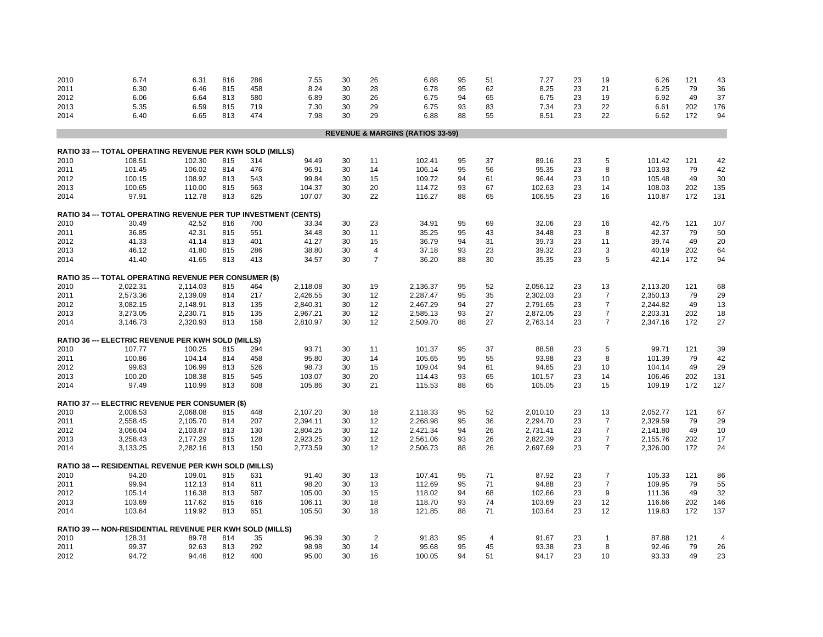| 2010 | 6.74                                                                   | 6.31     | 816 | 286 | 7.55     | 30 | 26             | 6.88                                        | 95 | 51 | 7.27     | 23 | 19                | 6.26     | 121 | 43             |
|------|------------------------------------------------------------------------|----------|-----|-----|----------|----|----------------|---------------------------------------------|----|----|----------|----|-------------------|----------|-----|----------------|
| 2011 | 6.30                                                                   | 6.46     | 815 | 458 | 8.24     | 30 | 28             | 6.78                                        | 95 | 62 | 8.25     | 23 | 21                | 6.25     | 79  | 36             |
| 2012 | 6.06                                                                   | 6.64     | 813 | 580 | 6.89     | 30 | 26             | 6.75                                        | 94 | 65 | 6.75     | 23 | 19                | 6.92     | 49  | 37             |
| 2013 | 5.35                                                                   | 6.59     | 815 | 719 | 7.30     | 30 | 29             | 6.75                                        | 93 | 83 | 7.34     | 23 | 22                | 6.61     | 202 | 176            |
| 2014 | 6.40                                                                   | 6.65     | 813 | 474 | 7.98     | 30 | 29             | 6.88                                        | 88 | 55 | 8.51     | 23 | 22                | 6.62     | 172 | 94             |
|      |                                                                        |          |     |     |          |    |                |                                             |    |    |          |    |                   |          |     |                |
|      |                                                                        |          |     |     |          |    |                | <b>REVENUE &amp; MARGINS (RATIOS 33-59)</b> |    |    |          |    |                   |          |     |                |
|      |                                                                        |          |     |     |          |    |                |                                             |    |    |          |    |                   |          |     |                |
|      | RATIO 33 --- TOTAL OPERATING REVENUE PER KWH SOLD (MILLS)              |          |     |     |          |    |                |                                             |    |    |          |    |                   |          |     |                |
| 2010 | 108.51                                                                 | 102.30   | 815 | 314 | 94.49    | 30 | 11             | 102.41                                      | 95 | 37 | 89.16    | 23 | 5                 | 101.42   | 121 | 42             |
| 2011 | 101.45                                                                 | 106.02   | 814 | 476 | 96.91    | 30 | 14             | 106.14                                      | 95 | 56 | 95.35    | 23 | 8                 | 103.93   | 79  | 42             |
| 2012 | 100.15                                                                 | 108.92   | 813 | 543 | 99.84    | 30 | 15             | 109.72                                      | 94 | 61 | 96.44    | 23 | 10                | 105.48   | 49  | 30             |
| 2013 | 100.65                                                                 | 110.00   | 815 | 563 | 104.37   | 30 | 20             | 114.72                                      | 93 | 67 | 102.63   | 23 | 14                | 108.03   | 202 | 135            |
| 2014 | 97.91                                                                  | 112.78   | 813 | 625 | 107.07   | 30 | 22             | 116.27                                      | 88 | 65 | 106.55   | 23 | 16                | 110.87   | 172 | 131            |
|      | <b>RATIO 34 --- TOTAL OPERATING REVENUE PER TUP INVESTMENT (CENTS)</b> |          |     |     |          |    |                |                                             |    |    |          |    |                   |          |     |                |
| 2010 | 30.49                                                                  | 42.52    | 816 | 700 | 33.34    | 30 | 23             | 34.91                                       | 95 | 69 | 32.06    | 23 | 16                | 42.75    | 121 | 107            |
| 2011 | 36.85                                                                  | 42.31    | 815 | 551 | 34.48    | 30 | 11             | 35.25                                       | 95 | 43 | 34.48    | 23 | 8                 | 42.37    | 79  | 50             |
| 2012 | 41.33                                                                  | 41.14    | 813 | 401 | 41.27    | 30 | 15             | 36.79                                       | 94 | 31 | 39.73    | 23 | 11                | 39.74    | 49  | 20             |
| 2013 | 46.12                                                                  | 41.80    | 815 | 286 | 38.80    | 30 | 4              | 37.18                                       | 93 | 23 | 39.32    | 23 | 3                 | 40.19    | 202 | 64             |
| 2014 | 41.40                                                                  | 41.65    | 813 | 413 | 34.57    | 30 | $\overline{7}$ | 36.20                                       | 88 | 30 | 35.35    | 23 | 5                 | 42.14    | 172 | 94             |
|      | <b>RATIO 35 --- TOTAL OPERATING REVENUE PER CONSUMER (\$)</b>          |          |     |     |          |    |                |                                             |    |    |          |    |                   |          |     |                |
| 2010 | 2,022.31                                                               | 2,114.03 | 815 | 464 | 2,118.08 | 30 | 19             | 2,136.37                                    | 95 | 52 | 2,056.12 | 23 | 13                | 2,113.20 | 121 | 68             |
| 2011 | 2,573.36                                                               | 2,139.09 | 814 | 217 | 2,426.55 | 30 | 12             | 2,287.47                                    | 95 | 35 | 2,302.03 | 23 | $\overline{7}$    | 2,350.13 | 79  | 29             |
| 2012 | 3,082.15                                                               | 2,148.91 | 813 | 135 | 2,840.31 | 30 | 12             | 2,467.29                                    | 94 | 27 | 2,791.65 | 23 | $\overline{7}$    | 2,244.82 | 49  | 13             |
| 2013 | 3,273.05                                                               | 2,230.71 | 815 | 135 | 2,967.21 | 30 | 12             | 2,585.13                                    | 93 | 27 | 2,872.05 | 23 | $\overline{7}$    | 2,203.31 | 202 | 18             |
| 2014 | 3,146.73                                                               | 2,320.93 | 813 | 158 | 2,810.97 | 30 | 12             | 2,509.70                                    | 88 | 27 | 2,763.14 | 23 | $\overline{7}$    | 2,347.16 | 172 | 27             |
|      |                                                                        |          |     |     |          |    |                |                                             |    |    |          |    |                   |          |     |                |
|      | <b>RATIO 36 --- ELECTRIC REVENUE PER KWH SOLD (MILLS)</b>              |          |     |     |          |    |                |                                             |    |    |          |    |                   |          |     |                |
| 2010 | 107.77                                                                 | 100.25   | 815 | 294 | 93.71    | 30 | 11             | 101.37                                      | 95 | 37 | 88.58    | 23 | 5                 | 99.71    | 121 | 39             |
| 2011 | 100.86                                                                 | 104.14   | 814 | 458 | 95.80    | 30 | 14             | 105.65                                      | 95 | 55 | 93.98    | 23 | 8                 | 101.39   | 79  | 42             |
| 2012 | 99.63                                                                  | 106.99   | 813 | 526 | 98.73    | 30 | 15             | 109.04                                      | 94 | 61 | 94.65    | 23 | 10                | 104.14   | 49  | 29             |
| 2013 | 100.20                                                                 | 108.38   | 815 | 545 | 103.07   | 30 | 20             | 114.43                                      | 93 | 65 | 101.57   | 23 | 14                | 106.46   | 202 | 131            |
| 2014 | 97.49                                                                  | 110.99   | 813 | 608 | 105.86   | 30 | 21             | 115.53                                      | 88 | 65 | 105.05   | 23 | 15                | 109.19   | 172 | 127            |
|      | <b>RATIO 37 --- ELECTRIC REVENUE PER CONSUMER (\$)</b>                 |          |     |     |          |    |                |                                             |    |    |          |    |                   |          |     |                |
| 2010 | 2,008.53                                                               | 2,068.08 | 815 | 448 | 2,107.20 | 30 | 18             | 2,118.33                                    | 95 | 52 | 2,010.10 | 23 | 13                | 2,052.77 | 121 | 67             |
| 2011 | 2,558.45                                                               | 2,105.70 | 814 | 207 | 2,394.11 | 30 | 12             | 2,268.98                                    | 95 | 36 | 2,294.70 | 23 | $\overline{7}$    | 2,329.59 | 79  | 29             |
| 2012 | 3,066.04                                                               | 2,103.87 | 813 | 130 | 2,804.25 | 30 | 12             | 2,421.34                                    | 94 | 26 | 2,731.41 | 23 | $\overline{7}$    | 2,141.80 | 49  | 10             |
| 2013 | 3,258.43                                                               | 2,177.29 | 815 | 128 | 2,923.25 | 30 | 12             | 2,561.06                                    | 93 | 26 | 2,822.39 | 23 | $\overline{7}$    | 2,155.76 | 202 | 17             |
| 2014 | 3,133.25                                                               | 2,282.16 | 813 | 150 | 2,773.59 | 30 | 12             | 2,506.73                                    | 88 | 26 | 2,697.69 | 23 | $\overline{7}$    | 2,326.00 | 172 | 24             |
|      |                                                                        |          |     |     |          |    |                |                                             |    |    |          |    |                   |          |     |                |
|      | RATIO 38 --- RESIDENTIAL REVENUE PER KWH SOLD (MILLS)                  |          |     |     |          |    |                |                                             |    |    |          |    |                   |          |     |                |
| 2010 | 94.20                                                                  | 109.01   | 815 | 631 | 91.40    | 30 | 13             | 107.41                                      | 95 | 71 | 87.92    | 23 | $\overline{7}$    | 105.33   | 121 | 86             |
| 2011 | 99.94                                                                  | 112.13   | 814 | 611 | 98.20    | 30 | 13             | 112.69                                      | 95 | 71 | 94.88    | 23 | $\overline{7}$    | 109.95   | 79  | 55             |
| 2012 | 105.14                                                                 | 116.38   | 813 | 587 | 105.00   | 30 | 15             | 118.02                                      | 94 | 68 | 102.66   | 23 | 9                 | 111.36   | 49  | 32             |
| 2013 | 103.69                                                                 | 117.62   | 815 | 616 | 106.11   | 30 | 18             | 118.70                                      | 93 | 74 | 103.69   | 23 | 12                | 116.66   | 202 | 146            |
| 2014 | 103.64                                                                 | 119.92   | 813 | 651 | 105.50   | 30 | 18             | 121.85                                      | 88 | 71 | 103.64   | 23 | $12 \overline{ }$ | 119.83   | 172 | 137            |
|      | RATIO 39 --- NON-RESIDENTIAL REVENUE PER KWH SOLD (MILLS)              |          |     |     |          |    |                |                                             |    |    |          |    |                   |          |     |                |
| 2010 | 128.31                                                                 | 89.78    | 814 | 35  | 96.39    | 30 | $\overline{2}$ | 91.83                                       | 95 | 4  | 91.67    | 23 | 1                 | 87.88    | 121 | $\overline{4}$ |
| 2011 | 99.37                                                                  | 92.63    | 813 | 292 | 98.98    | 30 | 14             | 95.68                                       | 95 | 45 | 93.38    | 23 | 8                 | 92.46    | 79  | 26             |
| 2012 | 94.72                                                                  | 94.46    | 812 | 400 | 95.00    | 30 | 16             | 100.05                                      | 94 | 51 | 94.17    | 23 | 10                | 93.33    | 49  | 23             |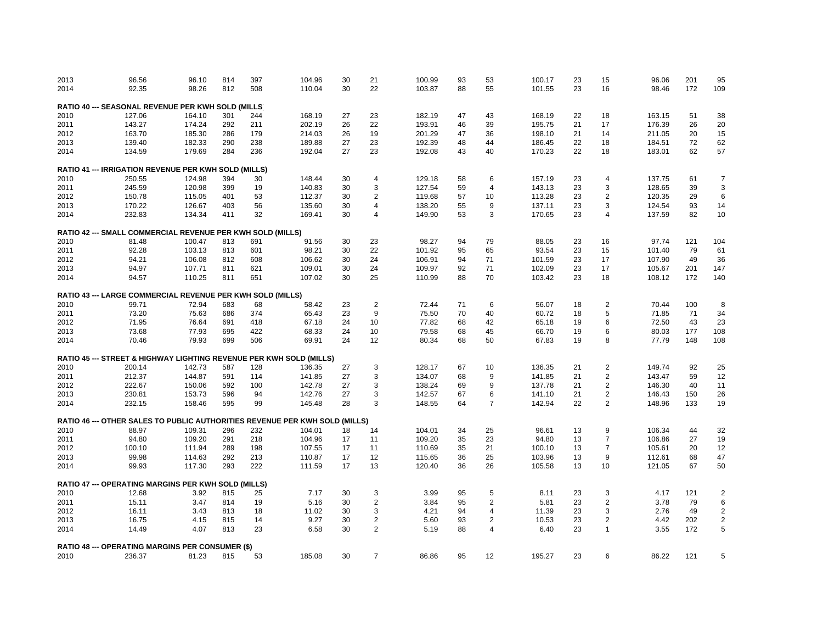| 2013 | 96.56                                                                              | 96.10  | 814 | 397 | 104.96 | 30 | 21             | 100.99 | 93 | 53             | 100.17 | 23 | 15                      | 96.06  | 201 | 95             |
|------|------------------------------------------------------------------------------------|--------|-----|-----|--------|----|----------------|--------|----|----------------|--------|----|-------------------------|--------|-----|----------------|
| 2014 | 92.35                                                                              | 98.26  | 812 | 508 | 110.04 | 30 | 22             | 103.87 | 88 | 55             | 101.55 | 23 | 16                      | 98.46  | 172 | 109            |
|      |                                                                                    |        |     |     |        |    |                |        |    |                |        |    |                         |        |     |                |
|      | <b>RATIO 40 --- SEASONAL REVENUE PER KWH SOLD (MILLS)</b>                          |        |     |     |        |    |                |        |    |                |        |    |                         |        |     |                |
| 2010 | 127.06                                                                             | 164.10 | 301 | 244 | 168.19 | 27 | 23             | 182.19 | 47 | 43             | 168.19 | 22 | 18                      | 163.15 | 51  | 38             |
| 2011 | 143.27                                                                             | 174.24 | 292 | 211 | 202.19 | 26 | 22             | 193.91 | 46 | 39             | 195.75 | 21 | 17                      | 176.39 | 26  | 20             |
| 2012 | 163.70                                                                             | 185.30 | 286 | 179 | 214.03 | 26 | 19             | 201.29 | 47 | 36             | 198.10 | 21 | 14                      | 211.05 | 20  | 15             |
| 2013 | 139.40                                                                             | 182.33 | 290 | 238 | 189.88 | 27 | 23             | 192.39 | 48 | 44             | 186.45 | 22 | 18                      | 184.51 | 72  | 62             |
| 2014 | 134.59                                                                             | 179.69 | 284 | 236 | 192.04 | 27 | 23             | 192.08 | 43 | 40             | 170.23 | 22 | 18                      | 183.01 | 62  | 57             |
|      | RATIO 41 --- IRRIGATION REVENUE PER KWH SOLD (MILLS)                               |        |     |     |        |    |                |        |    |                |        |    |                         |        |     |                |
| 2010 | 250.55                                                                             | 124.98 | 394 | 30  | 148.44 | 30 | $\overline{4}$ | 129.18 | 58 | 6              | 157.19 | 23 | $\overline{4}$          | 137.75 | 61  | $\overline{7}$ |
| 2011 | 245.59                                                                             | 120.98 | 399 | 19  | 140.83 | 30 | 3              | 127.54 | 59 | 4              | 143.13 | 23 | 3                       | 128.65 | 39  | $\sqrt{3}$     |
| 2012 | 150.78                                                                             | 115.05 | 401 | 53  | 112.37 | 30 | $\overline{2}$ | 119.68 | 57 | 10             | 113.28 | 23 | $\overline{2}$          | 120.35 | 29  | 6              |
| 2013 | 170.22                                                                             | 126.67 | 403 | 56  | 135.60 | 30 | 4              | 138.20 | 55 | 9              | 137.11 | 23 | 3                       | 124.54 | 93  | 14             |
| 2014 | 232.83                                                                             | 134.34 | 411 | 32  | 169.41 | 30 | 4              | 149.90 | 53 | 3              | 170.65 | 23 | 4                       | 137.59 | 82  | 10             |
|      | RATIO 42 --- SMALL COMMERCIAL REVENUE PER KWH SOLD (MILLS)                         |        |     |     |        |    |                |        |    |                |        |    |                         |        |     |                |
| 2010 | 81.48                                                                              | 100.47 | 813 | 691 | 91.56  | 30 | 23             | 98.27  | 94 | 79             | 88.05  | 23 | 16                      | 97.74  | 121 | 104            |
| 2011 | 92.28                                                                              | 103.13 | 813 | 601 | 98.21  | 30 | 22             | 101.92 | 95 | 65             | 93.54  | 23 | 15                      | 101.40 | 79  | 61             |
| 2012 | 94.21                                                                              | 106.08 | 812 | 608 | 106.62 | 30 | 24             | 106.91 | 94 | 71             | 101.59 | 23 | 17                      | 107.90 | 49  | 36             |
|      | 94.97                                                                              |        | 811 | 621 | 109.01 | 30 | 24             | 109.97 | 92 | 71             | 102.09 | 23 | 17                      | 105.67 | 201 | 147            |
| 2013 |                                                                                    | 107.71 |     |     |        |    |                |        |    |                |        |    |                         |        |     |                |
| 2014 | 94.57                                                                              | 110.25 | 811 | 651 | 107.02 | 30 | 25             | 110.99 | 88 | 70             | 103.42 | 23 | 18                      | 108.12 | 172 | 140            |
|      | RATIO 43 --- LARGE COMMERCIAL REVENUE PER KWH SOLD (MILLS)                         |        |     |     |        |    |                |        |    |                |        |    |                         |        |     |                |
| 2010 | 99.71                                                                              | 72.94  | 683 | 68  | 58.42  | 23 | $\overline{2}$ | 72.44  | 71 | 6              | 56.07  | 18 | $\overline{2}$          | 70.44  | 100 | 8              |
| 2011 | 73.20                                                                              | 75.63  | 686 | 374 | 65.43  | 23 | 9              | 75.50  | 70 | 40             | 60.72  | 18 | 5                       | 71.85  | 71  | 34             |
| 2012 | 71.95                                                                              | 76.64  | 691 | 418 | 67.18  | 24 | 10             | 77.82  | 68 | 42             | 65.18  | 19 | 6                       | 72.50  | 43  | 23             |
| 2013 | 73.68                                                                              | 77.93  | 695 | 422 | 68.33  | 24 | 10             | 79.58  | 68 | 45             | 66.70  | 19 | 6                       | 80.03  | 177 | 108            |
| 2014 | 70.46                                                                              | 79.93  | 699 | 506 | 69.91  | 24 | 12             | 80.34  | 68 | 50             | 67.83  | 19 | 8                       | 77.79  | 148 | 108            |
|      |                                                                                    |        |     |     |        |    |                |        |    |                |        |    |                         |        |     |                |
|      | RATIO 45 --- STREET & HIGHWAY LIGHTING REVENUE PER KWH SOLD (MILLS)                |        |     |     |        |    |                |        |    |                |        |    |                         |        |     |                |
| 2010 | 200.14                                                                             | 142.73 | 587 | 128 | 136.35 | 27 | 3              | 128.17 | 67 | 10             | 136.35 | 21 | $\overline{c}$          | 149.74 | 92  | 25             |
| 2011 | 212.37                                                                             | 144.87 | 591 | 114 | 141.85 | 27 | 3              | 134.07 | 68 | 9              | 141.85 | 21 | 2                       | 143.47 | 59  | 12             |
| 2012 | 222.67                                                                             | 150.06 | 592 | 100 | 142.78 | 27 | 3              | 138.24 | 69 | 9              | 137.78 | 21 | 2                       | 146.30 | 40  | 11             |
| 2013 | 230.81                                                                             | 153.73 | 596 | 94  | 142.76 | 27 | 3              | 142.57 | 67 | 6              | 141.10 | 21 | $\overline{\mathbf{c}}$ | 146.43 | 150 | 26             |
| 2014 | 232.15                                                                             | 158.46 | 595 | 99  | 145.48 | 28 | 3              | 148.55 | 64 | $\overline{7}$ | 142.94 | 22 | $\overline{2}$          | 148.96 | 133 | 19             |
|      | <b>RATIO 46 --- OTHER SALES TO PUBLIC AUTHORITIES REVENUE PER KWH SOLD (MILLS)</b> |        |     |     |        |    |                |        |    |                |        |    |                         |        |     |                |
| 2010 | 88.97                                                                              | 109.31 | 296 | 232 | 104.01 | 18 | 14             | 104.01 | 34 | 25             | 96.61  | 13 | 9                       | 106.34 | 44  | 32             |
| 2011 | 94.80                                                                              | 109.20 | 291 | 218 | 104.96 | 17 | 11             | 109.20 | 35 | 23             | 94.80  | 13 | $\overline{7}$          | 106.86 | 27  | 19             |
| 2012 | 100.10                                                                             | 111.94 | 289 | 198 | 107.55 | 17 | 11             | 110.69 | 35 | 21             | 100.10 | 13 | $\overline{7}$          | 105.61 | 20  | 12             |
| 2013 | 99.98                                                                              | 114.63 | 292 | 213 | 110.87 | 17 | 12             | 115.65 | 36 | 25             | 103.96 | 13 | 9                       | 112.61 | 68  | 47             |
| 2014 | 99.93                                                                              | 117.30 | 293 | 222 | 111.59 | 17 | 13             | 120.40 | 36 | 26             | 105.58 | 13 | 10                      | 121.05 | 67  | 50             |
|      |                                                                                    |        |     |     |        |    |                |        |    |                |        |    |                         |        |     |                |
|      | RATIO 47 --- OPERATING MARGINS PER KWH SOLD (MILLS)                                |        |     |     |        |    |                |        |    |                |        |    |                         |        |     |                |
| 2010 | 12.68                                                                              | 3.92   | 815 | 25  | 7.17   | 30 | 3              | 3.99   | 95 | 5              | 8.11   | 23 | 3                       | 4.17   | 121 | $\overline{2}$ |
| 2011 | 15.11                                                                              | 3.47   | 814 | 19  | 5.16   | 30 | $\overline{2}$ | 3.84   | 95 | $\overline{2}$ | 5.81   | 23 | $\overline{2}$          | 3.78   | 79  | 6              |
| 2012 | 16.11                                                                              | 3.43   | 813 | 18  | 11.02  | 30 | 3              | 4.21   | 94 | 4              | 11.39  | 23 | 3                       | 2.76   | 49  | $\overline{2}$ |
| 2013 | 16.75                                                                              | 4.15   | 815 | 14  | 9.27   | 30 | $\overline{c}$ | 5.60   | 93 | $\overline{c}$ | 10.53  | 23 | $\overline{2}$          | 4.42   | 202 | $\sqrt{2}$     |
| 2014 | 14.49                                                                              | 4.07   | 813 | 23  | 6.58   | 30 | $\overline{2}$ | 5.19   | 88 | $\overline{4}$ | 6.40   | 23 | $\overline{1}$          | 3.55   | 172 | 5              |
|      | <b>RATIO 48 --- OPERATING MARGINS PER CONSUMER (\$)</b>                            |        |     |     |        |    |                |        |    |                |        |    |                         |        |     |                |
| 2010 | 236.37                                                                             | 81.23  | 815 | 53  | 185.08 | 30 | $\overline{7}$ | 86.86  | 95 | 12             | 195.27 | 23 | 6                       | 86.22  | 121 | 5              |
|      |                                                                                    |        |     |     |        |    |                |        |    |                |        |    |                         |        |     |                |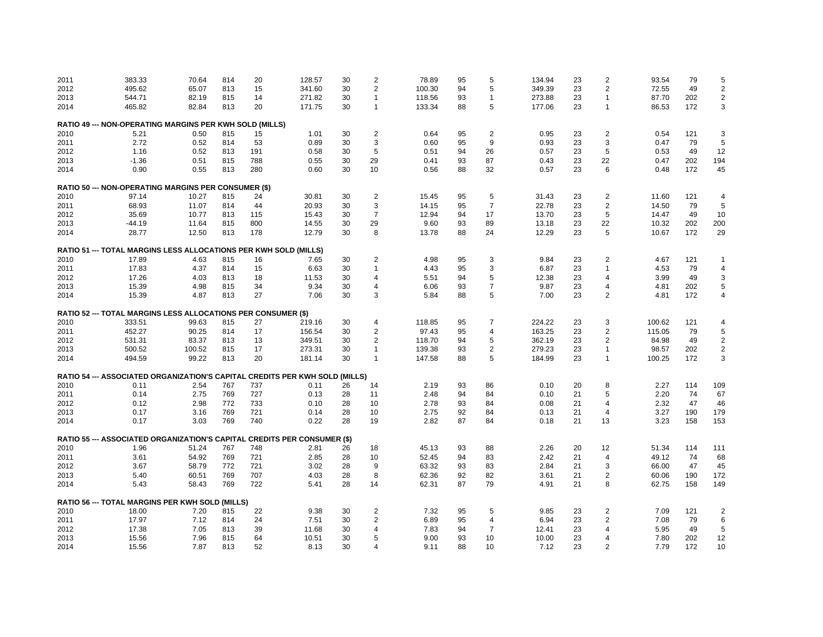| 2011 | 383.33                                                                      | 70.64  | 814 | 20  | 128.57 | 30 | $\overline{\mathbf{c}}$ | 78.89  | 95 | 5              | 134.94 | 23 | $\overline{c}$ | 93.54  | 79  | 5                       |
|------|-----------------------------------------------------------------------------|--------|-----|-----|--------|----|-------------------------|--------|----|----------------|--------|----|----------------|--------|-----|-------------------------|
| 2012 | 495.62                                                                      | 65.07  | 813 | 15  | 341.60 | 30 | $\overline{2}$          | 100.30 | 94 | 5              | 349.39 | 23 | $\overline{2}$ | 72.55  | 49  | $\overline{c}$          |
| 2013 | 544.71                                                                      | 82.19  | 815 | 14  | 271.82 | 30 | 1                       | 118.56 | 93 | 1              | 273.88 | 23 | -1             | 87.70  | 202 | $\overline{\mathbf{c}}$ |
| 2014 | 465.82                                                                      | 82.84  | 813 | 20  | 171.75 | 30 | $\mathbf{1}$            | 133.34 | 88 | 5              | 177.06 | 23 | $\mathbf{1}$   | 86.53  | 172 | 3                       |
|      | RATIO 49 --- NON-OPERATING MARGINS PER KWH SOLD (MILLS)                     |        |     |     |        |    |                         |        |    |                |        |    |                |        |     |                         |
| 2010 | 5.21                                                                        | 0.50   | 815 | 15  | 1.01   | 30 | 2                       | 0.64   | 95 | $\overline{2}$ | 0.95   | 23 | $\overline{2}$ | 0.54   | 121 | 3                       |
| 2011 | 2.72                                                                        | 0.52   | 814 | 53  | 0.89   | 30 | 3                       | 0.60   | 95 | 9              | 0.93   | 23 | 3              | 0.47   | 79  | 5                       |
| 2012 | 1.16                                                                        | 0.52   | 813 | 191 | 0.58   | 30 | 5                       | 0.51   | 94 | 26             | 0.57   | 23 | 5              | 0.53   | 49  | 12                      |
| 2013 | $-1.36$                                                                     | 0.51   | 815 | 788 | 0.55   | 30 | 29                      | 0.41   | 93 | 87             | 0.43   | 23 | 22             | 0.47   | 202 | 194                     |
|      |                                                                             |        |     |     |        |    |                         |        | 88 |                |        | 23 | 6              |        | 172 | 45                      |
| 2014 | 0.90                                                                        | 0.55   | 813 | 280 | 0.60   | 30 | 10                      | 0.56   |    | 32             | 0.57   |    |                | 0.48   |     |                         |
|      | <b>RATIO 50 --- NON-OPERATING MARGINS PER CONSUMER (\$)</b>                 |        |     |     |        |    |                         |        |    |                |        |    |                |        |     |                         |
| 2010 | 97.14                                                                       | 10.27  | 815 | 24  | 30.81  | 30 | $\overline{c}$          | 15.45  | 95 | 5              | 31.43  | 23 | $\overline{2}$ | 11.60  | 121 | $\overline{4}$          |
| 2011 | 68.93                                                                       | 11.07  | 814 | 44  | 20.93  | 30 | 3                       | 14.15  | 95 | $\overline{7}$ | 22.78  | 23 | $\overline{2}$ | 14.50  | 79  | 5                       |
| 2012 | 35.69                                                                       | 10.77  | 813 | 115 | 15.43  | 30 | $\overline{7}$          | 12.94  | 94 | 17             | 13.70  | 23 | 5              | 14.47  | 49  | 10                      |
| 2013 | $-44.19$                                                                    | 11.64  | 815 | 800 | 14.55  | 30 | 29                      | 9.60   | 93 | 89             | 13.18  | 23 | 22             | 10.32  | 202 | 200                     |
| 2014 | 28.77                                                                       | 12.50  | 813 | 178 | 12.79  | 30 | 8                       | 13.78  | 88 | 24             | 12.29  | 23 | 5              | 10.67  | 172 | 29                      |
|      | RATIO 51 --- TOTAL MARGINS LESS ALLOCATIONS PER KWH SOLD (MILLS)            |        |     |     |        |    |                         |        |    |                |        |    |                |        |     |                         |
| 2010 | 17.89                                                                       | 4.63   | 815 | 16  | 7.65   | 30 | $\overline{2}$          | 4.98   | 95 | 3              | 9.84   | 23 | 2              | 4.67   | 121 | 1                       |
| 2011 | 17.83                                                                       | 4.37   | 814 | 15  | 6.63   | 30 | 1                       | 4.43   | 95 | 3              | 6.87   | 23 | 1              | 4.53   | 79  | 4                       |
| 2012 | 17.26                                                                       | 4.03   | 813 | 18  | 11.53  | 30 | 4                       | 5.51   | 94 | 5              | 12.38  | 23 | $\overline{4}$ | 3.99   | 49  | 3                       |
| 2013 | 15.39                                                                       | 4.98   | 815 | 34  | 9.34   | 30 | 4                       | 6.06   | 93 | $\overline{7}$ | 9.87   | 23 | $\overline{4}$ | 4.81   | 202 | 5                       |
| 2014 | 15.39                                                                       | 4.87   | 813 | 27  | 7.06   | 30 | 3                       | 5.84   | 88 | 5              | 7.00   | 23 | $\overline{2}$ | 4.81   | 172 | 4                       |
|      | RATIO 52 --- TOTAL MARGINS LESS ALLOCATIONS PER CONSUMER (\$)               |        |     |     |        |    |                         |        |    |                |        |    |                |        |     |                         |
|      |                                                                             |        |     |     |        |    |                         |        |    |                |        |    |                |        |     |                         |
| 2010 | 333.51                                                                      | 99.63  | 815 | 27  | 219.16 | 30 | 4                       | 118.85 | 95 | $\overline{7}$ | 224.22 | 23 | 3              | 100.62 | 121 | 4                       |
| 2011 | 452.27                                                                      | 90.25  | 814 | 17  | 156.54 | 30 | $\overline{2}$          | 97.43  | 95 | 4              | 163.25 | 23 | $\overline{2}$ | 115.05 | 79  | 5                       |
| 2012 | 531.31                                                                      | 83.37  | 813 | 13  | 349.51 | 30 | $\overline{2}$          | 118.70 | 94 | 5              | 362.19 | 23 | $\overline{2}$ | 84.98  | 49  | $\overline{\mathbf{c}}$ |
| 2013 | 500.52                                                                      | 100.52 | 815 | 17  | 273.31 | 30 | 1                       | 139.38 | 93 | 2              | 279.23 | 23 | $\mathbf{1}$   | 98.57  | 202 | $\overline{c}$          |
| 2014 | 494.59                                                                      | 99.22  | 813 | 20  | 181.14 | 30 | 1                       | 147.58 | 88 | 5              | 184.99 | 23 | $\mathbf{1}$   | 100.25 | 172 | 3                       |
|      | RATIO 54 --- ASSOCIATED ORGANIZATION'S CAPITAL CREDITS PER KWH SOLD (MILLS) |        |     |     |        |    |                         |        |    |                |        |    |                |        |     |                         |
| 2010 | 0.11                                                                        | 2.54   | 767 | 737 | 0.11   | 26 | 14                      | 2.19   | 93 | 86             | 0.10   | 20 | 8              | 2.27   | 114 | 109                     |
| 2011 | 0.14                                                                        | 2.75   | 769 | 727 | 0.13   | 28 | 11                      | 2.48   | 94 | 84             | 0.10   | 21 | 5              | 2.20   | 74  | 67                      |
| 2012 | 0.12                                                                        | 2.98   | 772 | 733 | 0.10   | 28 | 10                      | 2.78   | 93 | 84             | 0.08   | 21 | $\overline{4}$ | 2.32   | 47  | 46                      |
| 2013 | 0.17                                                                        | 3.16   | 769 | 721 | 0.14   | 28 | 10                      | 2.75   | 92 | 84             | 0.13   | 21 | $\overline{4}$ | 3.27   | 190 | 179                     |
| 2014 | 0.17                                                                        | 3.03   | 769 | 740 | 0.22   | 28 | 19                      | 2.82   | 87 | 84             | 0.18   | 21 | 13             | 3.23   | 158 | 153                     |
|      | RATIO 55 --- ASSOCIATED ORGANIZATION'S CAPITAL CREDITS PER CONSUMER (\$)    |        |     |     |        |    |                         |        |    |                |        |    |                |        |     |                         |
| 2010 | 1.96                                                                        | 51.24  | 767 | 748 | 2.81   | 26 | 18                      | 45.13  | 93 | 88             | 2.26   | 20 | 12             | 51.34  | 114 | 111                     |
| 2011 | 3.61                                                                        | 54.92  | 769 | 721 | 2.85   | 28 | 10                      | 52.45  | 94 | 83             | 2.42   | 21 | $\overline{4}$ | 49.12  | 74  | 68                      |
| 2012 |                                                                             | 58.79  | 772 | 721 | 3.02   | 28 | 9                       | 63.32  | 93 |                |        | 21 | 3              | 66.00  | 47  | 45                      |
|      | 3.67                                                                        |        |     |     |        |    |                         |        |    | 83             | 2.84   |    |                |        |     |                         |
| 2013 | 5.40                                                                        | 60.51  | 769 | 707 | 4.03   | 28 | 8                       | 62.36  | 92 | 82             | 3.61   | 21 | $\overline{2}$ | 60.06  | 190 | 172                     |
| 2014 | 5.43                                                                        | 58.43  | 769 | 722 | 5.41   | 28 | 14                      | 62.31  | 87 | 79             | 4.91   | 21 | 8              | 62.75  | 158 | 149                     |
|      | <b>RATIO 56 --- TOTAL MARGINS PER KWH SOLD (MILLS)</b>                      |        |     |     |        |    |                         |        |    |                |        |    |                |        |     |                         |
| 2010 | 18.00                                                                       | 7.20   | 815 | 22  | 9.38   | 30 | $\overline{2}$          | 7.32   | 95 | 5              | 9.85   | 23 | 2              | 7.09   | 121 | 2                       |
| 2011 | 17.97                                                                       | 7.12   | 814 | 24  | 7.51   | 30 | $\overline{2}$          | 6.89   | 95 | 4              | 6.94   | 23 | $\overline{2}$ | 7.08   | 79  | 6                       |
| 2012 | 17.38                                                                       | 7.05   | 813 | 39  | 11.68  | 30 | 4                       | 7.83   | 94 | 7              | 12.41  | 23 | $\overline{4}$ | 5.95   | 49  | 5                       |
| 2013 | 15.56                                                                       | 7.96   | 815 | 64  | 10.51  | 30 | 5                       | 9.00   | 93 | 10             | 10.00  | 23 | $\overline{4}$ | 7.80   | 202 | 12                      |
| 2014 | 15.56                                                                       | 7.87   | 813 | 52  | 8.13   | 30 | 4                       | 9.11   | 88 | 10             | 7.12   | 23 | $\overline{2}$ | 7.79   | 172 | 10                      |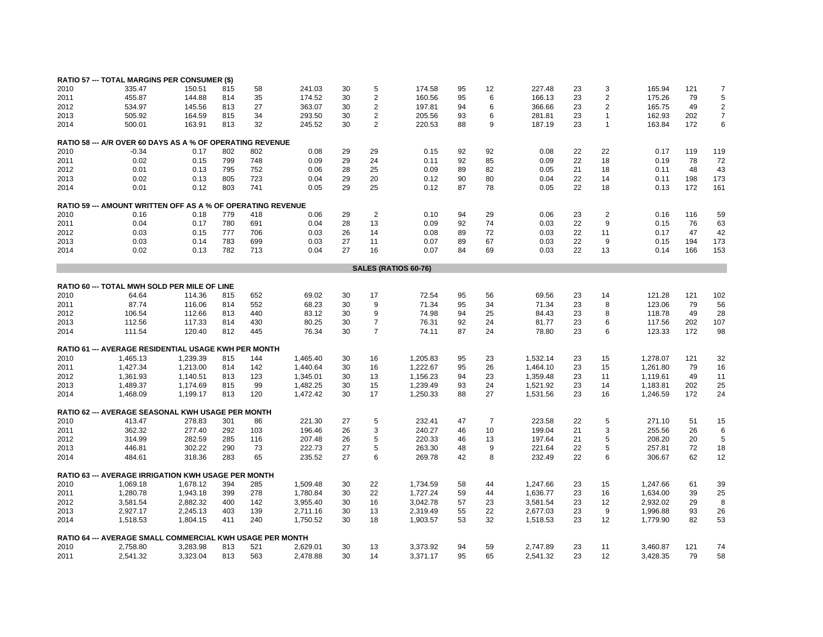|              | <b>RATIO 57 --- TOTAL MARGINS PER CONSUMER (\$)</b>                        |              |            |            |              |          |                |                      |          |                |              |          |                |              |            |                |
|--------------|----------------------------------------------------------------------------|--------------|------------|------------|--------------|----------|----------------|----------------------|----------|----------------|--------------|----------|----------------|--------------|------------|----------------|
| 2010         | 335.47                                                                     | 150.51       | 815        | 58         | 241.03       | 30       | 5              | 174.58               | 95       | 12             | 227.48       | 23       | 3              | 165.94       | 121        | $\overline{7}$ |
|              |                                                                            |              |            |            |              |          | $\sqrt{2}$     |                      | 95       | 6              | 166.13       |          | $\overline{2}$ |              | 79         | 5              |
| 2011         | 455.87                                                                     | 144.88       | 814        | 35         | 174.52       | 30       |                | 160.56               |          |                |              | 23       |                | 175.26       |            |                |
| 2012         | 534.97                                                                     | 145.56       | 813        | 27         | 363.07       | 30       | $\overline{2}$ | 197.81               | 94       | 6              | 366.66       | 23       | 2              | 165.75       | 49         | $\overline{2}$ |
| 2013         | 505.92                                                                     | 164.59       | 815        | 34         | 293.50       | 30       | $\overline{2}$ | 205.56               | 93       | 6              | 281.81       | 23       | 1              | 162.93       | 202        | $\overline{7}$ |
| 2014         | 500.01                                                                     | 163.91       | 813        | 32         | 245.52       | 30       | $\overline{2}$ | 220.53               | 88       | 9              | 187.19       | 23       | 1              | 163.84       | 172        | 6              |
|              | <b>RATIO 58 --- A/R OVER 60 DAYS AS A % OF OPERATING REVENUE</b>           |              |            |            |              |          |                |                      |          |                |              |          |                |              |            |                |
| 2010         | $-0.34$                                                                    | 0.17         | 802        | 802        | 0.08         | 29       | 29             | 0.15                 | 92       | 92             | 0.08         | 22       | 22             | 0.17         | 119        | 119            |
| 2011         | 0.02                                                                       | 0.15         | 799        | 748        | 0.09         | 29       | 24             | 0.11                 | 92       | 85             | 0.09         | 22       | 18             | 0.19         | 78         | 72             |
| 2012         | 0.01                                                                       | 0.13         | 795        | 752        | 0.06         | 28       | 25             | 0.09                 | 89       | 82             | 0.05         | 21       | 18             | 0.11         | 48         | 43             |
| 2013         | 0.02                                                                       | 0.13         | 805        | 723        | 0.04         | 29       | 20             | 0.12                 | 90       | 80             | 0.04         | 22       | 14             | 0.11         | 198        | 173            |
| 2014         | 0.01                                                                       | 0.12         | 803        | 741        | 0.05         | 29       | 25             | 0.12                 | 87       | 78             | 0.05         | 22       | 18             | 0.13         | 172        | 161            |
|              |                                                                            |              |            |            |              |          |                |                      |          |                |              |          |                |              |            |                |
| 2010         | <b>RATIO 59 --- AMOUNT WRITTEN OFF AS A % OF OPERATING REVENUE</b><br>0.16 | 0.18         | 779        | 418        | 0.06         | 29       | $\overline{2}$ | 0.10                 | 94       | 29             | 0.06         | 23       | $\overline{2}$ | 0.16         | 116        | 59             |
| 2011         | 0.04                                                                       | 0.17         | 780        | 691        | 0.04         | 28       | 13             | 0.09                 | 92       | 74             | 0.03         | 22       | 9              | 0.15         | 76         | 63             |
|              |                                                                            |              |            | 706        |              | 26       |                |                      | 89       | 72             |              | 22       |                |              | 47         |                |
| 2012         | 0.03                                                                       | 0.15         | 777        |            | 0.03         |          | 14             | 0.08                 |          |                | 0.03         |          | 11             | 0.17         |            | 42             |
| 2013<br>2014 | 0.03<br>0.02                                                               | 0.14<br>0.13 | 783<br>782 | 699<br>713 | 0.03<br>0.04 | 27<br>27 | 11<br>16       | 0.07<br>0.07         | 89<br>84 | 67<br>69       | 0.03<br>0.03 | 22<br>22 | 9<br>13        | 0.15<br>0.14 | 194<br>166 | 173<br>153     |
|              |                                                                            |              |            |            |              |          |                |                      |          |                |              |          |                |              |            |                |
|              |                                                                            |              |            |            |              |          |                | SALES (RATIOS 60-76) |          |                |              |          |                |              |            |                |
|              | <b>RATIO 60 --- TOTAL MWH SOLD PER MILE OF LINE</b>                        |              |            |            |              |          |                |                      |          |                |              |          |                |              |            |                |
| 2010         | 64.64                                                                      | 114.36       | 815        | 652        | 69.02        | 30       | 17             | 72.54                | 95       | 56             | 69.56        | 23       | 14             | 121.28       | 121        | 102            |
| 2011         | 87.74                                                                      | 116.06       | 814        | 552        | 68.23        | 30       | 9              | 71.34                | 95       | 34             | 71.34        | 23       | 8              | 123.06       | 79         | 56             |
| 2012         | 106.54                                                                     | 112.66       | 813        | 440        | 83.12        | 30       | 9              | 74.98                | 94       | 25             | 84.43        | 23       | 8              | 118.78       | 49         | 28             |
| 2013         | 112.56                                                                     | 117.33       | 814        | 430        | 80.25        | 30       | $\overline{7}$ | 76.31                | 92       | 24             | 81.77        | 23       | 6              | 117.56       | 202        | 107            |
| 2014         | 111.54                                                                     | 120.40       | 812        | 445        | 76.34        | 30       | $\overline{7}$ | 74.11                | 87       | 24             | 78.80        | 23       | 6              | 123.33       | 172        | 98             |
|              |                                                                            |              |            |            |              |          |                |                      |          |                |              |          |                |              |            |                |
|              | RATIO 61 --- AVERAGE RESIDENTIAL USAGE KWH PER MONTH                       |              |            |            |              |          |                |                      |          |                |              |          |                |              |            |                |
| 2010         | 1,465.13                                                                   | 1,239.39     | 815        | 144        | 1,465.40     | 30       | 16             | 1,205.83             | 95       | 23             | 1,532.14     | 23       | 15             | 1,278.07     | 121        | 32             |
| 2011         | 1,427.34                                                                   | 1,213.00     | 814        | 142        | 1,440.64     | 30       | 16             | 1,222.67             | 95       | 26             | 1,464.10     | 23       | 15             | 1,261.80     | 79         | 16             |
| 2012         | 1,361.93                                                                   | 1,140.51     | 813        | 123        | 1,345.01     | 30       | 13             | 1,156.23             | 94       | 23             | 1,359.48     | 23       | 11             | 1,119.61     | 49         | 11             |
| 2013         | 1,489.37                                                                   | 1,174.69     | 815        | 99         | 1,482.25     | 30       | 15             | 1,239.49             | 93       | 24             | 1,521.92     | 23       | 14             | 1,183.81     | 202        | 25             |
| 2014         | 1,468.09                                                                   | 1,199.17     | 813        | 120        | 1,472.42     | 30       | 17             | 1,250.33             | 88       | 27             | 1,531.56     | 23       | 16             | 1,246.59     | 172        | 24             |
|              | <b>RATIO 62 --- AVERAGE SEASONAL KWH USAGE PER MONTH</b>                   |              |            |            |              |          |                |                      |          |                |              |          |                |              |            |                |
| 2010         | 413.47                                                                     | 278.83       | 301        | 86         | 221.30       | 27       | 5              | 232.41               | 47       | $\overline{7}$ | 223.58       | 22       | 5              | 271.10       | 51         | 15             |
| 2011         | 362.32                                                                     | 277.40       | 292        | 103        | 196.46       | 26       | 3              | 240.27               | 46       | 10             | 199.04       | 21       | 3              | 255.56       | 26         | 6              |
| 2012         | 314.99                                                                     | 282.59       | 285        | 116        | 207.48       | 26       | 5              | 220.33               | 46       | 13             | 197.64       | 21       | 5              | 208.20       | 20         | 5              |
| 2013         | 446.81                                                                     | 302.22       | 290        | 73         | 222.73       | 27       | 5              | 263.30               | 48       | 9              | 221.64       | 22       | 5              | 257.81       | 72         | 18             |
| 2014         | 484.61                                                                     | 318.36       | 283        | 65         | 235.52       | 27       | 6              | 269.78               | 42       | 8              | 232.49       | 22       | 6              | 306.67       | 62         | 12             |
|              |                                                                            |              |            |            |              |          |                |                      |          |                |              |          |                |              |            |                |
|              | <b>RATIO 63 --- AVERAGE IRRIGATION KWH USAGE PER MONTH</b>                 |              |            |            |              |          |                |                      |          |                |              |          |                |              |            |                |
| 2010         | 1,069.18                                                                   | 1,678.12     | 394        | 285        | 1,509.48     | 30       | 22             | 1,734.59             | 58       | 44             | 1,247.66     | 23       | 15             | 1,247.66     | 61         | 39             |
| 2011         | 1,280.78                                                                   | 1,943.18     | 399        | 278        | 1,780.84     | 30       | 22             | 1,727.24             | 59       | 44             | 1,636.77     | 23       | 16             | 1,634.00     | 39         | 25             |
| 2012         | 3,581.54                                                                   | 2,882.32     | 400        | 142        | 3,955.40     | 30       | 16             | 3,042.78             | 57       | 23             | 3,581.54     | 23       | 12             | 2,932.02     | 29         | 8              |
| 2013         | 2,927.17                                                                   | 2,245.13     | 403        | 139        | 2,711.16     | 30       | 13             | 2,319.49             | 55       | 22             | 2,677.03     | 23       | 9              | 1,996.88     | 93         | 26             |
| 2014         | 1,518.53                                                                   | 1,804.15     | 411        | 240        | 1,750.52     | 30       | 18             | 1,903.57             | 53       | 32             | 1,518.53     | 23       | 12             | 1,779.90     | 82         | 53             |
|              | RATIO 64 --- AVERAGE SMALL COMMERCIAL KWH USAGE PER MONTH                  |              |            |            |              |          |                |                      |          |                |              |          |                |              |            |                |
| 2010         | 2,758.80                                                                   | 3,283.98     | 813        | 521        | 2,629.01     | 30       | 13             | 3,373.92             | 94       | 59             | 2,747.89     | 23       | 11             | 3,460.87     | 121        | 74             |
| 2011         | 2,541.32                                                                   | 3,323.04     | 813        | 563        | 2,478.88     | 30       | 14             | 3,371.17             | 95       | 65             | 2,541.32     | 23       | 12             | 3,428.35     | 79         | 58             |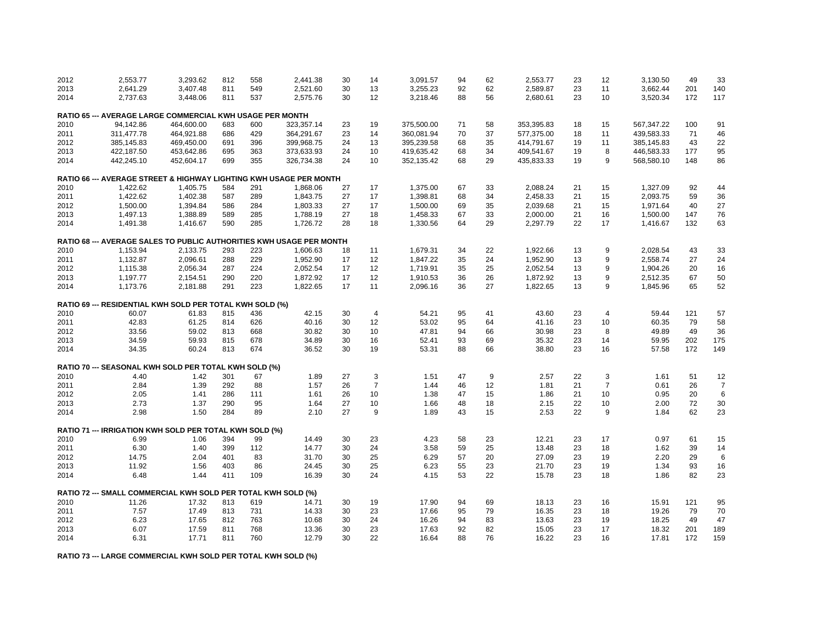| 2012 | 2,553.77                                                             | 3,293.62   | 812        | 558 | 2,441.38   | 30 | 14             | 3,091.57   | 94 | 62 | 2,553.77   | 23 | 12             | 3,130.50   | 49  | 33             |
|------|----------------------------------------------------------------------|------------|------------|-----|------------|----|----------------|------------|----|----|------------|----|----------------|------------|-----|----------------|
| 2013 | 2,641.29                                                             | 3,407.48   | 811        | 549 | 2,521.60   | 30 | 13             | 3,255.23   | 92 | 62 | 2,589.87   | 23 | 11             | 3,662.44   | 201 | 140            |
| 2014 | 2,737.63                                                             | 3,448.06   | 811        | 537 | 2,575.76   | 30 | 12             | 3,218.46   | 88 | 56 | 2,680.61   | 23 | 10             | 3,520.34   | 172 | 117            |
|      | RATIO 65 --- AVERAGE LARGE COMMERCIAL KWH USAGE PER MONTH            |            |            |     |            |    |                |            |    |    |            |    |                |            |     |                |
| 2010 | 94,142.86                                                            | 464,600.00 | 683        | 600 | 323,357.14 | 23 | 19             | 375,500.00 | 71 | 58 | 353,395.83 | 18 | 15             | 567,347.22 | 100 | 91             |
| 2011 | 311,477.78                                                           | 464,921.88 | 686        | 429 | 364,291.67 | 23 | 14             | 360,081.94 | 70 | 37 | 577,375.00 | 18 | 11             | 439,583.33 | 71  | 46             |
| 2012 | 385,145.83                                                           | 469,450.00 | 691        | 396 | 399,968.75 | 24 | 13             | 395,239.58 | 68 | 35 | 414,791.67 | 19 | 11             | 385,145.83 | 43  | 22             |
| 2013 | 422,187.50                                                           | 453,642.86 | 695        | 363 | 373,633.93 | 24 | 10             | 419,635.42 | 68 | 34 | 409,541.67 | 19 | 8              | 446,583.33 | 177 | 95             |
| 2014 | 442,245.10                                                           | 452,604.17 | 699        | 355 | 326,734.38 | 24 | 10             | 352,135.42 | 68 | 29 | 435,833.33 | 19 | 9              | 568,580.10 | 148 | 86             |
|      | RATIO 66 --- AVERAGE STREET & HIGHWAY LIGHTING KWH USAGE PER MONTH   |            |            |     |            |    |                |            |    |    |            |    |                |            |     |                |
| 2010 | 1,422.62                                                             | 1,405.75   | 584        | 291 | 1,868.06   | 27 | 17             | 1,375.00   | 67 | 33 | 2,088.24   | 21 | 15             | 1,327.09   | 92  | 44             |
| 2011 | 1,422.62                                                             | 1,402.38   | 587        | 289 | 1,843.75   | 27 | 17             | 1,398.81   | 68 | 34 | 2,458.33   | 21 | 15             | 2,093.75   | 59  | 36             |
| 2012 | 1,500.00                                                             | 1,394.84   | 586        | 284 | 1,803.33   | 27 | 17             | 1,500.00   | 69 | 35 | 2,039.68   | 21 | 15             | 1,971.64   | 40  | 27             |
| 2013 | 1,497.13                                                             | 1,388.89   | 589        | 285 | 1,788.19   | 27 | 18             | 1,458.33   | 67 | 33 | 2,000.00   | 21 | 16             | 1,500.00   | 147 | 76             |
| 2014 | 1,491.38                                                             | 1,416.67   | 590        | 285 | 1,726.72   | 28 | 18             | 1,330.56   | 64 | 29 | 2,297.79   | 22 | 17             | 1,416.67   | 132 | 63             |
|      | RATIO 68 --- AVERAGE SALES TO PUBLIC AUTHORITIES KWH USAGE PER MONTH |            |            |     |            |    |                |            |    |    |            |    |                |            |     |                |
| 2010 | 1,153.94                                                             | 2,133.75   | 293        | 223 | 1,606.63   | 18 | 11             | 1,679.31   | 34 | 22 | 1,922.66   | 13 | 9              | 2,028.54   | 43  | 33             |
| 2011 | 1,132.87                                                             | 2,096.61   | 288        | 229 | 1,952.90   | 17 | 12             | 1,847.22   | 35 | 24 | 1,952.90   | 13 | 9              | 2,558.74   | 27  | 24             |
| 2012 | 1,115.38                                                             | 2,056.34   | 287        | 224 | 2,052.54   | 17 | 12             | 1,719.91   | 35 | 25 | 2,052.54   | 13 | 9              | 1,904.26   | 20  | 16             |
|      |                                                                      |            |            |     |            | 17 |                |            | 36 |    |            |    | 9              |            |     |                |
| 2013 | 1,197.77                                                             | 2,154.51   | 290<br>291 | 220 | 1,872.92   |    | 12             | 1,910.53   | 36 | 26 | 1,872.92   | 13 | 9              | 2,512.35   | 67  | 50             |
| 2014 | 1,173.76                                                             | 2,181.88   |            | 223 | 1,822.65   | 17 | 11             | 2,096.16   |    | 27 | 1,822.65   | 13 |                | 1,845.96   | 65  | 52             |
|      | RATIO 69 --- RESIDENTIAL KWH SOLD PER TOTAL KWH SOLD (%)             |            |            |     |            |    |                |            |    |    |            |    |                |            |     |                |
| 2010 | 60.07                                                                | 61.83      | 815        | 436 | 42.15      | 30 | $\overline{4}$ | 54.21      | 95 | 41 | 43.60      | 23 | $\overline{4}$ | 59.44      | 121 | 57             |
| 2011 | 42.83                                                                | 61.25      | 814        | 626 | 40.16      | 30 | 12             | 53.02      | 95 | 64 | 41.16      | 23 | 10             | 60.35      | 79  | 58             |
| 2012 | 33.56                                                                | 59.02      | 813        | 668 | 30.82      | 30 | 10             | 47.81      | 94 | 66 | 30.98      | 23 | 8              | 49.89      | 49  | 36             |
| 2013 | 34.59                                                                | 59.93      | 815        | 678 | 34.89      | 30 | 16             | 52.41      | 93 | 69 | 35.32      | 23 | 14             | 59.95      | 202 | 175            |
| 2014 | 34.35                                                                | 60.24      | 813        | 674 | 36.52      | 30 | 19             | 53.31      | 88 | 66 | 38.80      | 23 | 16             | 57.58      | 172 | 149            |
|      | RATIO 70 --- SEASONAL KWH SOLD PER TOTAL KWH SOLD (%)                |            |            |     |            |    |                |            |    |    |            |    |                |            |     |                |
| 2010 | 4.40                                                                 | 1.42       | 301        | 67  | 1.89       | 27 | 3              | 1.51       | 47 | 9  | 2.57       | 22 | 3              | 1.61       | 51  | 12             |
| 2011 | 2.84                                                                 | 1.39       | 292        | 88  | 1.57       | 26 | $\overline{7}$ | 1.44       | 46 | 12 | 1.81       | 21 | $\overline{7}$ | 0.61       | 26  | $\overline{7}$ |
| 2012 | 2.05                                                                 | 1.41       | 286        | 111 | 1.61       | 26 | 10             | 1.38       | 47 | 15 | 1.86       | 21 | 10             | 0.95       | 20  | 6              |
| 2013 | 2.73                                                                 | 1.37       | 290        | 95  | 1.64       | 27 | 10             | 1.66       | 48 | 18 | 2.15       | 22 | 10             | 2.00       | 72  | 30             |
| 2014 | 2.98                                                                 | 1.50       | 284        | 89  | 2.10       | 27 | 9              | 1.89       | 43 | 15 | 2.53       | 22 | 9              | 1.84       | 62  | 23             |
|      | RATIO 71 --- IRRIGATION KWH SOLD PER TOTAL KWH SOLD (%)              |            |            |     |            |    |                |            |    |    |            |    |                |            |     |                |
| 2010 | 6.99                                                                 | 1.06       | 394        | 99  | 14.49      | 30 | 23             | 4.23       | 58 | 23 | 12.21      | 23 | 17             | 0.97       | 61  | 15             |
| 2011 | 6.30                                                                 | 1.40       | 399        | 112 | 14.77      | 30 | 24             | 3.58       | 59 | 25 | 13.48      | 23 | 18             | 1.62       | 39  | 14             |
| 2012 | 14.75                                                                | 2.04       | 401        | 83  | 31.70      | 30 | 25             | 6.29       | 57 | 20 | 27.09      | 23 | 19             | 2.20       | 29  | 6              |
| 2013 | 11.92                                                                | 1.56       | 403        | 86  | 24.45      | 30 | 25             | 6.23       | 55 | 23 | 21.70      | 23 | 19             | 1.34       | 93  | 16             |
| 2014 | 6.48                                                                 | 1.44       | 411        | 109 | 16.39      | 30 | 24             | 4.15       | 53 | 22 | 15.78      | 23 | 18             | 1.86       | 82  | 23             |
|      | RATIO 72 --- SMALL COMMERCIAL KWH SOLD PER TOTAL KWH SOLD (%)        |            |            |     |            |    |                |            |    |    |            |    |                |            |     |                |
| 2010 | 11.26                                                                | 17.32      | 813        | 619 | 14.71      | 30 | 19             | 17.90      | 94 | 69 | 18.13      | 23 | 16             | 15.91      | 121 | 95             |
| 2011 | 7.57                                                                 | 17.49      | 813        | 731 | 14.33      | 30 | 23             | 17.66      | 95 | 79 | 16.35      | 23 | 18             | 19.26      | 79  | 70             |
| 2012 | 6.23                                                                 | 17.65      | 812        | 763 | 10.68      | 30 | 24             | 16.26      | 94 | 83 | 13.63      | 23 | 19             | 18.25      | 49  | 47             |
| 2013 | 6.07                                                                 | 17.59      | 811        | 768 | 13.36      | 30 | 23             | 17.63      | 92 | 82 | 15.05      | 23 | 17             | 18.32      | 201 | 189            |
| 2014 | 6.31                                                                 | 17.71      | 811        | 760 | 12.79      | 30 | 22             | 16.64      | 88 | 76 | 16.22      | 23 | 16             | 17.81      | 172 | 159            |
|      |                                                                      |            |            |     |            |    |                |            |    |    |            |    |                |            |     |                |

**RATIO 73 --- LARGE COMMERCIAL KWH SOLD PER TOTAL KWH SOLD (%)**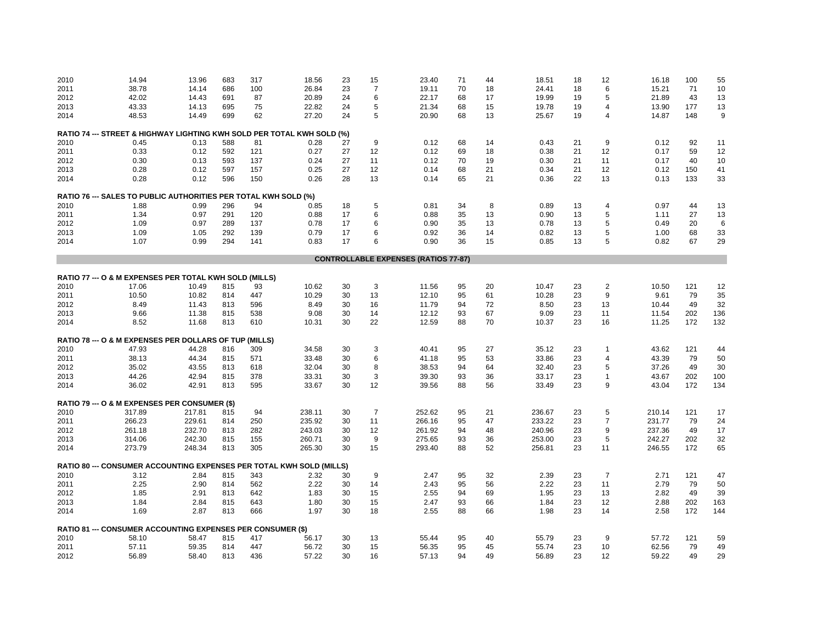| 2010         | 14.94                                                                  | 13.96        | 683        | 317        | 18.56        | 23       | 15             | 23.40                                       | 71       | 44       | 18.51        | 18       | 12             | 16.18        | 100      | 55       |
|--------------|------------------------------------------------------------------------|--------------|------------|------------|--------------|----------|----------------|---------------------------------------------|----------|----------|--------------|----------|----------------|--------------|----------|----------|
| 2011         | 38.78                                                                  | 14.14        | 686        | 100        | 26.84        | 23       | $\overline{7}$ | 19.11                                       | 70       | 18       | 24.41        | 18       | 6              | 15.21        | 71       | 10       |
| 2012         | 42.02                                                                  | 14.43        | 691        | 87         | 20.89        | 24       | 6              | 22.17                                       | 68       | 17       | 19.99        | 19       | 5              | 21.89        | 43       | 13       |
| 2013         | 43.33                                                                  | 14.13        | 695        | 75         | 22.82        | 24       | 5              | 21.34                                       | 68       | 15       | 19.78        | 19       | 4              | 13.90        | 177      | 13       |
| 2014         | 48.53                                                                  | 14.49        | 699        | 62         | 27.20        | 24       | 5              | 20.90                                       | 68       | 13       | 25.67        | 19       | 4              | 14.87        | 148      | 9        |
|              | RATIO 74 --- STREET & HIGHWAY LIGHTING KWH SOLD PER TOTAL KWH SOLD (%) |              |            |            |              |          |                |                                             |          |          |              |          |                |              |          |          |
| 2010         | 0.45                                                                   | 0.13         | 588        | 81         | 0.28         | 27       | 9              | 0.12                                        | 68       | 14       | 0.43         | 21       | 9              | 0.12         | 92       | 11       |
| 2011         | 0.33                                                                   | 0.12         | 592        | 121        | 0.27         | 27       | 12             | 0.12                                        | 69       | 18       | 0.38         | 21       | 12             | 0.17         | 59       | 12       |
| 2012         | 0.30                                                                   | 0.13         | 593        | 137        | 0.24         | 27       | 11             | 0.12                                        | 70       | 19       | 0.30         | 21       | 11             | 0.17         | 40       | 10       |
| 2013         | 0.28                                                                   | 0.12         | 597        | 157        | 0.25         | 27       | 12             | 0.14                                        | 68       | 21       | 0.34         | 21       | 12             | 0.12         | 150      | 41       |
| 2014         | 0.28                                                                   | 0.12         | 596        | 150        | 0.26         | 28       | 13             | 0.14                                        | 65       | 21       | 0.36         | 22       | 13             | 0.13         | 133      | 33       |
|              | RATIO 76 --- SALES TO PUBLIC AUTHORITIES PER TOTAL KWH SOLD (%)        |              |            |            |              |          |                |                                             |          |          |              |          |                |              |          |          |
| 2010         | 1.88                                                                   | 0.99         | 296        | 94         | 0.85         | 18       | 5              | 0.81                                        | 34       | 8        | 0.89         | 13       | $\overline{4}$ | 0.97         | 44       | 13       |
| 2011         | 1.34                                                                   | 0.97         | 291        | 120        | 0.88         | 17       | 6              | 0.88                                        | 35       | 13       | 0.90         | 13       | 5              | 1.11         | 27       | 13       |
|              |                                                                        |              | 289        |            |              | 17       | 6              |                                             |          |          |              |          | 5              |              | 20       |          |
| 2012         | 1.09                                                                   | 0.97         |            | 137        | 0.78         |          |                | 0.90                                        | 35<br>36 | 13       | 0.78         | 13       |                | 0.49         |          | 6        |
| 2013<br>2014 | 1.09<br>1.07                                                           | 1.05<br>0.99 | 292<br>294 | 139<br>141 | 0.79<br>0.83 | 17<br>17 | 6<br>6         | 0.92<br>0.90                                | 36       | 14<br>15 | 0.82<br>0.85 | 13<br>13 | 5<br>5         | 1.00<br>0.82 | 68<br>67 | 33<br>29 |
|              |                                                                        |              |            |            |              |          |                |                                             |          |          |              |          |                |              |          |          |
|              |                                                                        |              |            |            |              |          |                | <b>CONTROLLABLE EXPENSES (RATIOS 77-87)</b> |          |          |              |          |                |              |          |          |
|              | RATIO 77 --- O & M EXPENSES PER TOTAL KWH SOLD (MILLS)                 |              |            |            |              |          |                |                                             |          |          |              |          |                |              |          |          |
| 2010         | 17.06                                                                  | 10.49        | 815        | 93         | 10.62        | 30       | 3              | 11.56                                       | 95       | 20       | 10.47        | 23       | $\overline{2}$ | 10.50        | 121      | 12       |
| 2011         | 10.50                                                                  | 10.82        | 814        | 447        | 10.29        | 30       | 13             | 12.10                                       | 95       | 61       | 10.28        | 23       | 9              | 9.61         | 79       | 35       |
| 2012         | 8.49                                                                   | 11.43        | 813        | 596        | 8.49         | 30       | 16             | 11.79                                       | 94       | 72       | 8.50         | 23       | 13             | 10.44        | 49       | 32       |
| 2013         | 9.66                                                                   | 11.38        | 815        | 538        | 9.08         | 30       | 14             | 12.12                                       | 93       | 67       | 9.09         | 23       | 11             | 11.54        | 202      | 136      |
| 2014         | 8.52                                                                   | 11.68        | 813        | 610        | 10.31        | 30       | 22             | 12.59                                       | 88       | 70       | 10.37        | 23       | 16             | 11.25        | 172      | 132      |
|              | RATIO 78 --- O & M EXPENSES PER DOLLARS OF TUP                         |              |            | (MILLS)    |              |          |                |                                             |          |          |              |          |                |              |          |          |
| 2010         | 47.93                                                                  | 44.28        | 816        | 309        | 34.58        | 30       | 3              | 40.41                                       | 95       | 27       | 35.12        | 23       | 1              | 43.62        | 121      | 44       |
| 2011         | 38.13                                                                  | 44.34        | 815        | 571        | 33.48        | 30       | 6              | 41.18                                       | 95       | 53       | 33.86        | 23       | $\overline{4}$ | 43.39        | 79       | 50       |
| 2012         | 35.02                                                                  | 43.55        | 813        | 618        | 32.04        | 30       | 8              | 38.53                                       | 94       | 64       | 32.40        | 23       | 5              | 37.26        | 49       | 30       |
| 2013         | 44.26                                                                  | 42.94        | 815        | 378        | 33.31        | 30       | 3              | 39.30                                       | 93       | 36       | 33.17        | 23       | 1              | 43.67        | 202      | 100      |
| 2014         | 36.02                                                                  | 42.91        | 813        | 595        | 33.67        | 30       | 12             | 39.56                                       | 88       | 56       | 33.49        | 23       | 9              | 43.04        | 172      | 134      |
|              | RATIO 79 --- O & M EXPENSES PER CONSUMER (\$)                          |              |            |            |              |          |                |                                             |          |          |              |          |                |              |          |          |
| 2010         | 317.89                                                                 | 217.81       | 815        | 94         | 238.11       | 30       | $\overline{7}$ | 252.62                                      | 95       | 21       | 236.67       | 23       | 5              | 210.14       | 121      | 17       |
| 2011         | 266.23                                                                 | 229.61       | 814        | 250        | 235.92       | 30       | 11             | 266.16                                      | 95       | 47       | 233.22       | 23       | $\overline{7}$ | 231.77       | 79       | 24       |
| 2012         | 261.18                                                                 | 232.70       | 813        | 282        | 243.03       | 30       | 12             | 261.92                                      | 94       | 48       | 240.96       | 23       | 9              | 237.36       | 49       | 17       |
| 2013         | 314.06                                                                 | 242.30       | 815        | 155        | 260.71       | 30       | 9              | 275.65                                      | 93       | 36       | 253.00       | 23       | 5              | 242.27       | 202      | 32       |
| 2014         | 273.79                                                                 | 248.34       | 813        | 305        | 265.30       | 30       | 15             | 293.40                                      | 88       | 52       | 256.81       | 23       | 11             | 246.55       | 172      | 65       |
|              | RATIO 80 --- CONSUMER ACCOUNTING EXPENSES PER TOTAL KWH SOLD (MILLS)   |              |            |            |              |          |                |                                             |          |          |              |          |                |              |          |          |
|              |                                                                        |              |            | 343        |              |          | 9              |                                             | 95       |          | 2.39         | 23       | $\overline{7}$ | 2.71         | 121      |          |
| 2010         | 3.12                                                                   | 2.84         | 815        |            | 2.32         | 30       |                | 2.47                                        |          | 32       |              |          |                |              |          | 47       |
| 2011         | 2.25                                                                   | 2.90         | 814        | 562        | 2.22         | 30       | 14             | 2.43                                        | 95       | 56       | 2.22         | 23       | 11             | 2.79         | 79       | 50       |
| 2012         | 1.85                                                                   | 2.91         | 813        | 642        | 1.83         | 30       | 15             | 2.55                                        | 94       | 69       | 1.95         | 23       | 13             | 2.82         | 49       | 39       |
| 2013         | 1.84                                                                   | 2.84         | 815        | 643        | 1.80         | 30       | 15             | 2.47                                        | 93       | 66       | 1.84         | 23       | 12             | 2.88         | 202      | 163      |
| 2014         | 1.69                                                                   | 2.87         | 813        | 666        | 1.97         | 30       | 18             | 2.55                                        | 88       | 66       | 1.98         | 23       | 14             | 2.58         | 172      | 144      |
|              | RATIO 81 --- CONSUMER ACCOUNTING EXPENSES PER CONSUMER (\$)            |              |            |            |              |          |                |                                             |          |          |              |          |                |              |          |          |
| 2010         | 58.10                                                                  | 58.47        | 815        | 417        | 56.17        | 30       | 13             | 55.44                                       | 95       | 40       | 55.79        | 23       | 9              | 57.72        | 121      | 59       |
| 2011         | 57.11                                                                  | 59.35        | 814        | 447        | 56.72        | 30       | 15             | 56.35                                       | 95       | 45       | 55.74        | 23       | 10             | 62.56        | 79       | 49       |
| 2012         | 56.89                                                                  | 58.40        | 813        | 436        | 57.22        | 30       | 16             | 57.13                                       | 94       | 49       | 56.89        | 23       | 12             | 59.22        | 49       | 29       |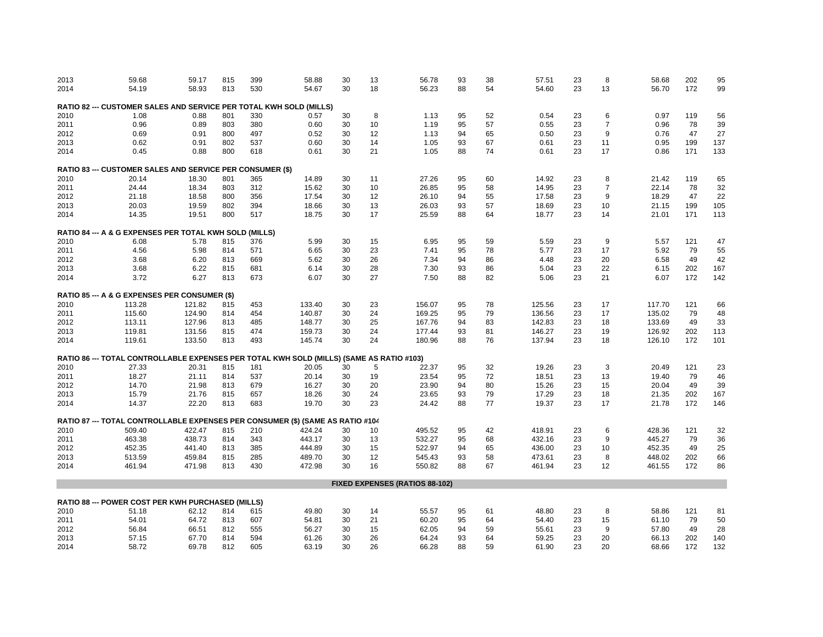| 2013 | 59.68                                                                                    | 59.17  | 815 | 399 | 58.88                             | 30 | 13 | 56.78                                 | 93 | 38 | 57.51  | 23 | 8              | 58.68  | 202 | 95  |
|------|------------------------------------------------------------------------------------------|--------|-----|-----|-----------------------------------|----|----|---------------------------------------|----|----|--------|----|----------------|--------|-----|-----|
| 2014 | 54.19                                                                                    | 58.93  | 813 | 530 | 54.67                             | 30 | 18 | 56.23                                 | 88 | 54 | 54.60  | 23 | 13             | 56.70  | 172 | 99  |
|      |                                                                                          |        |     |     |                                   |    |    |                                       |    |    |        |    |                |        |     |     |
|      | RATIO 82 --- CUSTOMER SALES AND SERVICE PER TOTAL KWH SOLD (MILLS)                       |        |     |     |                                   |    |    |                                       |    |    |        |    |                |        |     |     |
| 2010 | 1.08                                                                                     | 0.88   | 801 | 330 | 0.57                              | 30 | 8  | 1.13                                  | 95 | 52 | 0.54   | 23 | 6              | 0.97   | 119 | 56  |
| 2011 | 0.96                                                                                     | 0.89   | 803 | 380 | 0.60                              | 30 | 10 | 1.19                                  | 95 | 57 | 0.55   | 23 | $\overline{7}$ | 0.96   | 78  | 39  |
| 2012 | 0.69                                                                                     | 0.91   | 800 | 497 | 0.52                              | 30 | 12 | 1.13                                  | 94 | 65 | 0.50   | 23 | 9              | 0.76   | 47  | 27  |
| 2013 | 0.62                                                                                     | 0.91   | 802 | 537 | 0.60                              | 30 | 14 | 1.05                                  | 93 | 67 | 0.61   | 23 | 11             | 0.95   | 199 | 137 |
| 2014 | 0.45                                                                                     | 0.88   | 800 | 618 | 0.61                              | 30 | 21 | 1.05                                  | 88 | 74 | 0.61   | 23 | 17             | 0.86   | 171 | 133 |
|      | <b>RATIO 83 --- CUSTOMER SALES AND SERVICE PER CONSUMER (\$)</b>                         |        |     |     |                                   |    |    |                                       |    |    |        |    |                |        |     |     |
| 2010 | 20.14                                                                                    | 18.30  | 801 | 365 | 14.89                             | 30 | 11 | 27.26                                 | 95 | 60 | 14.92  | 23 | 8              | 21.42  | 119 | 65  |
| 2011 | 24.44                                                                                    | 18.34  | 803 | 312 | 15.62                             | 30 | 10 | 26.85                                 | 95 | 58 | 14.95  | 23 | $\overline{7}$ | 22.14  | 78  | 32  |
| 2012 | 21.18                                                                                    | 18.58  | 800 | 356 | 17.54                             | 30 | 12 | 26.10                                 | 94 | 55 | 17.58  | 23 | 9              | 18.29  | 47  | 22  |
| 2013 | 20.03                                                                                    | 19.59  | 802 | 394 | 18.66                             | 30 | 13 | 26.03                                 | 93 | 57 | 18.69  | 23 | 10             | 21.15  | 199 | 105 |
| 2014 | 14.35                                                                                    | 19.51  | 800 | 517 | 18.75                             | 30 | 17 | 25.59                                 | 88 | 64 | 18.77  | 23 | 14             | 21.01  | 171 | 113 |
|      | RATIO 84 --- A & G EXPENSES PER TOTAL KWH SOLD (MILLS)                                   |        |     |     |                                   |    |    |                                       |    |    |        |    |                |        |     |     |
| 2010 | 6.08                                                                                     | 5.78   | 815 | 376 | 5.99                              | 30 | 15 | 6.95                                  | 95 | 59 | 5.59   | 23 | 9              | 5.57   | 121 | 47  |
| 2011 | 4.56                                                                                     | 5.98   | 814 | 571 | 6.65                              | 30 | 23 | 7.41                                  | 95 | 78 | 5.77   | 23 | 17             | 5.92   | 79  | 55  |
| 2012 | 3.68                                                                                     | 6.20   | 813 | 669 | 5.62                              | 30 | 26 | 7.34                                  | 94 | 86 | 4.48   | 23 | 20             | 6.58   | 49  | 42  |
| 2013 |                                                                                          | 6.22   | 815 | 681 | 6.14                              | 30 | 28 | 7.30                                  | 93 | 86 | 5.04   | 23 | 22             | 6.15   | 202 | 167 |
|      | 3.68                                                                                     |        |     |     |                                   |    |    |                                       |    |    |        |    |                |        |     |     |
| 2014 | 3.72                                                                                     | 6.27   | 813 | 673 | 6.07                              | 30 | 27 | 7.50                                  | 88 | 82 | 5.06   | 23 | 21             | 6.07   | 172 | 142 |
|      | RATIO 85 --- A & G EXPENSES PER CONSUMER (\$)                                            |        |     |     |                                   |    |    |                                       |    |    |        |    |                |        |     |     |
| 2010 | 113.28                                                                                   | 121.82 | 815 | 453 | 133.40                            | 30 | 23 | 156.07                                | 95 | 78 | 125.56 | 23 | 17             | 117.70 | 121 | 66  |
| 2011 | 115.60                                                                                   | 124.90 | 814 | 454 | 140.87                            | 30 | 24 | 169.25                                | 95 | 79 | 136.56 | 23 | 17             | 135.02 | 79  | 48  |
| 2012 | 113.11                                                                                   | 127.96 | 813 | 485 | 148.77                            | 30 | 25 | 167.76                                | 94 | 83 | 142.83 | 23 | 18             | 133.69 | 49  | 33  |
| 2013 | 119.81                                                                                   | 131.56 | 815 | 474 | 159.73                            | 30 | 24 | 177.44                                | 93 | 81 | 146.27 | 23 | 19             | 126.92 | 202 | 113 |
| 2014 | 119.61                                                                                   | 133.50 | 813 | 493 | 145.74                            | 30 | 24 | 180.96                                | 88 | 76 | 137.94 | 23 | 18             | 126.10 | 172 | 101 |
|      | RATIO 86 --- TOTAL CONTROLLABLE EXPENSES PER TOTAL KWH SOLD (MILLS) (SAME AS RATIO #103) |        |     |     |                                   |    |    |                                       |    |    |        |    |                |        |     |     |
| 2010 | 27.33                                                                                    | 20.31  | 815 | 181 | 20.05                             | 30 | 5  | 22.37                                 | 95 | 32 | 19.26  | 23 | 3              | 20.49  | 121 | 23  |
| 2011 | 18.27                                                                                    | 21.11  | 814 | 537 | 20.14                             | 30 | 19 | 23.54                                 | 95 | 72 | 18.51  | 23 | 13             | 19.40  | 79  | 46  |
| 2012 | 14.70                                                                                    | 21.98  | 813 | 679 | 16.27                             | 30 | 20 | 23.90                                 | 94 | 80 | 15.26  | 23 | 15             | 20.04  | 49  | 39  |
| 2013 | 15.79                                                                                    | 21.76  | 815 | 657 | 18.26                             | 30 | 24 | 23.65                                 | 93 | 79 | 17.29  | 23 | 18             | 21.35  | 202 | 167 |
|      |                                                                                          |        |     |     |                                   |    |    |                                       | 88 |    |        | 23 |                |        |     |     |
| 2014 | 14.37                                                                                    | 22.20  | 813 | 683 | 19.70                             | 30 | 23 | 24.42                                 |    | 77 | 19.37  |    | 17             | 21.78  | 172 | 146 |
|      | RATIO 87 --- TOTAL CONTROLLABLE EXPENSES PER                                             |        |     |     | CONSUMER (\$) (SAME AS RATIO #104 |    |    |                                       |    |    |        |    |                |        |     |     |
| 2010 | 509.40                                                                                   | 422.47 | 815 | 210 | 424.24                            | 30 | 10 | 495.52                                | 95 | 42 | 418.91 | 23 | 6              | 428.36 | 121 | 32  |
| 2011 | 463.38                                                                                   | 438.73 | 814 | 343 | 443.17                            | 30 | 13 | 532.27                                | 95 | 68 | 432.16 | 23 | 9              | 445.27 | 79  | 36  |
| 2012 | 452.35                                                                                   | 441.40 | 813 | 385 | 444.89                            | 30 | 15 | 522.97                                | 94 | 65 | 436.00 | 23 | 10             | 452.35 | 49  | 25  |
| 2013 | 513.59                                                                                   | 459.84 | 815 | 285 | 489.70                            | 30 | 12 | 545.43                                | 93 | 58 | 473.61 | 23 | 8              | 448.02 | 202 | 66  |
| 2014 | 461.94                                                                                   | 471.98 | 813 | 430 | 472.98                            | 30 | 16 | 550.82                                | 88 | 67 | 461.94 | 23 | 12             | 461.55 | 172 | 86  |
|      |                                                                                          |        |     |     |                                   |    |    | <b>FIXED EXPENSES (RATIOS 88-102)</b> |    |    |        |    |                |        |     |     |
|      |                                                                                          |        |     |     |                                   |    |    |                                       |    |    |        |    |                |        |     |     |
|      | RATIO 88 --- POWER COST PER KWH PURCHASED (MILLS)                                        |        |     |     |                                   |    |    |                                       |    |    |        |    |                |        |     |     |
| 2010 | 51.18                                                                                    | 62.12  | 814 | 615 | 49.80                             | 30 | 14 | 55.57                                 | 95 | 61 | 48.80  | 23 | 8              | 58.86  | 121 | 81  |
| 2011 | 54.01                                                                                    | 64.72  | 813 | 607 | 54.81                             | 30 | 21 | 60.20                                 | 95 | 64 | 54.40  | 23 | 15             | 61.10  | 79  | 50  |
| 2012 | 56.84                                                                                    | 66.51  | 812 | 555 | 56.27                             | 30 | 15 | 62.05                                 | 94 | 59 | 55.61  | 23 | 9              | 57.80  | 49  | 28  |
| 2013 | 57.15                                                                                    | 67.70  | 814 | 594 | 61.26                             | 30 | 26 | 64.24                                 | 93 | 64 | 59.25  | 23 | 20             | 66.13  | 202 | 140 |
| 2014 | 58.72                                                                                    | 69.78  | 812 | 605 | 63.19                             | 30 | 26 | 66.28                                 | 88 | 59 | 61.90  | 23 | 20             | 68.66  | 172 | 132 |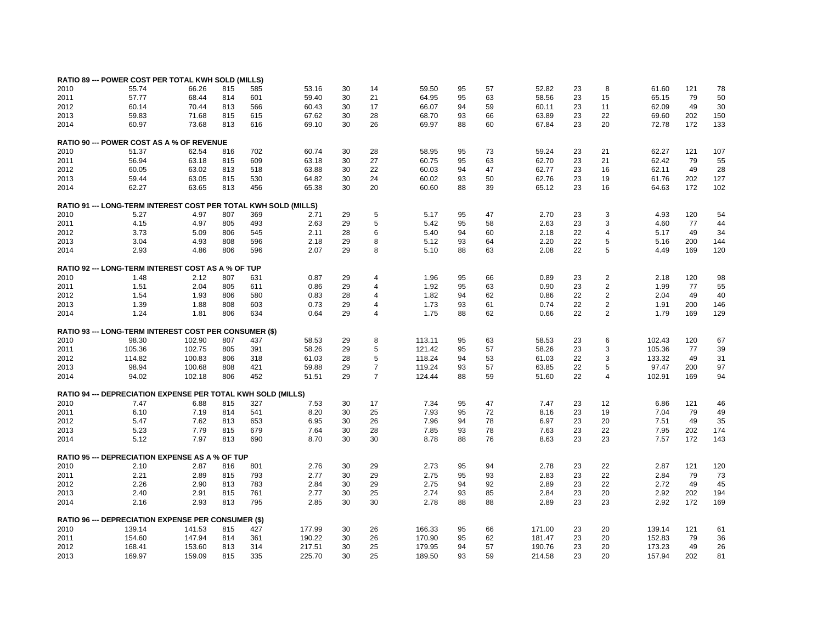|      | RATIO 89 --- POWER COST PER TOTAL KWH SOLD (MILLS)            |        |     |     |                         |    |                |        |    |    |        |    |                         |        |     |     |
|------|---------------------------------------------------------------|--------|-----|-----|-------------------------|----|----------------|--------|----|----|--------|----|-------------------------|--------|-----|-----|
| 2010 | 55.74                                                         | 66.26  | 815 | 585 | 53.16                   | 30 | 14             | 59.50  | 95 | 57 | 52.82  | 23 | 8                       | 61.60  | 121 | 78  |
| 2011 | 57.77                                                         | 68.44  | 814 | 601 | 59.40                   | 30 | 21             | 64.95  | 95 | 63 | 58.56  | 23 | 15                      | 65.15  | 79  | 50  |
|      |                                                               |        |     |     |                         |    | 17             |        | 94 |    |        | 23 |                         |        | 49  |     |
| 2012 | 60.14                                                         | 70.44  | 813 | 566 | 60.43                   | 30 |                | 66.07  |    | 59 | 60.11  |    | 11                      | 62.09  |     | 30  |
| 2013 | 59.83                                                         | 71.68  | 815 | 615 | 67.62                   | 30 | 28             | 68.70  | 93 | 66 | 63.89  | 23 | 22                      | 69.60  | 202 | 150 |
| 2014 | 60.97                                                         | 73.68  | 813 | 616 | 69.10                   | 30 | 26             | 69.97  | 88 | 60 | 67.84  | 23 | 20                      | 72.78  | 172 | 133 |
|      | RATIO 90 --- POWER COST AS A % OF REVENUE                     |        |     |     |                         |    |                |        |    |    |        |    |                         |        |     |     |
| 2010 | 51.37                                                         | 62.54  | 816 | 702 | 60.74                   | 30 | 28             | 58.95  | 95 | 73 | 59.24  | 23 | 21                      | 62.27  | 121 | 107 |
| 2011 | 56.94                                                         | 63.18  | 815 | 609 | 63.18                   | 30 | 27             | 60.75  | 95 | 63 | 62.70  | 23 | 21                      | 62.42  | 79  | 55  |
| 2012 | 60.05                                                         | 63.02  | 813 | 518 | 63.88                   | 30 | 22             | 60.03  | 94 | 47 | 62.77  | 23 | 16                      | 62.11  | 49  | 28  |
| 2013 | 59.44                                                         | 63.05  | 815 | 530 | 64.82                   | 30 | 24             | 60.02  | 93 | 50 | 62.76  | 23 | 19                      | 61.76  | 202 | 127 |
| 2014 | 62.27                                                         | 63.65  | 813 | 456 | 65.38                   | 30 | 20             | 60.60  | 88 | 39 | 65.12  | 23 | 16                      | 64.63  | 172 | 102 |
|      |                                                               |        |     |     |                         |    |                |        |    |    |        |    |                         |        |     |     |
|      | <b>RATIO 91 --- LONG-TERM INTEREST COST PER TOTAL</b>         |        |     |     | <b>KWH SOLD (MILLS)</b> |    |                |        |    |    |        |    |                         |        |     |     |
| 2010 | 5.27                                                          | 4.97   | 807 | 369 | 2.71                    | 29 | 5              | 5.17   | 95 | 47 | 2.70   | 23 | 3                       | 4.93   | 120 | 54  |
| 2011 | 4.15                                                          | 4.97   | 805 | 493 | 2.63                    | 29 | 5              | 5.42   | 95 | 58 | 2.63   | 23 | 3                       | 4.60   | 77  | 44  |
| 2012 | 3.73                                                          | 5.09   | 806 | 545 | 2.11                    | 28 | 6              | 5.40   | 94 | 60 | 2.18   | 22 | 4                       | 5.17   | 49  | 34  |
| 2013 | 3.04                                                          | 4.93   | 808 | 596 | 2.18                    | 29 | 8              | 5.12   | 93 | 64 | 2.20   | 22 | 5                       | 5.16   | 200 | 144 |
| 2014 | 2.93                                                          | 4.86   | 806 | 596 | 2.07                    | 29 | 8              | 5.10   | 88 | 63 | 2.08   | 22 | 5                       | 4.49   | 169 | 120 |
|      | RATIO 92 --- LONG-TERM INTEREST COST AS A % OF TUP            |        |     |     |                         |    |                |        |    |    |        |    |                         |        |     |     |
| 2010 | 1.48                                                          | 2.12   | 807 | 631 | 0.87                    | 29 | $\overline{4}$ | 1.96   | 95 | 66 | 0.89   | 23 | $\overline{\mathbf{c}}$ | 2.18   | 120 | 98  |
|      |                                                               |        |     |     |                         |    | $\overline{4}$ |        | 95 |    |        |    | $\overline{2}$          | 1.99   | 77  |     |
| 2011 | 1.51                                                          | 2.04   | 805 | 611 | 0.86                    | 29 |                | 1.92   |    | 63 | 0.90   | 23 |                         |        |     | 55  |
| 2012 | 1.54                                                          | 1.93   | 806 | 580 | 0.83                    | 28 | $\overline{4}$ | 1.82   | 94 | 62 | 0.86   | 22 | 2                       | 2.04   | 49  | 40  |
| 2013 | 1.39                                                          | 1.88   | 808 | 603 | 0.73                    | 29 | $\overline{4}$ | 1.73   | 93 | 61 | 0.74   | 22 | 2                       | 1.91   | 200 | 146 |
| 2014 | 1.24                                                          | 1.81   | 806 | 634 | 0.64                    | 29 | $\overline{4}$ | 1.75   | 88 | 62 | 0.66   | 22 | 2                       | 1.79   | 169 | 129 |
|      | <b>RATIO 93 --- LONG-TERM INTEREST COST PER CONSUMER (\$)</b> |        |     |     |                         |    |                |        |    |    |        |    |                         |        |     |     |
| 2010 | 98.30                                                         | 102.90 | 807 | 437 | 58.53                   | 29 | 8              | 113.11 | 95 | 63 | 58.53  | 23 | 6                       | 102.43 | 120 | 67  |
| 2011 | 105.36                                                        | 102.75 | 805 | 391 | 58.26                   | 29 | 5              | 121.42 | 95 | 57 | 58.26  | 23 | 3                       | 105.36 | 77  | 39  |
| 2012 | 114.82                                                        | 100.83 | 806 | 318 | 61.03                   | 28 | 5              | 118.24 | 94 | 53 | 61.03  | 22 | 3                       | 133.32 | 49  | 31  |
| 2013 | 98.94                                                         | 100.68 | 808 | 421 | 59.88                   | 29 | $\overline{7}$ | 119.24 | 93 | 57 | 63.85  | 22 | 5                       | 97.47  | 200 | 97  |
| 2014 | 94.02                                                         | 102.18 | 806 | 452 | 51.51                   | 29 | $\overline{7}$ | 124.44 | 88 | 59 | 51.60  | 22 | 4                       | 102.91 | 169 | 94  |
|      |                                                               |        |     |     |                         |    |                |        |    |    |        |    |                         |        |     |     |
|      | RATIO 94 --- DEPRECIATION EXPENSE PER TOTAL KWH SOLD (MILLS)  |        |     |     |                         |    |                |        |    |    |        |    |                         |        |     |     |
| 2010 | 7.47                                                          | 6.88   | 815 | 327 | 7.53                    | 30 | 17             | 7.34   | 95 | 47 | 7.47   | 23 | 12                      | 6.86   | 121 | 46  |
| 2011 | 6.10                                                          | 7.19   | 814 | 541 | 8.20                    | 30 | 25             | 7.93   | 95 | 72 | 8.16   | 23 | 19                      | 7.04   | 79  | 49  |
| 2012 | 5.47                                                          | 7.62   | 813 | 653 | 6.95                    | 30 | 26             | 7.96   | 94 | 78 | 6.97   | 23 | 20                      | 7.51   | 49  | 35  |
| 2013 | 5.23                                                          | 7.79   | 815 | 679 | 7.64                    | 30 | 28             | 7.85   | 93 | 78 | 7.63   | 23 | 22                      | 7.95   | 202 | 174 |
| 2014 | 5.12                                                          | 7.97   | 813 | 690 | 8.70                    | 30 | 30             | 8.78   | 88 | 76 | 8.63   | 23 | 23                      | 7.57   | 172 | 143 |
|      | <b>RATIO 95 --- DEPRECIATION EXPENSE AS A % OF TUP</b>        |        |     |     |                         |    |                |        |    |    |        |    |                         |        |     |     |
| 2010 | 2.10                                                          | 2.87   | 816 | 801 | 2.76                    | 30 | 29             | 2.73   | 95 | 94 | 2.78   | 23 | 22                      | 2.87   | 121 | 120 |
| 2011 | 2.21                                                          | 2.89   | 815 | 793 | 2.77                    | 30 | 29             | 2.75   | 95 | 93 | 2.83   | 23 | 22                      | 2.84   | 79  | 73  |
| 2012 | 2.26                                                          | 2.90   | 813 | 783 | 2.84                    | 30 | 29             | 2.75   | 94 | 92 | 2.89   | 23 | 22                      | 2.72   | 49  | 45  |
| 2013 | 2.40                                                          | 2.91   | 815 | 761 | 2.77                    | 30 | 25             | 2.74   | 93 | 85 | 2.84   | 23 | 20                      | 2.92   | 202 | 194 |
| 2014 | 2.16                                                          | 2.93   | 813 | 795 | 2.85                    | 30 | 30             | 2.78   | 88 | 88 | 2.89   | 23 | 23                      | 2.92   | 172 | 169 |
|      |                                                               |        |     |     |                         |    |                |        |    |    |        |    |                         |        |     |     |
|      | RATIO 96 --- DEPRECIATION EXPENSE PER CONSUMER (\$)           |        |     |     |                         |    |                |        |    |    |        |    |                         |        |     |     |
| 2010 | 139.14                                                        | 141.53 | 815 | 427 | 177.99                  | 30 | 26             | 166.33 | 95 | 66 | 171.00 | 23 | 20                      | 139.14 | 121 | 61  |
| 2011 | 154.60                                                        | 147.94 | 814 | 361 | 190.22                  | 30 | 26             | 170.90 | 95 | 62 | 181.47 | 23 | 20                      | 152.83 | 79  | 36  |
| 2012 | 168.41                                                        | 153.60 | 813 | 314 | 217.51                  | 30 | 25             | 179.95 | 94 | 57 | 190.76 | 23 | 20                      | 173.23 | 49  | 26  |
| 2013 | 169.97                                                        | 159.09 | 815 | 335 | 225.70                  | 30 | 25             | 189.50 | 93 | 59 | 214.58 | 23 | 20                      | 157.94 | 202 | 81  |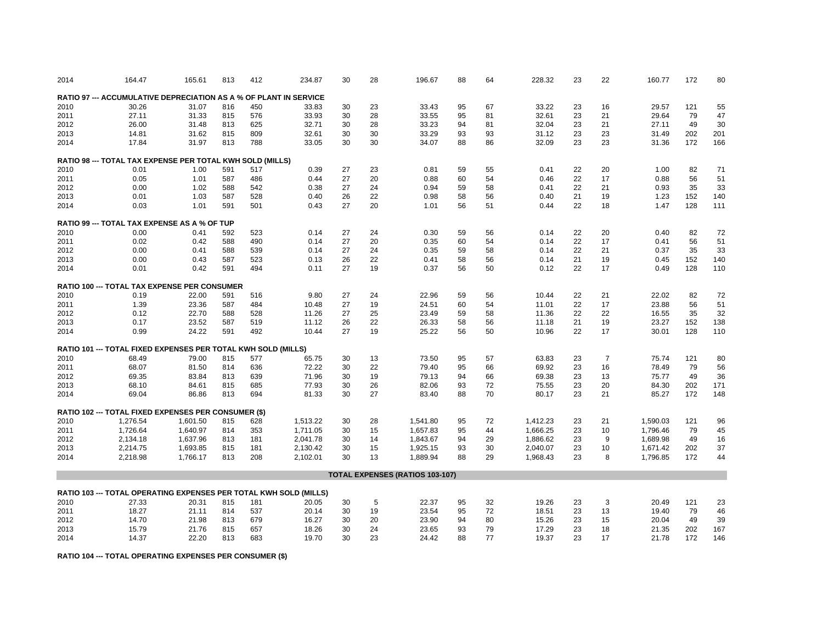| 2014 | 164.47                                                                   | 165.61   | 813 | 412 | 234.87   | 30 | 28 | 196.67                                 | 88 | 64 | 228.32   | 23 | 22             | 160.77   | 172 | 80  |
|------|--------------------------------------------------------------------------|----------|-----|-----|----------|----|----|----------------------------------------|----|----|----------|----|----------------|----------|-----|-----|
|      | <b>RATIO 97 --- ACCUMULATIVE DEPRECIATION AS A % OF PLANT IN SERVICE</b> |          |     |     |          |    |    |                                        |    |    |          |    |                |          |     |     |
| 2010 | 30.26                                                                    | 31.07    | 816 | 450 | 33.83    | 30 | 23 | 33.43                                  | 95 | 67 | 33.22    | 23 | 16             | 29.57    | 121 | 55  |
| 2011 | 27.11                                                                    | 31.33    | 815 | 576 | 33.93    | 30 | 28 | 33.55                                  | 95 | 81 | 32.61    | 23 | 21             | 29.64    | 79  | 47  |
| 2012 | 26.00                                                                    | 31.48    | 813 | 625 | 32.71    | 30 | 28 | 33.23                                  | 94 | 81 | 32.04    | 23 | 21             | 27.11    | 49  | 30  |
| 2013 | 14.81                                                                    | 31.62    | 815 | 809 | 32.61    | 30 | 30 | 33.29                                  | 93 | 93 | 31.12    | 23 | 23             | 31.49    | 202 | 201 |
| 2014 | 17.84                                                                    | 31.97    | 813 | 788 | 33.05    | 30 | 30 | 34.07                                  | 88 | 86 | 32.09    | 23 | 23             | 31.36    | 172 | 166 |
|      |                                                                          |          |     |     |          |    |    |                                        |    |    |          |    |                |          |     |     |
|      | RATIO 98 --- TOTAL TAX EXPENSE PER TOTAL KWH SOLD (MILLS)                |          |     |     |          |    |    |                                        |    |    |          |    |                |          |     |     |
| 2010 | 0.01                                                                     | 1.00     | 591 | 517 | 0.39     | 27 | 23 | 0.81                                   | 59 | 55 | 0.41     | 22 | 20             | 1.00     | 82  | 71  |
| 2011 | 0.05                                                                     | 1.01     | 587 | 486 | 0.44     | 27 | 20 | 0.88                                   | 60 | 54 | 0.46     | 22 | 17             | 0.88     | 56  | 51  |
| 2012 | 0.00                                                                     | 1.02     | 588 | 542 | 0.38     | 27 | 24 | 0.94                                   | 59 | 58 | 0.41     | 22 | 21             | 0.93     | 35  | 33  |
| 2013 | 0.01                                                                     | 1.03     | 587 | 528 | 0.40     | 26 | 22 | 0.98                                   | 58 | 56 | 0.40     | 21 | 19             | 1.23     | 152 | 140 |
| 2014 | 0.03                                                                     | 1.01     | 591 | 501 | 0.43     | 27 | 20 | 1.01                                   | 56 | 51 | 0.44     | 22 | 18             | 1.47     | 128 | 111 |
|      |                                                                          |          |     |     |          |    |    |                                        |    |    |          |    |                |          |     |     |
| 2010 | <b>RATIO 99 --- TOTAL TAX EXPENSE AS A % OF TUP</b><br>0.00              | 0.41     | 592 | 523 | 0.14     | 27 | 24 | 0.30                                   | 59 | 56 | 0.14     | 22 | 20             | 0.40     | 82  | 72  |
| 2011 | 0.02                                                                     | 0.42     | 588 | 490 | 0.14     | 27 | 20 | 0.35                                   | 60 | 54 | 0.14     | 22 | 17             | 0.41     | 56  | 51  |
| 2012 | 0.00                                                                     | 0.41     | 588 | 539 | 0.14     | 27 | 24 | 0.35                                   | 59 | 58 | 0.14     | 22 | 21             | 0.37     | 35  | 33  |
|      |                                                                          |          |     |     |          |    |    |                                        |    |    |          |    |                |          |     |     |
| 2013 | 0.00                                                                     | 0.43     | 587 | 523 | 0.13     | 26 | 22 | 0.41                                   | 58 | 56 | 0.14     | 21 | 19             | 0.45     | 152 | 140 |
| 2014 | 0.01                                                                     | 0.42     | 591 | 494 | 0.11     | 27 | 19 | 0.37                                   | 56 | 50 | 0.12     | 22 | 17             | 0.49     | 128 | 110 |
|      | RATIO 100 --- TOTAL TAX EXPENSE PER CONSUMER                             |          |     |     |          |    |    |                                        |    |    |          |    |                |          |     |     |
| 2010 | 0.19                                                                     | 22.00    | 591 | 516 | 9.80     | 27 | 24 | 22.96                                  | 59 | 56 | 10.44    | 22 | 21             | 22.02    | 82  | 72  |
| 2011 | 1.39                                                                     | 23.36    | 587 | 484 | 10.48    | 27 | 19 | 24.51                                  | 60 | 54 | 11.01    | 22 | 17             | 23.88    | 56  | 51  |
| 2012 | 0.12                                                                     | 22.70    | 588 | 528 | 11.26    | 27 | 25 | 23.49                                  | 59 | 58 | 11.36    | 22 | 22             | 16.55    | 35  | 32  |
| 2013 | 0.17                                                                     | 23.52    | 587 | 519 | 11.12    | 26 | 22 | 26.33                                  | 58 | 56 | 11.18    | 21 | 19             | 23.27    | 152 | 138 |
| 2014 | 0.99                                                                     | 24.22    | 591 | 492 | 10.44    | 27 | 19 | 25.22                                  | 56 | 50 | 10.96    | 22 | 17             | 30.01    | 128 | 110 |
|      |                                                                          |          |     |     |          |    |    |                                        |    |    |          |    |                |          |     |     |
|      | RATIO 101 --- TOTAL FIXED EXPENSES PER TOTAL KWH SOLD (MILLS)            |          |     |     |          |    |    |                                        |    |    |          |    |                |          |     |     |
| 2010 | 68.49                                                                    | 79.00    | 815 | 577 | 65.75    | 30 | 13 | 73.50                                  | 95 | 57 | 63.83    | 23 | $\overline{7}$ | 75.74    | 121 | 80  |
| 2011 | 68.07                                                                    | 81.50    | 814 | 636 | 72.22    | 30 | 22 | 79.40                                  | 95 | 66 | 69.92    | 23 | 16             | 78.49    | 79  | 56  |
| 2012 | 69.35                                                                    | 83.84    | 813 | 639 | 71.96    | 30 | 19 | 79.13                                  | 94 | 66 | 69.38    | 23 | 13             | 75.77    | 49  | 36  |
| 2013 | 68.10                                                                    | 84.61    | 815 | 685 | 77.93    | 30 | 26 | 82.06                                  | 93 | 72 | 75.55    | 23 | 20             | 84.30    | 202 | 171 |
| 2014 | 69.04                                                                    | 86.86    | 813 | 694 | 81.33    | 30 | 27 | 83.40                                  | 88 | 70 | 80.17    | 23 | 21             | 85.27    | 172 | 148 |
|      | RATIO 102 --- TOTAL FIXED EXPENSES PER CONSUMER (\$)                     |          |     |     |          |    |    |                                        |    |    |          |    |                |          |     |     |
|      |                                                                          |          |     |     |          |    |    |                                        |    |    |          |    |                |          |     |     |
| 2010 | 1,276.54                                                                 | 1,601.50 | 815 | 628 | 1,513.22 | 30 | 28 | 1,541.80                               | 95 | 72 | 1,412.23 | 23 | 21             | 1,590.03 | 121 | 96  |
| 2011 | 1,726.64                                                                 | 1,640.97 | 814 | 353 | 1,711.05 | 30 | 15 | 1,657.83                               | 95 | 44 | 1,666.25 | 23 | 10             | 1,796.46 | 79  | 45  |
| 2012 | 2,134.18                                                                 | 1,637.96 | 813 | 181 | 2,041.78 | 30 | 14 | 1,843.67                               | 94 | 29 | 1,886.62 | 23 | 9              | 1,689.98 | 49  | 16  |
| 2013 | 2,214.75                                                                 | 1,693.85 | 815 | 181 | 2,130.42 | 30 | 15 | 1,925.15                               | 93 | 30 | 2,040.07 | 23 | 10             | 1,671.42 | 202 | 37  |
| 2014 | 2,218.98                                                                 | 1,766.17 | 813 | 208 | 2,102.01 | 30 | 13 | 1,889.94                               | 88 | 29 | 1,968.43 | 23 | 8              | 1,796.85 | 172 | 44  |
|      |                                                                          |          |     |     |          |    |    | <b>TOTAL EXPENSES (RATIOS 103-107)</b> |    |    |          |    |                |          |     |     |
|      |                                                                          |          |     |     |          |    |    |                                        |    |    |          |    |                |          |     |     |
| 2010 | RATIO 103 --- TOTAL OPERATING EXPENSES PER TOTAL KWH SOLD (MILLS)        |          |     |     |          |    |    |                                        |    |    |          |    |                |          |     |     |
|      | 27.33                                                                    | 20.31    | 815 | 181 | 20.05    | 30 | 5  | 22.37                                  | 95 | 32 | 19.26    | 23 | 3              | 20.49    | 121 | 23  |
| 2011 | 18.27                                                                    | 21.11    | 814 | 537 | 20.14    | 30 | 19 | 23.54                                  | 95 | 72 | 18.51    | 23 | 13             | 19.40    | 79  | 46  |
| 2012 | 14.70                                                                    | 21.98    | 813 | 679 | 16.27    | 30 | 20 | 23.90                                  | 94 | 80 | 15.26    | 23 | 15             | 20.04    | 49  | 39  |
| 2013 | 15.79                                                                    | 21.76    | 815 | 657 | 18.26    | 30 | 24 | 23.65                                  | 93 | 79 | 17.29    | 23 | 18             | 21.35    | 202 | 167 |
| 2014 | 14.37                                                                    | 22.20    | 813 | 683 | 19.70    | 30 | 23 | 24.42                                  | 88 | 77 | 19.37    | 23 | 17             | 21.78    | 172 | 146 |

**RATIO 104 --- TOTAL OPERATING EXPENSES PER CONSUMER (\$)**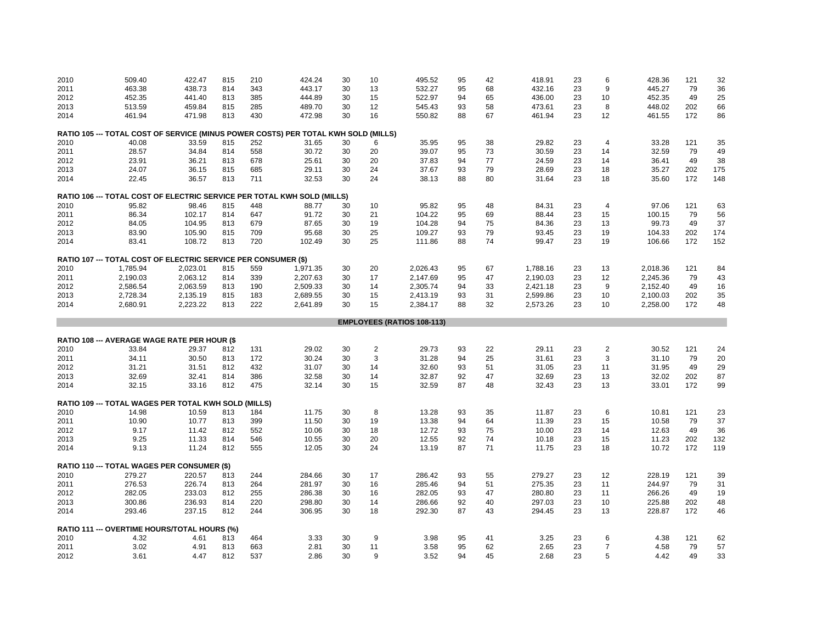| 2010         | 509.40                                                                             | 422.47                                      | 815        | 210        | 424.24           | 30       | 10         | 495.52                            | 95       | 42       | 418.91           | 23       | 6                   | 428.36           | 121        | 32       |
|--------------|------------------------------------------------------------------------------------|---------------------------------------------|------------|------------|------------------|----------|------------|-----------------------------------|----------|----------|------------------|----------|---------------------|------------------|------------|----------|
| 2011         | 463.38                                                                             | 438.73                                      | 814        | 343        | 443.17           | 30       | 13         | 532.27                            | 95       | 68       | 432.16           | 23       | 9                   | 445.27           | 79         | 36       |
| 2012         | 452.35                                                                             | 441.40                                      | 813        | 385        | 444.89           | 30       | 15         | 522.97                            | 94       | 65       | 436.00           | 23       | 10                  | 452.35           | 49         | 25       |
| 2013         | 513.59                                                                             | 459.84                                      | 815        | 285        | 489.70           | 30       | 12         | 545.43                            | 93       | 58       | 473.61           | 23       | 8                   | 448.02           | 202        | 66       |
| 2014         | 461.94                                                                             | 471.98                                      | 813        | 430        | 472.98           | 30       | 16         | 550.82                            | 88       | 67       | 461.94           | 23       | 12                  | 461.55           | 172        | 86       |
|              | RATIO 105 --- TOTAL COST OF SERVICE (MINUS POWER COSTS) PER TOTAL KWH SOLD (MILLS) |                                             |            |            |                  |          |            |                                   |          |          |                  |          |                     |                  |            |          |
| 2010         | 40.08                                                                              | 33.59                                       | 815        | 252        | 31.65            | 30       | 6          | 35.95                             | 95       | 38       | 29.82            | 23       | $\overline{4}$      | 33.28            | 121        | 35       |
| 2011         | 28.57                                                                              | 34.84                                       | 814        | 558        | 30.72            | 30       | 20         | 39.07                             | 95       | 73       | 30.59            | 23       | 14                  | 32.59            | 79         | 49       |
| 2012         | 23.91                                                                              | 36.21                                       | 813        | 678        | 25.61            | 30       | 20         | 37.83                             | 94       | 77       | 24.59            | 23       | 14                  | 36.41            | 49         | 38       |
| 2013         | 24.07                                                                              | 36.15                                       | 815        | 685        | 29.11            | 30       | 24         | 37.67                             | 93       | 79       | 28.69            | 23       | 18                  | 35.27            | 202        | 175      |
| 2014         | 22.45                                                                              | 36.57                                       | 813        | 711        | 32.53            | 30       | 24         | 38.13                             | 88       | 80       | 31.64            | 23       | 18                  | 35.60            | 172        | 148      |
|              |                                                                                    |                                             |            |            |                  |          |            |                                   |          |          |                  |          |                     |                  |            |          |
|              | RATIO 106 --- TOTAL COST OF ELECTRIC SERVICE PER TOTAL KWH SOLD (MILLS)            |                                             |            |            |                  |          |            |                                   |          |          |                  |          |                     |                  |            |          |
| 2010         | 95.82                                                                              | 98.46                                       | 815        | 448        | 88.77            | 30       | 10         | 95.82                             | 95       | 48       | 84.31            | 23       | $\overline{4}$      | 97.06            | 121        | 63       |
| 2011         | 86.34                                                                              | 102.17                                      | 814        | 647        | 91.72            | 30       | 21         | 104.22                            | 95       | 69       | 88.44            | 23       | 15                  | 100.15           | 79         | 56       |
| 2012         | 84.05                                                                              | 104.95                                      | 813        | 679        | 87.65            | 30       | 19         | 104.28                            | 94       | 75       | 84.36            | 23       | 13                  | 99.73            | 49         | 37       |
| 2013         | 83.90                                                                              | 105.90                                      | 815        | 709        | 95.68            | 30       | 25         | 109.27                            | 93       | 79       | 93.45            | 23       | 19                  | 104.33           | 202        | 174      |
| 2014         | 83.41                                                                              | 108.72                                      | 813        | 720        | 102.49           | 30       | 25         | 111.86                            | 88       | 74       | 99.47            | 23       | 19                  | 106.66           | 172        | 152      |
|              | RATIO 107 --- TOTAL COST OF ELECTRIC SERVICE PER CONSUMER (\$)                     |                                             |            |            |                  |          |            |                                   |          |          |                  |          |                     |                  |            |          |
| 2010         | 1,785.94                                                                           | 2,023.01                                    | 815        | 559        | 1,971.35         | 30       | 20         | 2,026.43                          | 95       | 67       | 1,788.16         | 23       | 13                  | 2,018.36         | 121        | 84       |
| 2011         | 2,190.03                                                                           | 2,063.12                                    | 814        | 339        | 2,207.63         | 30       | 17         | 2,147.69                          | 95       | 47       | 2,190.03         | 23       | 12                  | 2,245.36         | 79         | 43       |
| 2012         | 2,586.54                                                                           | 2,063.59                                    | 813        | 190        | 2,509.33         | 30       | 14         | 2,305.74                          | 94       | 33       | 2,421.18         | 23       | 9                   | 2,152.40         | 49         | 16       |
| 2013         | 2,728.34                                                                           | 2,135.19                                    | 815        | 183        | 2,689.55         | 30       | 15         | 2,413.19                          | 93       | 31       | 2,599.86         | 23       | 10                  | 2,100.03         | 202        | 35       |
| 2014         | 2,680.91                                                                           | 2,223.22                                    | 813        | 222        | 2,641.89         | 30       | 15         | 2,384.17                          | 88       | 32       | 2,573.26         | 23       | 10                  | 2,258.00         | 172        | 48       |
|              |                                                                                    |                                             |            |            |                  |          |            | <b>EMPLOYEES (RATIOS 108-113)</b> |          |          |                  |          |                     |                  |            |          |
|              |                                                                                    |                                             |            |            |                  |          |            |                                   |          |          |                  |          |                     |                  |            |          |
|              | <b>RATIO 108 --- AVERAGE WAGE RATE PER HOUR (\$</b>                                |                                             |            |            |                  |          |            |                                   |          |          |                  |          |                     |                  |            |          |
| 2010         | 33.84                                                                              | 29.37                                       | 812        | 131        | 29.02            | 30       | $\sqrt{2}$ | 29.73                             | 93       | 22       | 29.11            | 23       | $\boldsymbol{2}$    | 30.52            | 121        | 24       |
| 2011         | 34.11                                                                              | 30.50                                       | 813        | 172        | 30.24            | 30       | 3          | 31.28                             | 94       | 25       | 31.61            | 23       | 3                   | 31.10            | 79         | 20       |
| 2012         | 31.21                                                                              | 31.51                                       | 812        | 432        | 31.07            | 30       | 14         | 32.60                             | 93       | 51       | 31.05            | 23       | 11                  | 31.95            | 49         | 29       |
| 2013         | 32.69                                                                              | 32.41                                       | 814        | 386        | 32.58            | 30       | 14         | 32.87                             | 92       | 47       | 32.69            | 23       | 13                  | 32.02            | 202        | 87       |
| 2014         | 32.15                                                                              | 33.16                                       | 812        | 475        | 32.14            | 30       | 15         | 32.59                             | 87       | 48       | 32.43            | 23       | 13                  | 33.01            | 172        | 99       |
|              | RATIO 109 --- TOTAL WAGES PER TOTAL KWH SOLD (MILLS)                               |                                             |            |            |                  |          |            |                                   |          |          |                  |          |                     |                  |            |          |
| 2010         | 14.98                                                                              | 10.59                                       | 813        | 184        | 11.75            | 30       | 8          | 13.28                             | 93       | 35       | 11.87            | 23       | 6                   | 10.81            | 121        | 23       |
| 2011         | 10.90                                                                              | 10.77                                       | 813        | 399        | 11.50            | 30       | 19         | 13.38                             | 94       | 64       | 11.39            | 23       | 15                  | 10.58            | 79         | 37       |
| 2012         | 9.17                                                                               | 11.42                                       | 812        | 552        | 10.06            | 30       | 18         | 12.72                             | 93       | 75       | 10.00            | 23       | 14                  | 12.63            | 49         | 36       |
| 2013         | 9.25                                                                               | 11.33                                       | 814        | 546        | 10.55            | 30       | 20         | 12.55                             | 92       | 74       | 10.18            | 23       | 15                  | 11.23            | 202        | 132      |
| 2014         | 9.13                                                                               | 11.24                                       | 812        | 555        | 12.05            | 30       | 24         | 13.19                             | 87       | 71       | 11.75            | 23       | 18                  | 10.72            | 172        | 119      |
|              |                                                                                    | RATIO 110 --- TOTAL WAGES PER CONSUMER (\$) |            |            |                  |          |            |                                   |          |          |                  |          |                     |                  |            |          |
| 2010         |                                                                                    |                                             |            |            |                  |          |            |                                   |          |          | 279.27           |          |                     | 228.19           | 121        | 39       |
|              |                                                                                    |                                             |            |            |                  |          |            |                                   |          |          |                  |          |                     |                  |            |          |
|              | 279.27                                                                             | 220.57                                      | 813        | 244        | 284.66           | 30       | 17         | 286.42                            | 93       | 55       |                  | 23       | 12                  |                  |            |          |
| 2011         | 276.53                                                                             | 226.74                                      | 813        | 264        | 281.97           | 30       | 16         | 285.46                            | 94       | 51       | 275.35           | 23       | 11                  | 244.97           | 79         | 31       |
| 2012         | 282.05                                                                             | 233.03                                      | 812        | 255        | 286.38           | 30       | 16         | 282.05                            | 93       | 47       | 280.80           | 23       | 11                  | 266.26           | 49         | 19       |
| 2013<br>2014 | 300.86<br>293.46                                                                   | 236.93<br>237.15                            | 814<br>812 | 220<br>244 | 298.80<br>306.95 | 30<br>30 | 14<br>18   | 286.66<br>292.30                  | 92<br>87 | 40<br>43 | 297.03<br>294.45 | 23<br>23 | 10<br>13            | 225.88<br>228.87 | 202<br>172 | 48<br>46 |
|              |                                                                                    |                                             |            |            |                  |          |            |                                   |          |          |                  |          |                     |                  |            |          |
|              | RATIO 111 --- OVERTIME HOURS/TOTAL HOURS (%)                                       |                                             |            |            |                  |          |            |                                   |          |          |                  |          |                     |                  |            |          |
| 2010         | 4.32                                                                               | 4.61                                        | 813        | 464        | 3.33             | 30       | 9          | 3.98                              | 95       | 41       | 3.25             | 23       | 6                   | 4.38             | 121        | 62       |
| 2011<br>2012 | 3.02<br>3.61                                                                       | 4.91<br>4.47                                | 813<br>812 | 663<br>537 | 2.81<br>2.86     | 30<br>30 | 11<br>9    | 3.58<br>3.52                      | 95<br>94 | 62<br>45 | 2.65<br>2.68     | 23<br>23 | $\overline{7}$<br>5 | 4.58<br>4.42     | 79<br>49   | 57<br>33 |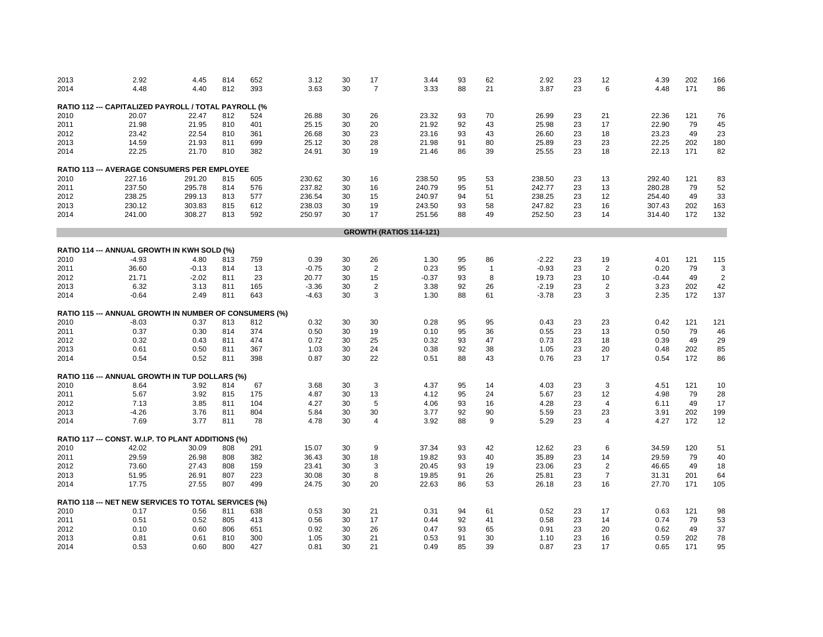| 2013 | 2.92                                                   | 4.45    | 814 | 652 | 3.12    | 30 | 17             | 3.44                           | 93 | 62           | 2.92    | 23 | 12             | 4.39    | 202 | 166            |
|------|--------------------------------------------------------|---------|-----|-----|---------|----|----------------|--------------------------------|----|--------------|---------|----|----------------|---------|-----|----------------|
| 2014 | 4.48                                                   | 4.40    | 812 | 393 | 3.63    | 30 | $\overline{7}$ | 3.33                           | 88 | 21           | 3.87    | 23 | 6              | 4.48    | 171 | 86             |
|      |                                                        |         |     |     |         |    |                |                                |    |              |         |    |                |         |     |                |
|      | RATIO 112 --- CAPITALIZED PAYROLL / TOTAL PAYROLL (%   |         |     |     |         |    |                |                                |    |              |         |    |                |         |     |                |
| 2010 | 20.07                                                  | 22.47   | 812 | 524 | 26.88   | 30 | 26             | 23.32                          | 93 | 70           | 26.99   | 23 | 21             | 22.36   | 121 | 76             |
| 2011 | 21.98                                                  | 21.95   | 810 | 401 | 25.15   | 30 | 20             | 21.92                          | 92 | 43           | 25.98   | 23 | 17             | 22.90   | 79  | 45             |
| 2012 | 23.42                                                  | 22.54   | 810 | 361 | 26.68   | 30 | 23             | 23.16                          | 93 | 43           | 26.60   | 23 | 18             | 23.23   | 49  | 23             |
| 2013 | 14.59                                                  | 21.93   | 811 | 699 | 25.12   | 30 | 28             | 21.98                          | 91 | 80           | 25.89   | 23 | 23             | 22.25   | 202 | 180            |
| 2014 | 22.25                                                  | 21.70   | 810 | 382 | 24.91   | 30 | 19             | 21.46                          | 86 | 39           | 25.55   | 23 | 18             | 22.13   | 171 | 82             |
|      | RATIO 113 --- AVERAGE CONSUMERS PER EMPLOYEE           |         |     |     |         |    |                |                                |    |              |         |    |                |         |     |                |
| 2010 | 227.16                                                 | 291.20  | 815 | 605 | 230.62  | 30 | 16             | 238.50                         | 95 | 53           | 238.50  | 23 | 13             | 292.40  | 121 | 83             |
| 2011 | 237.50                                                 | 295.78  | 814 | 576 | 237.82  | 30 | 16             | 240.79                         | 95 | 51           | 242.77  | 23 | 13             | 280.28  | 79  | 52             |
| 2012 | 238.25                                                 | 299.13  | 813 | 577 | 236.54  | 30 | 15             | 240.97                         | 94 | 51           | 238.25  | 23 | 12             | 254.40  | 49  | 33             |
| 2013 | 230.12                                                 | 303.83  | 815 | 612 | 238.03  | 30 | 19             | 243.50                         | 93 | 58           | 247.82  | 23 | 16             | 307.43  | 202 | 163            |
| 2014 | 241.00                                                 | 308.27  | 813 | 592 | 250.97  | 30 | 17             | 251.56                         | 88 | 49           | 252.50  | 23 | 14             | 314.40  | 172 | 132            |
|      |                                                        |         |     |     |         |    |                |                                |    |              |         |    |                |         |     |                |
|      |                                                        |         |     |     |         |    |                | <b>GROWTH (RATIOS 114-121)</b> |    |              |         |    |                |         |     |                |
|      | RATIO 114 --- ANNUAL GROWTH IN KWH SOLD (%)            |         |     |     |         |    |                |                                |    |              |         |    |                |         |     |                |
| 2010 | $-4.93$                                                | 4.80    | 813 | 759 | 0.39    | 30 | 26             | 1.30                           | 95 | 86           | $-2.22$ | 23 | 19             | 4.01    | 121 | 115            |
| 2011 | 36.60                                                  | $-0.13$ | 814 | 13  | $-0.75$ | 30 | $\overline{2}$ | 0.23                           | 95 | $\mathbf{1}$ | $-0.93$ | 23 | $\overline{2}$ | 0.20    | 79  | 3              |
| 2012 | 21.71                                                  | $-2.02$ | 811 | 23  | 20.77   | 30 | 15             | $-0.37$                        | 93 | 8            | 19.73   | 23 | 10             | $-0.44$ | 49  | $\overline{2}$ |
| 2013 | 6.32                                                   | 3.13    | 811 | 165 | $-3.36$ | 30 | $\overline{2}$ | 3.38                           | 92 | 26           | $-2.19$ | 23 | $\overline{2}$ | 3.23    | 202 | 42             |
| 2014 | $-0.64$                                                | 2.49    | 811 | 643 | $-4.63$ | 30 | 3              | 1.30                           | 88 | 61           | $-3.78$ | 23 | 3              | 2.35    | 172 | 137            |
|      |                                                        |         |     |     |         |    |                |                                |    |              |         |    |                |         |     |                |
|      | RATIO 115 --- ANNUAL GROWTH IN NUMBER OF CONSUMERS (%) |         |     |     |         |    |                |                                |    |              |         |    |                |         |     |                |
| 2010 | $-8.03$                                                | 0.37    | 813 | 812 | 0.32    | 30 | 30             | 0.28                           | 95 | 95           | 0.43    | 23 | 23             | 0.42    | 121 | 121            |
| 2011 | 0.37                                                   | 0.30    | 814 | 374 | 0.50    | 30 | 19             | 0.10                           | 95 | 36           | 0.55    | 23 | 13             | 0.50    | 79  | 46             |
| 2012 | 0.32                                                   | 0.43    | 811 | 474 | 0.72    | 30 | 25             | 0.32                           | 93 | 47           | 0.73    | 23 | 18             | 0.39    | 49  | 29             |
| 2013 | 0.61                                                   | 0.50    | 811 | 367 | 1.03    | 30 | 24             | 0.38                           | 92 | 38           | 1.05    | 23 | 20             | 0.48    | 202 | 85             |
| 2014 | 0.54                                                   | 0.52    | 811 | 398 | 0.87    | 30 | 22             | 0.51                           | 88 | 43           | 0.76    | 23 | 17             | 0.54    | 172 | 86             |
|      | RATIO 116 --- ANNUAL GROWTH IN TUP DOLLARS (%)         |         |     |     |         |    |                |                                |    |              |         |    |                |         |     |                |
| 2010 | 8.64                                                   | 3.92    | 814 | 67  | 3.68    | 30 | 3              | 4.37                           | 95 | 14           | 4.03    | 23 | 3              | 4.51    | 121 | 10             |
| 2011 | 5.67                                                   | 3.92    | 815 | 175 | 4.87    | 30 | 13             | 4.12                           | 95 | 24           | 5.67    | 23 | 12             | 4.98    | 79  | 28             |
| 2012 | 7.13                                                   | 3.85    | 811 | 104 | 4.27    | 30 | 5              | 4.06                           | 93 | 16           | 4.28    | 23 | $\overline{4}$ | 6.11    | 49  | 17             |
| 2013 | $-4.26$                                                | 3.76    | 811 | 804 | 5.84    | 30 | 30             | 3.77                           | 92 | 90           | 5.59    | 23 | 23             | 3.91    | 202 | 199            |
| 2014 | 7.69                                                   | 3.77    | 811 | 78  | 4.78    | 30 | $\overline{4}$ | 3.92                           | 88 | 9            | 5.29    | 23 | $\overline{4}$ | 4.27    | 172 | 12             |
|      | RATIO 117 --- CONST. W.I.P. TO PLANT ADDITIONS (%)     |         |     |     |         |    |                |                                |    |              |         |    |                |         |     |                |
| 2010 | 42.02                                                  | 30.09   | 808 | 291 | 15.07   | 30 | 9              | 37.34                          | 93 | 42           | 12.62   | 23 | 6              | 34.59   | 120 | 51             |
| 2011 | 29.59                                                  | 26.98   | 808 | 382 | 36.43   | 30 | 18             | 19.82                          | 93 | 40           | 35.89   | 23 | 14             | 29.59   | 79  | 40             |
| 2012 | 73.60                                                  | 27.43   | 808 | 159 | 23.41   | 30 | 3              | 20.45                          | 93 | 19           | 23.06   | 23 | $\overline{2}$ | 46.65   | 49  | 18             |
| 2013 | 51.95                                                  | 26.91   | 807 | 223 | 30.08   | 30 | 8              | 19.85                          | 91 | 26           | 25.81   | 23 | 7              | 31.31   | 201 | 64             |
| 2014 | 17.75                                                  | 27.55   | 807 | 499 | 24.75   | 30 | 20             | 22.63                          | 86 | 53           | 26.18   | 23 | 16             | 27.70   | 171 | 105            |
|      |                                                        |         |     |     |         |    |                |                                |    |              |         |    |                |         |     |                |
|      | RATIO 118 --- NET NEW SERVICES TO TOTAL SERVICES (%)   |         |     |     |         |    |                |                                |    |              |         |    |                |         |     |                |
| 2010 | 0.17                                                   | 0.56    | 811 | 638 | 0.53    | 30 | 21             | 0.31                           | 94 | 61           | 0.52    | 23 | 17             | 0.63    | 121 | 98             |
| 2011 | 0.51                                                   | 0.52    | 805 | 413 | 0.56    | 30 | 17             | 0.44                           | 92 | 41           | 0.58    | 23 | 14             | 0.74    | 79  | 53             |
| 2012 | 0.10                                                   | 0.60    | 806 | 651 | 0.92    | 30 | 26             | 0.47                           | 93 | 65           | 0.91    | 23 | 20             | 0.62    | 49  | 37             |
| 2013 | 0.81                                                   | 0.61    | 810 | 300 | 1.05    | 30 | 21             | 0.53                           | 91 | 30           | 1.10    | 23 | 16             | 0.59    | 202 | 78             |
| 2014 | 0.53                                                   | 0.60    | 800 | 427 | 0.81    | 30 | 21             | 0.49                           | 85 | 39           | 0.87    | 23 | 17             | 0.65    | 171 | 95             |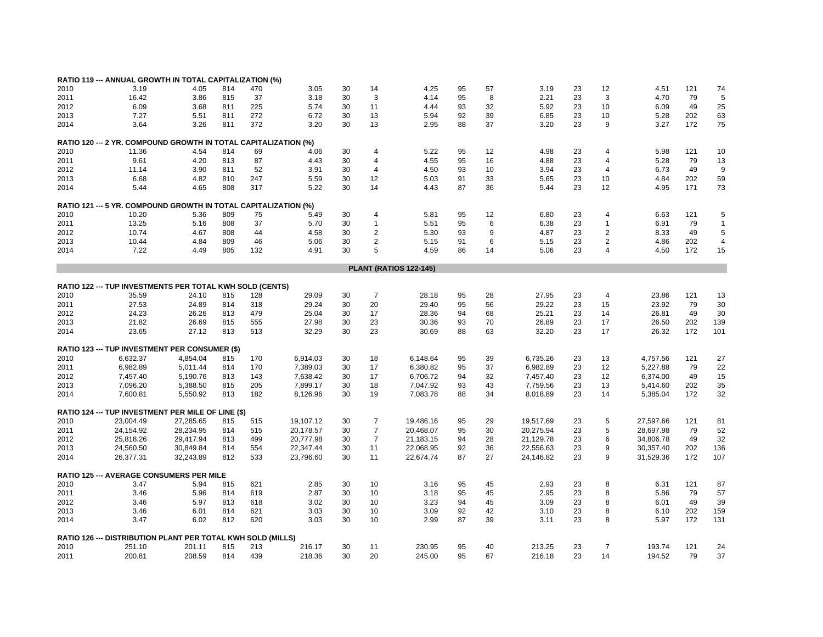|      | RATIO 119 --- ANNUAL GROWTH IN TOTAL CAPITALIZATION (%)           |           |     |     |           |    |                |                               |    |    |           |    |                |           |     |                |
|------|-------------------------------------------------------------------|-----------|-----|-----|-----------|----|----------------|-------------------------------|----|----|-----------|----|----------------|-----------|-----|----------------|
| 2010 | 3.19                                                              | 4.05      | 814 | 470 | 3.05      | 30 | 14             | 4.25                          | 95 | 57 | 3.19      | 23 | 12             | 4.51      | 121 | 74             |
| 2011 | 16.42                                                             | 3.86      | 815 | 37  | 3.18      | 30 | 3              | 4.14                          | 95 | 8  | 2.21      | 23 | 3              | 4.70      | 79  | 5              |
| 2012 | 6.09                                                              | 3.68      | 811 | 225 | 5.74      | 30 | 11             | 4.44                          | 93 | 32 | 5.92      | 23 | 10             | 6.09      | 49  | 25             |
|      |                                                                   |           |     |     |           |    |                |                               |    |    |           |    |                |           |     |                |
| 2013 | 7.27                                                              | 5.51      | 811 | 272 | 6.72      | 30 | 13             | 5.94                          | 92 | 39 | 6.85      | 23 | 10             | 5.28      | 202 | 63             |
| 2014 | 3.64                                                              | 3.26      | 811 | 372 | 3.20      | 30 | 13             | 2.95                          | 88 | 37 | 3.20      | 23 | 9              | 3.27      | 172 | 75             |
|      | RATIO 120 --- 2 YR. COMPOUND GROWTH IN TOTAL CAPITALIZATION (%)   |           |     |     |           |    |                |                               |    |    |           |    |                |           |     |                |
| 2010 | 11.36                                                             | 4.54      | 814 | 69  | 4.06      | 30 | $\overline{4}$ | 5.22                          | 95 | 12 | 4.98      | 23 | 4              | 5.98      | 121 | 10             |
| 2011 | 9.61                                                              | 4.20      | 813 | 87  | 4.43      | 30 | $\overline{4}$ | 4.55                          | 95 | 16 | 4.88      | 23 | $\overline{4}$ | 5.28      | 79  | 13             |
| 2012 | 11.14                                                             | 3.90      | 811 | 52  | 3.91      | 30 | $\overline{4}$ | 4.50                          | 93 | 10 | 3.94      | 23 | 4              | 6.73      | 49  | g              |
| 2013 | 6.68                                                              | 4.82      | 810 | 247 | 5.59      | 30 | 12             | 5.03                          | 91 | 33 | 5.65      | 23 | 10             | 4.84      | 202 | 59             |
| 2014 | 5.44                                                              | 4.65      | 808 | 317 | 5.22      | 30 | 14             | 4.43                          | 87 | 36 | 5.44      | 23 | 12             | 4.95      | 171 | 73             |
|      |                                                                   |           |     |     |           |    |                |                               |    |    |           |    |                |           |     |                |
|      | RATIO 121 --- 5 YR. COMPOUND GROWTH IN TOTAL CAPITALIZATION (%)   |           |     |     |           |    |                |                               |    |    |           |    |                |           |     |                |
| 2010 | 10.20                                                             | 5.36      | 809 | 75  | 5.49      | 30 | $\overline{4}$ | 5.81                          | 95 | 12 | 6.80      | 23 | 4              | 6.63      | 121 | 5              |
| 2011 | 13.25                                                             | 5.16      | 808 | 37  | 5.70      | 30 | $\mathbf{1}$   | 5.51                          | 95 | 6  | 6.38      | 23 | 1              | 6.91      | 79  | $\mathbf{1}$   |
| 2012 | 10.74                                                             | 4.67      | 808 | 44  | 4.58      | 30 | 2              | 5.30                          | 93 | 9  | 4.87      | 23 | $\overline{2}$ | 8.33      | 49  | 5              |
| 2013 | 10.44                                                             | 4.84      | 809 | 46  | 5.06      | 30 | $\overline{2}$ | 5.15                          | 91 | 6  | 5.15      | 23 | 2              | 4.86      | 202 | $\overline{4}$ |
| 2014 | 7.22                                                              | 4.49      | 805 | 132 | 4.91      | 30 | 5              | 4.59                          | 86 | 14 | 5.06      | 23 | $\overline{4}$ | 4.50      | 172 | 15             |
|      |                                                                   |           |     |     |           |    |                | <b>PLANT (RATIOS 122-145)</b> |    |    |           |    |                |           |     |                |
|      |                                                                   |           |     |     |           |    |                |                               |    |    |           |    |                |           |     |                |
| 2010 | RATIO 122 --- TUP INVESTMENTS PER TOTAL KWH SOLD (CENTS)<br>35.59 | 24.10     | 815 | 128 | 29.09     | 30 | $\overline{7}$ | 28.18                         | 95 | 28 | 27.95     | 23 | 4              | 23.86     | 121 | 13             |
|      |                                                                   |           |     |     |           |    |                |                               |    |    |           |    |                |           |     |                |
| 2011 | 27.53                                                             | 24.89     | 814 | 318 | 29.24     | 30 | 20             | 29.40                         | 95 | 56 | 29.22     | 23 | 15             | 23.92     | 79  | 30             |
| 2012 | 24.23                                                             | 26.26     | 813 | 479 | 25.04     | 30 | 17             | 28.36                         | 94 | 68 | 25.21     | 23 | 14             | 26.81     | 49  | 30             |
| 2013 | 21.82                                                             | 26.69     | 815 | 555 | 27.98     | 30 | 23             | 30.36                         | 93 | 70 | 26.89     | 23 | 17             | 26.50     | 202 | 139            |
| 2014 | 23.65                                                             | 27.12     | 813 | 513 | 32.29     | 30 | 23             | 30.69                         | 88 | 63 | 32.20     | 23 | 17             | 26.32     | 172 | 101            |
|      | <b>RATIO 123 --- TUP INVESTMENT PER CONSUMER (\$)</b>             |           |     |     |           |    |                |                               |    |    |           |    |                |           |     |                |
| 2010 | 6,632.37                                                          | 4.854.04  | 815 | 170 | 6,914.03  | 30 | 18             | 6,148.64                      | 95 | 39 | 6,735.26  | 23 | 13             | 4,757.56  | 121 | 27             |
| 2011 | 6,982.89                                                          | 5,011.44  | 814 | 170 | 7,389.03  | 30 | 17             | 6,380.82                      | 95 | 37 | 6,982.89  | 23 | 12             | 5,227.88  | 79  | 22             |
| 2012 | 7,457.40                                                          | 5,190.76  | 813 | 143 | 7,638.42  | 30 | 17             | 6,706.72                      | 94 | 32 | 7,457.40  | 23 | 12             | 6,374.00  | 49  | 15             |
| 2013 | 7,096.20                                                          | 5,388.50  | 815 | 205 | 7,899.17  | 30 | 18             | 7,047.92                      | 93 | 43 | 7,759.56  | 23 | 13             | 5,414.60  | 202 | 35             |
| 2014 | 7,600.81                                                          | 5,550.92  | 813 | 182 | 8,126.96  | 30 | 19             | 7,083.78                      | 88 | 34 | 8,018.89  | 23 | 14             | 5,385.04  | 172 | 32             |
|      |                                                                   |           |     |     |           |    |                |                               |    |    |           |    |                |           |     |                |
|      | RATIO 124 --- TUP INVESTMENT PER MILE OF LINE (\$)                |           |     |     |           |    |                |                               |    |    |           |    |                |           |     |                |
| 2010 | 23,004.49                                                         | 27,285.65 | 815 | 515 | 19,107.12 | 30 | 7              | 19,486.16                     | 95 | 29 | 19,517.69 | 23 | 5              | 27,597.66 | 121 | 81             |
| 2011 | 24,154.92                                                         | 28,234.95 | 814 | 515 | 20,178.57 | 30 | $\overline{7}$ | 20,468.07                     | 95 | 30 | 20,275.94 | 23 | 5              | 28,697.98 | 79  | 52             |
| 2012 | 25,818.26                                                         | 29,417.94 | 813 | 499 | 20,777.98 | 30 | $\overline{7}$ | 21,183.15                     | 94 | 28 | 21,129.78 | 23 | 6              | 34,806.78 | 49  | 32             |
| 2013 | 24,560.50                                                         | 30,849.84 | 814 | 554 | 22,347.44 | 30 | 11             | 22,068.95                     | 92 | 36 | 22,556.63 | 23 | 9              | 30,357.40 | 202 | 136            |
| 2014 | 26,377.31                                                         | 32,243.89 | 812 | 533 | 23,796.60 | 30 | 11             | 22,674.74                     | 87 | 27 | 24,146.82 | 23 | 9              | 31,529.36 | 172 | 107            |
|      |                                                                   |           |     |     |           |    |                |                               |    |    |           |    |                |           |     |                |
| 2010 | <b>RATIO 125 --- AVERAGE CONSUMERS PER MILE</b><br>3.47           |           | 815 | 621 | 2.85      | 30 | 10             | 3.16                          | 95 | 45 | 2.93      | 23 | 8              |           | 121 | 87             |
|      |                                                                   | 5.94      |     |     |           |    |                |                               |    |    |           |    |                | 6.31      |     |                |
| 2011 | 3.46                                                              | 5.96      | 814 | 619 | 2.87      | 30 | 10             | 3.18                          | 95 | 45 | 2.95      | 23 | 8              | 5.86      | 79  | 57             |
| 2012 | 3.46                                                              | 5.97      | 813 | 618 | 3.02      | 30 | 10             | 3.23                          | 94 | 45 | 3.09      | 23 | 8              | 6.01      | 49  | 39             |
| 2013 | 3.46                                                              | 6.01      | 814 | 621 | 3.03      | 30 | 10             | 3.09                          | 92 | 42 | 3.10      | 23 | 8              | 6.10      | 202 | 159            |
| 2014 | 3.47                                                              | 6.02      | 812 | 620 | 3.03      | 30 | 10             | 2.99                          | 87 | 39 | 3.11      | 23 | 8              | 5.97      | 172 | 131            |
|      | RATIO 126 --- DISTRIBUTION PLANT PER TOTAL KWH SOLD (MILLS)       |           |     |     |           |    |                |                               |    |    |           |    |                |           |     |                |
| 2010 | 251.10                                                            | 201.11    | 815 | 213 | 216.17    | 30 | 11             | 230.95                        | 95 | 40 | 213.25    | 23 | $\overline{7}$ | 193.74    | 121 | 24             |
| 2011 | 200.81                                                            | 208.59    | 814 | 439 | 218.36    | 30 | 20             | 245.00                        | 95 | 67 | 216.18    | 23 | 14             | 194.52    | 79  | 37             |
|      |                                                                   |           |     |     |           |    |                |                               |    |    |           |    |                |           |     |                |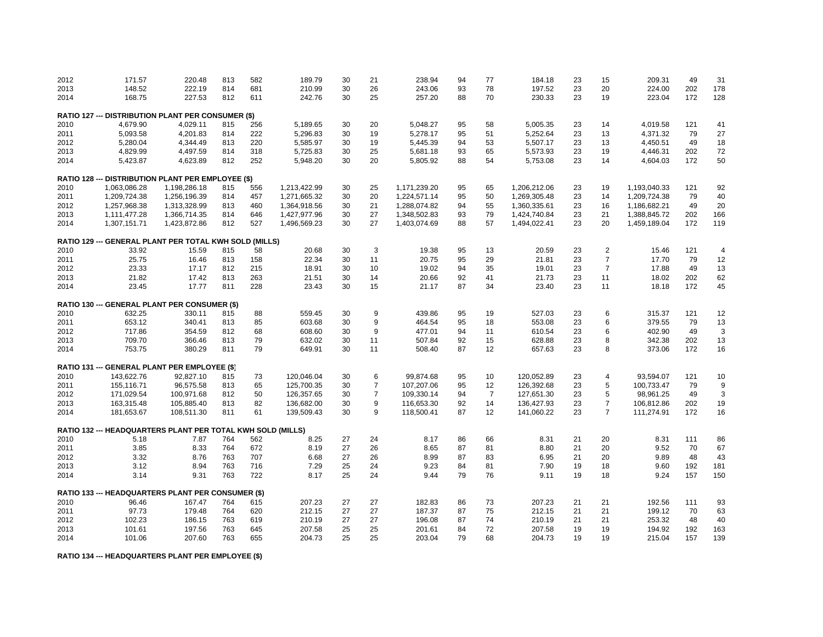| 2012 | 171.57       | 220.48                                                      | 813 | 582 | 189.79       | 30 | 21               | 238.94       | 94 | 77             | 184.18       | 23 | 15             | 209.31       | 49  | 31             |
|------|--------------|-------------------------------------------------------------|-----|-----|--------------|----|------------------|--------------|----|----------------|--------------|----|----------------|--------------|-----|----------------|
| 2013 | 148.52       | 222.19                                                      | 814 | 681 | 210.99       | 30 | 26               | 243.06       | 93 | 78             | 197.52       | 23 | 20             | 224.00       | 202 | 178            |
| 2014 | 168.75       | 227.53                                                      | 812 | 611 | 242.76       | 30 | 25               | 257.20       | 88 | 70             | 230.33       | 23 | 19             | 223.04       | 172 | 128            |
|      |              | <b>RATIO 127 --- DISTRIBUTION PLANT PER CONSUMER (\$)</b>   |     |     |              |    |                  |              |    |                |              |    |                |              |     |                |
| 2010 | 4,679.90     | 4,029.11                                                    | 815 | 256 | 5,189.65     | 30 | 20               | 5,048.27     | 95 | 58             | 5,005.35     | 23 | 14             | 4,019.58     | 121 | 41             |
| 2011 | 5,093.58     | 4,201.83                                                    | 814 | 222 | 5,296.83     | 30 | 19               | 5,278.17     | 95 | 51             | 5,252.64     | 23 | 13             | 4,371.32     | 79  | 27             |
| 2012 | 5,280.04     | 4,344.49                                                    | 813 | 220 | 5,585.97     | 30 | 19               | 5,445.39     | 94 | 53             | 5,507.17     | 23 | 13             | 4,450.51     | 49  | 18             |
| 2013 | 4,829.99     | 4,497.59                                                    | 814 | 318 | 5,725.83     | 30 | 25               | 5,681.18     | 93 | 65             | 5,573.93     | 23 | 19             | 4,446.31     | 202 | 72             |
| 2014 | 5,423.87     | 4,623.89                                                    | 812 | 252 | 5,948.20     | 30 | 20               | 5,805.92     | 88 | 54             | 5,753.08     | 23 | 14             | 4,604.03     | 172 | 50             |
|      |              |                                                             |     |     |              |    |                  |              |    |                |              |    |                |              |     |                |
|      |              | RATIO 128 --- DISTRIBUTION PLANT PER EMPLOYEE (\$)          |     |     |              |    |                  |              |    |                |              |    |                |              |     |                |
| 2010 | 1,063,086.28 | 1,198,286.18                                                | 815 | 556 | 1,213,422.99 | 30 | 25               | 1,171,239.20 | 95 | 65             | 1,206,212.06 | 23 | 19             | 1,193,040.33 | 121 | 92             |
| 2011 | 1,209,724.38 | 1,256,196.39                                                | 814 | 457 | 1,271,665.32 | 30 | 20               | 1,224,571.14 | 95 | 50             | 1,269,305.48 | 23 | 14             | 1,209,724.38 | 79  | 40             |
| 2012 | 1,257,968.38 | 1,313,328.99                                                | 813 | 460 | 1,364,918.56 | 30 | 21               | 1,288,074.82 | 94 | 55             | 1,360,335.61 | 23 | 16             | 1,186,682.21 | 49  | 20             |
| 2013 | 1,111,477.28 | 1,366,714.35                                                | 814 | 646 | 1,427,977.96 | 30 | 27               | 1,348,502.83 | 93 | 79             | 1,424,740.84 | 23 | 21             | 1,388,845.72 | 202 | 166            |
| 2014 | 1,307,151.71 | 1,423,872.86                                                | 812 | 527 | 1,496,569.23 | 30 | 27               | 1,403,074.69 | 88 | 57             | 1,494,022.41 | 23 | 20             | 1,459,189.04 | 172 | 119            |
|      |              | RATIO 129 --- GENERAL PLANT PER TOTAL KWH SOLD (MILLS)      |     |     |              |    |                  |              |    |                |              |    |                |              |     |                |
| 2010 | 33.92        | 15.59                                                       | 815 | 58  | 20.68        | 30 | 3                | 19.38        | 95 | 13             | 20.59        | 23 | $\overline{c}$ | 15.46        | 121 | $\overline{4}$ |
| 2011 | 25.75        | 16.46                                                       | 813 | 158 | 22.34        | 30 | 11               | 20.75        | 95 | 29             | 21.81        | 23 | $\overline{7}$ | 17.70        | 79  | 12             |
| 2012 | 23.33        | 17.17                                                       | 812 | 215 | 18.91        | 30 | 10               | 19.02        | 94 | 35             | 19.01        | 23 | $\overline{7}$ | 17.88        | 49  | 13             |
| 2013 | 21.82        | 17.42                                                       | 813 | 263 | 21.51        | 30 | 14               | 20.66        | 92 | 41             | 21.73        | 23 | 11             | 18.02        | 202 | 62             |
| 2014 | 23.45        | 17.77                                                       | 811 | 228 | 23.43        | 30 | 15               | 21.17        | 87 | 34             | 23.40        | 23 | 11             | 18.18        | 172 | 45             |
|      |              | RATIO 130 --- GENERAL PLANT PER CONSUMER (\$)               |     |     |              |    |                  |              |    |                |              |    |                |              |     |                |
| 2010 | 632.25       | 330.11                                                      | 815 | 88  | 559.45       | 30 | 9                | 439.86       | 95 | 19             | 527.03       | 23 | 6              | 315.37       | 121 | 12             |
| 2011 | 653.12       | 340.41                                                      | 813 | 85  | 603.68       | 30 | 9                | 464.54       | 95 | 18             | 553.08       | 23 | 6              | 379.55       | 79  | 13             |
| 2012 | 717.86       | 354.59                                                      | 812 | 68  | 608.60       | 30 | 9                | 477.01       | 94 | 11             | 610.54       | 23 | 6              | 402.90       | 49  | 3              |
| 2013 | 709.70       | 366.46                                                      | 813 | 79  | 632.02       | 30 | 11               | 507.84       | 92 | 15             | 628.88       | 23 | 8              | 342.38       | 202 | 13             |
| 2014 | 753.75       | 380.29                                                      | 811 | 79  | 649.91       | 30 | 11               | 508.40       | 87 | 12             | 657.63       | 23 | 8              | 373.06       | 172 | 16             |
|      |              | RATIO 131 --- GENERAL PLANT PER EMPLOYEE (\$)               |     |     |              |    |                  |              |    |                |              |    |                |              |     |                |
| 2010 | 143,622.76   | 92,827.10                                                   | 815 | 73  | 120,046.04   | 30 | 6                | 99,874.68    | 95 | 10             | 120,052.89   | 23 | $\overline{4}$ | 93,594.07    | 121 | 10             |
| 2011 | 155,116.71   | 96,575.58                                                   | 813 | 65  | 125,700.35   | 30 | $\overline{7}$   | 107,207.06   | 95 | 12             | 126,392.68   | 23 | 5              | 100,733.47   | 79  | g              |
| 2012 | 171,029.54   | 100,971.68                                                  | 812 | 50  | 126,357.65   | 30 | $\overline{7}$   | 109,330.14   | 94 | $\overline{7}$ | 127,651.30   | 23 | 5              | 98,961.25    | 49  | 3              |
| 2013 | 163,315.48   | 105,885.40                                                  | 813 | 82  | 136,682.00   | 30 | $\boldsymbol{9}$ | 116,653.30   | 92 | 14             | 136,427.93   | 23 | $\overline{7}$ | 106,812.86   | 202 | 19             |
| 2014 | 181,653.67   | 108,511.30                                                  | 811 | 61  | 139,509.43   | 30 | 9                | 118,500.41   | 87 | 12             | 141,060.22   | 23 | $\overline{7}$ | 111,274.91   | 172 | 16             |
|      |              |                                                             |     |     |              |    |                  |              |    |                |              |    |                |              |     |                |
|      |              | RATIO 132 --- HEADQUARTERS PLANT PER TOTAL KWH SOLD (MILLS) |     |     |              |    |                  |              |    |                |              |    |                |              |     |                |
| 2010 | 5.18         | 7.87                                                        | 764 | 562 | 8.25         | 27 | 24               | 8.17         | 86 | 66             | 8.31         | 21 | 20             | 8.31         | 111 | 86             |
| 2011 | 3.85         | 8.33                                                        | 764 | 672 | 8.19         | 27 | 26               | 8.65         | 87 | 81             | 8.80         | 21 | 20             | 9.52         | 70  | 67             |
| 2012 | 3.32         | 8.76                                                        | 763 | 707 | 6.68         | 27 | 26               | 8.99         | 87 | 83             | 6.95         | 21 | 20             | 9.89         | 48  | 43             |
| 2013 | 3.12         | 8.94                                                        | 763 | 716 | 7.29         | 25 | 24               | 9.23         | 84 | 81             | 7.90         | 19 | 18             | 9.60         | 192 | 181            |
| 2014 | 3.14         | 9.31                                                        | 763 | 722 | 8.17         | 25 | 24               | 9.44         | 79 | 76             | 9.11         | 19 | 18             | 9.24         | 157 | 150            |
|      |              | RATIO 133 --- HEADQUARTERS PLANT PER CONSUMER (\$)          |     |     |              |    |                  |              |    |                |              |    |                |              |     |                |
| 2010 | 96.46        | 167.47                                                      | 764 | 615 | 207.23       | 27 | 27               | 182.83       | 86 | 73             | 207.23       | 21 | 21             | 192.56       | 111 | 93             |
| 2011 | 97.73        | 179.48                                                      | 764 | 620 | 212.15       | 27 | 27               | 187.37       | 87 | 75             | 212.15       | 21 | 21             | 199.12       | 70  | 63             |
| 2012 | 102.23       | 186.15                                                      | 763 | 619 | 210.19       | 27 | 27               | 196.08       | 87 | 74             | 210.19       | 21 | 21             | 253.32       | 48  | 40             |
| 2013 | 101.61       | 197.56                                                      | 763 | 645 | 207.58       | 25 | 25               | 201.61       | 84 | 72             | 207.58       | 19 | 19             | 194.92       | 192 | 163            |
| 2014 | 101.06       | 207.60                                                      | 763 | 655 | 204.73       | 25 | 25               | 203.04       | 79 | 68             | 204.73       | 19 | 19             | 215.04       | 157 | 139            |

**RATIO 134 --- HEADQUARTERS PLANT PER EMPLOYEE (\$)**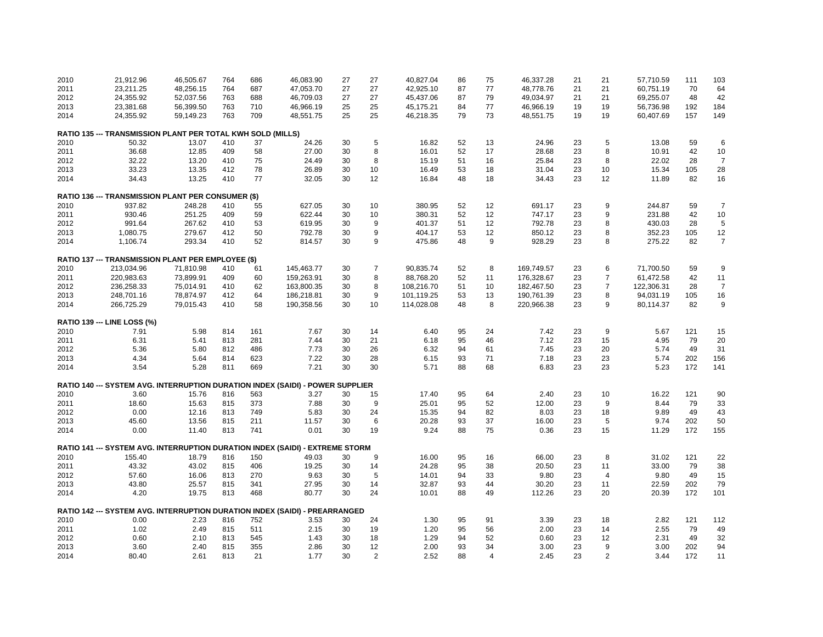| 2010 | 21,912.96                                                                             | 46,505.67 | 764 | 686 | 46,083.90  | 27 | 27             | 40,827.04  | 86 | 75             | 46,337.28  | 21 | 21             | 57,710.59  | 111 | 103            |
|------|---------------------------------------------------------------------------------------|-----------|-----|-----|------------|----|----------------|------------|----|----------------|------------|----|----------------|------------|-----|----------------|
| 2011 | 23,211.25                                                                             | 48,256.15 | 764 | 687 | 47,053.70  | 27 | 27             | 42,925.10  | 87 | 77             | 48,778.76  | 21 | 21             | 60,751.19  | 70  | 64             |
| 2012 | 24,355.92                                                                             | 52,037.56 | 763 | 688 | 46,709.03  | 27 | 27             | 45,437.06  | 87 | 79             | 49,034.97  | 21 | 21             | 69,255.07  | 48  | 42             |
| 2013 | 23,381.68                                                                             | 56,399.50 | 763 | 710 | 46,966.19  | 25 | 25             | 45,175.21  | 84 | 77             | 46,966.19  | 19 | 19             | 56,736.98  | 192 | 184            |
| 2014 | 24,355.92                                                                             | 59,149.23 | 763 | 709 | 48,551.75  | 25 | 25             | 46,218.35  | 79 | 73             | 48,551.75  | 19 | 19             | 60,407.69  | 157 | 149            |
|      |                                                                                       |           |     |     |            |    |                |            |    |                |            |    |                |            |     |                |
|      | RATIO 135 --- TRANSMISSION PLANT PER TOTAL KWH SOLD (MILLS)                           |           |     |     |            |    |                |            |    |                |            |    |                |            |     |                |
| 2010 | 50.32                                                                                 | 13.07     | 410 | 37  | 24.26      | 30 | 5              | 16.82      | 52 | 13             | 24.96      | 23 | 5              | 13.08      | 59  | 6              |
| 2011 | 36.68                                                                                 | 12.85     | 409 | 58  | 27.00      | 30 | 8              | 16.01      | 52 | 17             | 28.68      | 23 | 8              | 10.91      | 42  | 10             |
| 2012 | 32.22                                                                                 | 13.20     | 410 | 75  | 24.49      | 30 | 8              | 15.19      | 51 | 16             | 25.84      | 23 | 8              | 22.02      | 28  | $\overline{7}$ |
| 2013 | 33.23                                                                                 | 13.35     | 412 | 78  | 26.89      | 30 | 10             | 16.49      | 53 | 18             | 31.04      | 23 | 10             | 15.34      | 105 | 28             |
| 2014 | 34.43                                                                                 | 13.25     | 410 | 77  | 32.05      | 30 | 12             | 16.84      | 48 | 18             | 34.43      | 23 | 12             | 11.89      | 82  | 16             |
|      |                                                                                       |           |     |     |            |    |                |            |    |                |            |    |                |            |     |                |
|      | RATIO 136 --- TRANSMISSION PLANT PER CONSUMER (\$)                                    |           |     |     |            |    |                |            |    |                |            |    |                |            |     |                |
| 2010 | 937.82                                                                                | 248.28    | 410 | 55  | 627.05     | 30 | 10             | 380.95     | 52 | 12             | 691.17     | 23 | 9              | 244.87     | 59  | $\overline{7}$ |
| 2011 | 930.46                                                                                | 251.25    | 409 | 59  | 622.44     | 30 | 10             | 380.31     | 52 | 12             | 747.17     | 23 | 9              | 231.88     | 42  | 10             |
| 2012 | 991.64                                                                                | 267.62    | 410 | 53  | 619.95     | 30 | 9              | 401.37     | 51 | 12             | 792.78     | 23 | 8              | 430.03     | 28  | 5              |
| 2013 | 1,080.75                                                                              | 279.67    | 412 | 50  | 792.78     | 30 | 9              | 404.17     | 53 | 12             | 850.12     | 23 | 8              | 352.23     | 105 | 12             |
| 2014 | 1,106.74                                                                              | 293.34    | 410 | 52  | 814.57     | 30 | 9              | 475.86     | 48 | 9              | 928.29     | 23 | 8              | 275.22     | 82  | $\overline{7}$ |
|      |                                                                                       |           |     |     |            |    |                |            |    |                |            |    |                |            |     |                |
|      | RATIO 137 --- TRANSMISSION PLANT PER EMPLOYEE (\$)                                    |           |     |     |            |    |                |            |    |                |            |    |                |            |     |                |
| 2010 | 213,034.96                                                                            | 71,810.98 | 410 | 61  | 145,463.77 | 30 | $\overline{7}$ | 90,835.74  | 52 | 8              | 169,749.57 | 23 | 6              | 71,700.50  | 59  | 9              |
| 2011 | 220,983.63                                                                            | 73,899.91 | 409 | 60  | 159,263.91 | 30 | 8              | 88,768.20  | 52 | 11             | 176,328.67 | 23 | $\overline{7}$ | 61,472.58  | 42  | 11             |
| 2012 | 236,258.33                                                                            | 75,014.91 | 410 | 62  | 163,800.35 | 30 | 8              | 108,216.70 | 51 | 10             | 182,467.50 | 23 | $\overline{7}$ | 122,306.31 | 28  | $\overline{7}$ |
| 2013 | 248,701.16                                                                            | 78,874.97 | 412 | 64  | 186,218.81 | 30 | 9              | 101,119.25 | 53 | 13             | 190,761.39 | 23 | 8              | 94,031.19  | 105 | 16             |
| 2014 | 266,725.29                                                                            | 79,015.43 | 410 | 58  | 190,358.56 | 30 | 10             | 114,028.08 | 48 | 8              | 220,966.38 | 23 | 9              | 80,114.37  | 82  | 9              |
|      |                                                                                       |           |     |     |            |    |                |            |    |                |            |    |                |            |     |                |
|      | <b>RATIO 139 --- LINE LOSS (%)</b>                                                    |           |     |     |            |    |                |            |    |                |            |    |                |            |     |                |
| 2010 | 7.91                                                                                  | 5.98      | 814 | 161 | 7.67       | 30 | 14             | 6.40       | 95 | 24             | 7.42       | 23 | 9              | 5.67       | 121 | 15             |
| 2011 | 6.31                                                                                  | 5.41      | 813 | 281 | 7.44       | 30 | 21             | 6.18       | 95 | 46             | 7.12       | 23 | 15             | 4.95       | 79  | 20             |
| 2012 | 5.36                                                                                  | 5.80      | 812 | 486 | 7.73       | 30 | 26             | 6.32       | 94 | 61             | 7.45       | 23 | 20             | 5.74       | 49  | 31             |
| 2013 | 4.34                                                                                  | 5.64      | 814 | 623 | 7.22       | 30 | 28             | 6.15       | 93 | 71             | 7.18       | 23 | 23             | 5.74       | 202 | 156            |
| 2014 | 3.54                                                                                  | 5.28      | 811 | 669 | 7.21       | 30 | 30             | 5.71       | 88 | 68             | 6.83       | 23 | 23             | 5.23       | 172 | 141            |
|      |                                                                                       |           |     |     |            |    |                |            |    |                |            |    |                |            |     |                |
|      | <b>RATIO 140 --- SYSTEM AVG. INTERRUPTION DURATION INDEX (SAIDI) - POWER SUPPLIER</b> |           |     |     |            |    |                |            |    |                |            |    |                |            |     |                |
| 2010 | 3.60                                                                                  | 15.76     | 816 | 563 | 3.27       | 30 | 15             | 17.40      | 95 | 64             | 2.40       | 23 | 10             | 16.22      | 121 | 90             |
| 2011 | 18.60                                                                                 | 15.63     | 815 | 373 | 7.88       | 30 | 9              | 25.01      | 95 | 52             | 12.00      | 23 | 9              | 8.44       | 79  | 33             |
| 2012 | 0.00                                                                                  | 12.16     | 813 | 749 | 5.83       | 30 | 24             | 15.35      | 94 | 82             | 8.03       | 23 | 18             | 9.89       | 49  | 43             |
| 2013 | 45.60                                                                                 | 13.56     | 815 | 211 | 11.57      | 30 | 6              | 20.28      | 93 | 37             | 16.00      | 23 | 5              | 9.74       | 202 | 50             |
| 2014 | 0.00                                                                                  | 11.40     | 813 | 741 | 0.01       | 30 | 19             | 9.24       | 88 | 75             | 0.36       | 23 | 15             | 11.29      | 172 | 155            |
|      | RATIO 141 --- SYSTEM AVG. INTERRUPTION DURATION INDEX (SAIDI) - EXTREME STORM         |           |     |     |            |    |                |            |    |                |            |    |                |            |     |                |
| 2010 | 155.40                                                                                | 18.79     |     | 150 |            |    | 9              | 16.00      |    |                |            |    | 8              | 31.02      |     |                |
|      |                                                                                       |           | 816 |     | 49.03      | 30 |                |            | 95 | 16             | 66.00      | 23 |                |            | 121 | 22             |
| 2011 | 43.32                                                                                 | 43.02     | 815 | 406 | 19.25      | 30 | 14             | 24.28      | 95 | 38             | 20.50      | 23 | 11             | 33.00      | 79  | 38             |
| 2012 | 57.60                                                                                 | 16.06     | 813 | 270 | 9.63       | 30 | 5              | 14.01      | 94 | 33             | 9.80       | 23 | $\overline{4}$ | 9.80       | 49  | 15             |
| 2013 | 43.80                                                                                 | 25.57     | 815 | 341 | 27.95      | 30 | 14             | 32.87      | 93 | 44             | 30.20      | 23 | 11             | 22.59      | 202 | 79             |
| 2014 | 4.20                                                                                  | 19.75     | 813 | 468 | 80.77      | 30 | 24             | 10.01      | 88 | 49             | 112.26     | 23 | 20             | 20.39      | 172 | 101            |
|      | RATIO 142 --- SYSTEM AVG. INTERRUPTION DURATION INDEX (SAIDI) - PREARRANGED           |           |     |     |            |    |                |            |    |                |            |    |                |            |     |                |
| 2010 | 0.00                                                                                  | 2.23      | 816 | 752 | 3.53       | 30 | 24             | 1.30       | 95 | 91             | 3.39       | 23 | 18             | 2.82       | 121 | 112            |
| 2011 | 1.02                                                                                  | 2.49      | 815 | 511 | 2.15       | 30 | 19             | 1.20       | 95 | 56             | 2.00       | 23 | 14             | 2.55       | 79  | 49             |
| 2012 | 0.60                                                                                  | 2.10      | 813 | 545 | 1.43       | 30 | 18             | 1.29       | 94 | 52             | 0.60       | 23 | 12             | 2.31       | 49  | 32             |
| 2013 | 3.60                                                                                  | 2.40      | 815 | 355 | 2.86       | 30 | 12             | 2.00       | 93 | 34             | 3.00       | 23 | 9              | 3.00       | 202 | 94             |
| 2014 | 80.40                                                                                 | 2.61      | 813 | 21  | 1.77       | 30 | $\overline{2}$ | 2.52       | 88 | $\overline{4}$ | 2.45       | 23 | 2              | 3.44       | 172 | 11             |
|      |                                                                                       |           |     |     |            |    |                |            |    |                |            |    |                |            |     |                |